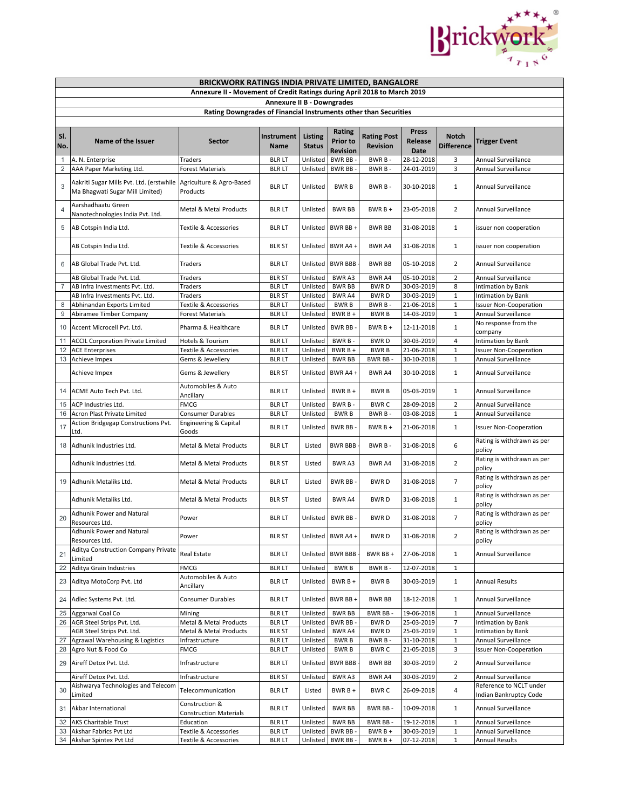

|                   | <b>BRICKWORK RATINGS INDIA PRIVATE LIMITED, BANGALORE</b>                                            |                                                 |                                |                      |                                    |                          |                          |                             |                                                     |  |  |  |
|-------------------|------------------------------------------------------------------------------------------------------|-------------------------------------------------|--------------------------------|----------------------|------------------------------------|--------------------------|--------------------------|-----------------------------|-----------------------------------------------------|--|--|--|
|                   | Annexure II - Movement of Credit Ratings during April 2018 to March 2019                             |                                                 |                                |                      |                                    |                          |                          |                             |                                                     |  |  |  |
|                   |                                                                                                      |                                                 | Annexure II B - Downgrades     |                      |                                    |                          |                          |                             |                                                     |  |  |  |
|                   | Rating Downgrades of Financial Instruments other than Securities                                     |                                                 |                                |                      |                                    |                          |                          |                             |                                                     |  |  |  |
|                   |                                                                                                      |                                                 |                                |                      |                                    |                          |                          |                             |                                                     |  |  |  |
| SI.               |                                                                                                      |                                                 | Instrument                     | <b>Listing</b>       | Rating                             | <b>Rating Post</b>       | Press                    | <b>Notch</b>                |                                                     |  |  |  |
| No.               | Name of the Issuer                                                                                   | Sector                                          | Name                           | <b>Status</b>        | Prior to                           | Revision                 | <b>Release</b>           | <b>Difference</b>           | <b>Trigger Event</b>                                |  |  |  |
|                   |                                                                                                      |                                                 |                                |                      | Revision                           |                          | Date                     |                             |                                                     |  |  |  |
| $\mathbf{1}$<br>2 | A. N. Enterprise<br>AAA Paper Marketing Ltd.                                                         | Traders<br><b>Forest Materials</b>              | <b>BLR LT</b><br><b>BLR LT</b> | Unlisted<br>Unlisted | <b>BWR BB</b><br><b>BWR BB</b>     | BWR B-<br>BWR B-         | 28-12-2018<br>24-01-2019 | 3<br>3                      | Annual Surveillance<br>Annual Surveillance          |  |  |  |
|                   |                                                                                                      |                                                 |                                |                      |                                    |                          |                          |                             |                                                     |  |  |  |
| 3                 | Aakriti Sugar Mills Pvt. Ltd. (erstwhile Agriculture & Agro-Based<br>Ma Bhagwati Sugar Mill Limited) | Products                                        | <b>BLR LT</b>                  | Unlisted             | <b>BWRB</b>                        | BWR B-                   | 30-10-2018               | 1                           | Annual Surveillance                                 |  |  |  |
| $\overline{4}$    | Aarshadhaatu Green<br>Nanotechnologies India Pvt. Ltd.                                               | Metal & Metal Products                          | <b>BLR LT</b>                  | Unlisted             | <b>BWR BB</b>                      | $BWRB +$                 | 23-05-2018               | $\overline{2}$              | Annual Surveillance                                 |  |  |  |
| 5                 | AB Cotspin India Ltd.                                                                                | Textile & Accessories                           | <b>BLR LT</b>                  |                      | Unlisted BWR BB +                  | <b>BWR BB</b>            | 31-08-2018               | 1                           | issuer non cooperation                              |  |  |  |
|                   | AB Cotspin India Ltd.                                                                                | Textile & Accessories                           | <b>BLR ST</b>                  |                      | Unlisted BWR A4 +                  | BWR A4                   | 31-08-2018               | $\mathbf{1}$                | issuer non cooperation                              |  |  |  |
| 6                 | AB Global Trade Pvt. Ltd.                                                                            | Traders                                         | <b>BLRLT</b>                   |                      | Unlisted BWR BBB                   | <b>BWR BB</b>            | 05-10-2018               | 2                           | Annual Surveillance                                 |  |  |  |
|                   | AB Global Trade Pvt. Ltd.                                                                            | Traders                                         | <b>BLR ST</b>                  | Unlisted             | BWR A3                             | BWR A4                   | 05-10-2018               | $\overline{2}$              | Annual Surveillance                                 |  |  |  |
| $\overline{7}$    | AB Infra Investments Pvt. Ltd.                                                                       | Traders                                         | <b>BLR LT</b>                  | Unlisted             | <b>BWR BB</b>                      | <b>BWRD</b>              | 30-03-2019               | 8<br>$\mathbf 1$            | Intimation by Bank                                  |  |  |  |
| 8                 | AB Infra Investments Pvt. Ltd.<br>Abhinandan Exports Limited                                         | Traders<br>Textile & Accessories                | <b>BLR ST</b><br><b>BLRLT</b>  | Unlisted<br>Unlisted | <b>BWRA4</b><br><b>BWRB</b>        | <b>BWRD</b><br>BWR B-    | 30-03-2019<br>21-06-2018 | $\mathbf 1$                 | Intimation by Bank<br><b>Issuer Non-Cooperation</b> |  |  |  |
| 9                 | Abiramee Timber Company                                                                              | <b>Forest Materials</b>                         | <b>BLR LT</b>                  | Unlisted             | BWR B +                            | <b>BWRB</b>              | 14-03-2019               | $\mathbf 1$                 | Annual Surveillance                                 |  |  |  |
|                   |                                                                                                      |                                                 |                                |                      |                                    |                          |                          |                             | No response from the                                |  |  |  |
| 10                | Accent Microcell Pvt. Ltd.                                                                           | Pharma & Healthcare                             | <b>BLR LT</b>                  | Unlisted             | BWR BB-                            | $BWRB +$                 | 12-11-2018               | $1\,$                       | company                                             |  |  |  |
| 11                | <b>ACCIL Corporation Private Limited</b>                                                             | Hotels & Tourism                                | <b>BLR LT</b>                  | Unlisted             | BWR B-                             | <b>BWRD</b>              | 30-03-2019               | $\overline{4}$              | <b>Intimation by Bank</b>                           |  |  |  |
| 12                | <b>ACE Enterprises</b>                                                                               | <b>Textile &amp; Accessories</b>                | <b>BLR LT</b>                  | Unlisted             | BWR B +                            | <b>BWRB</b>              | 21-06-2018               | $\mathbf 1$                 | <b>Issuer Non-Cooperation</b>                       |  |  |  |
| 13                | Achieve Impex                                                                                        | Gems & Jewellery                                | <b>BLR LT</b>                  | Unlisted             | <b>BWR BB</b>                      | BWR BB-                  | 30-10-2018               | $\mathbf 1$                 | Annual Surveillance                                 |  |  |  |
|                   | Achieve Impex                                                                                        | Gems & Jewellery                                | <b>BLR ST</b>                  |                      | Unlisted BWR A4 +                  | <b>BWR A4</b>            | 30-10-2018               | $\mathbf{1}$                | Annual Surveillance                                 |  |  |  |
| 14                | ACME Auto Tech Pvt. Ltd.                                                                             | Automobiles & Auto<br>Ancillary                 | <b>BLR LT</b>                  | Unlisted             | BWR B +                            | <b>BWRB</b>              | 05-03-2019               | 1                           | Annual Surveillance                                 |  |  |  |
| 15                | ACP Industries Ltd.                                                                                  | <b>FMCG</b>                                     | <b>BLRLT</b>                   | Unlisted             | BWR B-                             | <b>BWRC</b>              | 28-09-2018               | $\overline{2}$              | Annual Surveillance                                 |  |  |  |
| 16                | Acron Plast Private Limited                                                                          | Consumer Durables                               | <b>BLRLT</b>                   | Unlisted             | <b>BWRB</b>                        | BWR B-                   | 03-08-2018               | $\mathbf 1$                 | Annual Surveillance                                 |  |  |  |
| 17                | Action Bridgegap Constructions Pvt.<br>Ltd.                                                          | Engineering & Capital<br>Goods                  | <b>BLR LT</b>                  | Unlisted             | <b>BWR BB</b>                      | $BWRB +$                 | 21-06-2018               | $\mathbf{1}$                | <b>Issuer Non-Cooperation</b>                       |  |  |  |
|                   | 18 Adhunik Industries Ltd.                                                                           | Metal & Metal Products                          | <b>BLR LT</b>                  | Listed               | <b>BWR BBB</b>                     | BWR B-                   | 31-08-2018               | 6                           | Rating is withdrawn as per<br>policy                |  |  |  |
|                   | Adhunik Industries Ltd.                                                                              | Metal & Metal Products                          | <b>BLR ST</b>                  | Listed               | <b>BWRA3</b>                       | BWR A4                   | 31-08-2018               | $\overline{2}$              | Rating is withdrawn as per<br>policy                |  |  |  |
| 19                | Adhunik Metaliks Ltd.                                                                                | Metal & Metal Products                          | <b>BLRLT</b>                   | Listed               | BWR BB-                            | <b>BWRD</b>              | 31-08-2018               | $\overline{7}$              | Rating is withdrawn as per<br>policy                |  |  |  |
|                   | Adhunik Metaliks Ltd.                                                                                | Metal & Metal Products                          | <b>BLR ST</b>                  | Listed               | BWR A4                             | <b>BWRD</b>              | 31-08-2018               | $\mathbf{1}$                | Rating is withdrawn as per<br>policy                |  |  |  |
| 20                | Adhunik Power and Natural<br>Resources Ltd.                                                          | Power                                           | <b>BLR LT</b>                  |                      | Unlisted BWR BB -                  | <b>BWRD</b>              | 31-08-2018               | $\overline{7}$              | Rating is withdrawn as per<br>policy                |  |  |  |
|                   | Adhunik Power and Natural<br>Resources Ltd.<br>Aditya Construction Company Private                   | Power                                           | <b>BLR ST</b>                  |                      | Unlisted BWR A4 +                  | BWR D                    | 31-08-2018               | $\overline{2}$              | Rating is withdrawn as per<br>policy                |  |  |  |
| 21                | Limited<br>Aditya Grain Industries                                                                   | Real Estate<br><b>FMCG</b>                      | <b>BLR LT</b>                  | Unlisted             | Unlisted BWR BBB                   | BWR BB+                  | 27-06-2018               | $\mathbf{1}$                | Annual Surveillance                                 |  |  |  |
| 22                |                                                                                                      | Automobiles & Auto                              | <b>BLRLT</b>                   |                      | <b>BWRB</b>                        | BWR B-                   | 12-07-2018               | 1                           |                                                     |  |  |  |
|                   | 23 Aditya MotoCorp Pvt. Ltd                                                                          | Ancillary                                       | <b>BLR LT</b>                  | Unlisted             | BWR B +                            | <b>BWRB</b>              | 30-03-2019               | $1\,$                       | <b>Annual Results</b>                               |  |  |  |
|                   | 24 Adlec Systems Pvt. Ltd.<br>25 Aggarwal Coal Co                                                    | Consumer Durables<br>Mining                     | <b>BLR LT</b><br><b>BLRLT</b>  | Unlisted             | Unlisted BWR BB +<br><b>BWR BB</b> | <b>BWR BB</b><br>BWR BB- | 18-12-2018<br>19-06-2018 | $\mathbf{1}$<br>$\mathbf 1$ | Annual Surveillance<br>Annual Surveillance          |  |  |  |
| 26                | AGR Steel Strips Pvt. Ltd.                                                                           | Metal & Metal Products                          | <b>BLRLT</b>                   | Unlisted             | <b>BWR BB</b>                      | <b>BWRD</b>              | 25-03-2019               | $\overline{\phantom{a}}$    | Intimation by Bank                                  |  |  |  |
|                   | AGR Steel Strips Pvt. Ltd.                                                                           | Metal & Metal Products                          | <b>BLR ST</b>                  | Unlisted             | BWR A4                             | <b>BWRD</b>              | 25-03-2019               | $\mathbf 1$                 | Intimation by Bank                                  |  |  |  |
| 27                | Agrawal Warehousing & Logistics                                                                      | Infrastructure                                  | <b>BLRLT</b>                   | Unlisted             | <b>BWRB</b>                        | BWR B-                   | 31-10-2018               | $\mathbf 1$                 | Annual Surveillance                                 |  |  |  |
| 28                | Agro Nut & Food Co                                                                                   | FMCG                                            | <b>BLR LT</b>                  | Unlisted             | <b>BWRB</b>                        | <b>BWRC</b>              | 21-05-2018               | 3                           | <b>Issuer Non-Cooperation</b>                       |  |  |  |
| 29                | Aireff Detox Pvt. Ltd.                                                                               | Infrastructure                                  | <b>BLR LT</b>                  | Unlisted             | <b>BWR BBB</b>                     | <b>BWR BB</b>            | 30-03-2019               | $\overline{2}$              | <b>Annual Surveillance</b>                          |  |  |  |
|                   | Aireff Detox Pvt. Ltd.                                                                               | Infrastructure                                  | <b>BLR ST</b>                  | Unlisted             | BWR A3                             | BWR A4                   | 30-03-2019               | $\overline{2}$              | Annual Surveillance                                 |  |  |  |
| 30                | Aishwarya Technologies and Telecom                                                                   | Telecommunication                               | <b>BLRLT</b>                   | Listed               | BWR B +                            | <b>BWRC</b>              | 26-09-2018               | $\overline{4}$              | Reference to NCLT under                             |  |  |  |
|                   | Limited                                                                                              |                                                 |                                |                      |                                    |                          |                          |                             | Indian Bankruptcy Code                              |  |  |  |
|                   | 31 Akbar International                                                                               | Construction &<br><b>Construction Materials</b> | <b>BLR LT</b>                  | Unlisted             | <b>BWR BB</b>                      | BWR BB-                  | 10-09-2018               | $\mathbf{1}$                | Annual Surveillance                                 |  |  |  |
|                   | 32 AKS Charitable Trust                                                                              | Education                                       | <b>BLRLT</b>                   | Unlisted             | <b>BWR BB</b>                      | BWR BB-                  | 19-12-2018               | 1                           | Annual Surveillance                                 |  |  |  |
|                   | 33 Akshar Fabrics Pvt Ltd                                                                            | Textile & Accessories                           | <b>BLR LT</b>                  | Unlisted             | <b>BWR BB</b>                      | $BWRB +$                 | 30-03-2019               | $1\,$                       | Annual Surveillance                                 |  |  |  |
|                   | 34 Akshar Spintex Pvt Ltd                                                                            | Textile & Accessories                           | <b>BLR LT</b>                  | Unlisted BWR BB      |                                    | BWR B +                  | 07-12-2018               | $\mathbf{1}$                | Annual Results                                      |  |  |  |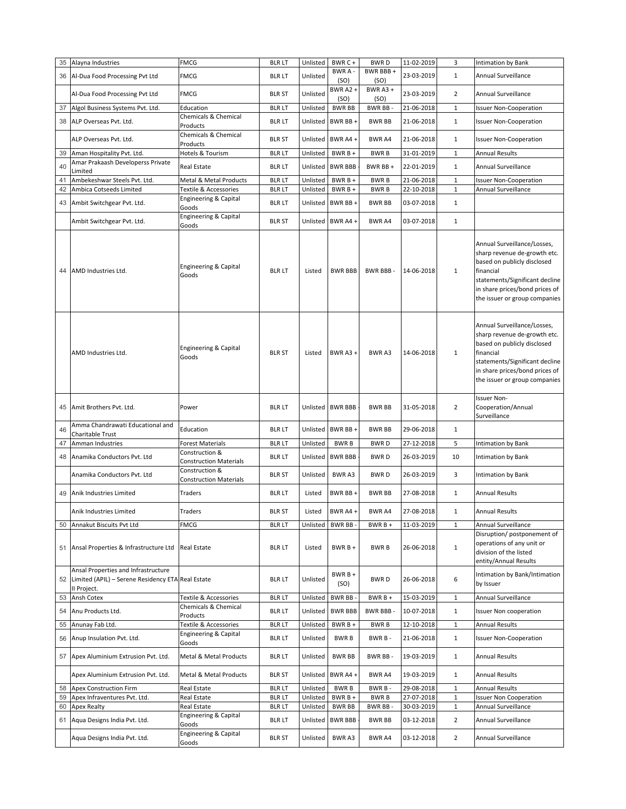| 35       | Alayna Industries                                                                                       | FMCG                                            | <b>BLR LT</b>                  | Unlisted             | BWR C +                  | <b>BWRD</b>                | 11-02-2019               | 3                            | Intimation by Bank                                                                                                                                                                                           |
|----------|---------------------------------------------------------------------------------------------------------|-------------------------------------------------|--------------------------------|----------------------|--------------------------|----------------------------|--------------------------|------------------------------|--------------------------------------------------------------------------------------------------------------------------------------------------------------------------------------------------------------|
| 36       | Al-Dua Food Processing Pvt Ltd                                                                          | FMCG                                            | <b>BLR LT</b>                  | Unlisted             | <b>BWRA</b><br>(SO)      | BWR BBB+<br>(SO)           | 23-03-2019               | $\mathbf{1}$                 | Annual Surveillance                                                                                                                                                                                          |
|          | Al-Dua Food Processing Pvt Ltd                                                                          | <b>FMCG</b>                                     | <b>BLR ST</b>                  | Unlisted             | BWR A2+<br>(SO)          | BWR $A3 +$<br>(SO)         | 23-03-2019               | $\overline{2}$               | Annual Surveillance                                                                                                                                                                                          |
| 37       | Algol Business Systems Pvt. Ltd.                                                                        | Education                                       | <b>BLRLT</b>                   | Unlisted             | <b>BWR BB</b>            | BWR BB-                    | 21-06-2018               | $\mathbf{1}$                 | <b>Issuer Non-Cooperation</b>                                                                                                                                                                                |
| 38       | ALP Overseas Pvt. Ltd.                                                                                  | Chemicals & Chemical<br>Products                | <b>BLR LT</b>                  | Unlisted             | BWR BB+                  | <b>BWR BB</b>              | 21-06-2018               | $\mathbf{1}$                 | <b>Issuer Non-Cooperation</b>                                                                                                                                                                                |
|          | ALP Overseas Pvt. Ltd.                                                                                  | Chemicals & Chemical<br>Products                | <b>BLR ST</b>                  | Unlisted             | BWR A4+                  | BWR A4                     | 21-06-2018               | $\mathbf{1}$                 | <b>Issuer Non-Cooperation</b>                                                                                                                                                                                |
| 39       | Aman Hospitality Pvt. Ltd.                                                                              | Hotels & Tourism                                | <b>BLRLT</b>                   | Unlisted             | BWR B +                  | <b>BWRB</b>                | 31-01-2019               | $\,1\,$                      | Annual Results                                                                                                                                                                                               |
| 40       | Amar Prakaash Developerss Private<br>Limited                                                            | Real Estate                                     | <b>BLR LT</b>                  | Unlisted             | <b>BWR BBB</b>           | BWR BB+                    | 22-01-2019               | $\mathbf{1}$                 | Annual Surveillance                                                                                                                                                                                          |
| 41<br>42 | Ambekeshwar Steels Pvt. Ltd.<br>Ambica Cotseeds Limited                                                 | Metal & Metal Products<br>Textile & Accessories | <b>BLR LT</b><br><b>BLRLT</b>  | Unlisted<br>Unlisted | BWR B +<br>BWR B +       | <b>BWRB</b><br><b>BWRB</b> | 21-06-2018<br>22-10-2018 | $\mathbf 1$<br>$\,1\,$       | <b>Issuer Non-Cooperation</b><br>Annual Surveillance                                                                                                                                                         |
|          |                                                                                                         | Engineering & Capital                           |                                |                      |                          |                            |                          |                              |                                                                                                                                                                                                              |
| 43       | Ambit Switchgear Pvt. Ltd.                                                                              | Goods<br>Engineering & Capital                  | <b>BLR LT</b>                  | Unlisted             | BWR BB+                  | <b>BWR BB</b>              | 03-07-2018               | $\mathbf{1}$                 |                                                                                                                                                                                                              |
|          | Ambit Switchgear Pvt. Ltd.                                                                              | Goods                                           | <b>BLR ST</b>                  |                      | Unlisted BWR A4 +        | BWR A4                     | 03-07-2018               | $\mathbf{1}$                 |                                                                                                                                                                                                              |
| 44       | AMD Industries Ltd.                                                                                     | Engineering & Capital<br>Goods                  | <b>BLR LT</b>                  | Listed               | <b>BWR BBB</b>           | BWR BBB-                   | 14-06-2018               | $\mathbf{1}$                 | Annual Surveillance/Losses,<br>sharp revenue de-growth etc.<br>based on publicly disclosed<br>financial<br>statements/Significant decline<br>in share prices/bond prices of<br>the issuer or group companies |
|          | AMD Industries Ltd.                                                                                     | Engineering & Capital<br>Goods                  | <b>BLR ST</b>                  | Listed               | BWR A3 +                 | <b>BWRA3</b>               | 14-06-2018               | $\mathbf{1}$                 | Annual Surveillance/Losses,<br>sharp revenue de-growth etc.<br>based on publicly disclosed<br>financial<br>statements/Significant decline<br>in share prices/bond prices of<br>the issuer or group companies |
| 45       | Amit Brothers Pvt. Ltd.                                                                                 | Power                                           | <b>BLR LT</b>                  |                      | Unlisted BWR BBB         | <b>BWR BB</b>              | 31-05-2018               | $\overline{2}$               | <b>Issuer Non-</b><br>Cooperation/Annual<br>Surveillance                                                                                                                                                     |
| 46       | Amma Chandrawati Educational and<br>Charitable Trust                                                    | Education                                       | <b>BLR LT</b>                  | Unlisted             | BWR BB+                  | <b>BWR BB</b>              | 29-06-2018               | $\mathbf{1}$                 |                                                                                                                                                                                                              |
| 47       | Amman Industries                                                                                        | <b>Forest Materials</b>                         | <b>BLR LT</b>                  | Unlisted             | <b>BWRB</b>              | <b>BWRD</b>                | 27-12-2018               | 5                            | Intimation by Bank                                                                                                                                                                                           |
| 48       | Anamika Conductors Pvt. Ltd                                                                             | Construction &<br><b>Construction Materials</b> | <b>BLR LT</b>                  | Unlisted             | <b>BWR BBB</b>           | <b>BWRD</b>                | 26-03-2019               | 10                           | Intimation by Bank                                                                                                                                                                                           |
|          | Anamika Conductors Pvt. Ltd                                                                             | Construction &<br><b>Construction Materials</b> | <b>BLR ST</b>                  | Unlisted             | BWR A3                   | <b>BWRD</b>                | 26-03-2019               | 3                            | Intimation by Bank                                                                                                                                                                                           |
| 49       | Anik Industries Limited                                                                                 | Traders                                         | <b>BLR LT</b>                  | Listed               | BWR BB+                  | <b>BWR BB</b>              | 27-08-2018               | $\mathbf{1}$                 | <b>Annual Results</b>                                                                                                                                                                                        |
|          | Anik Industries Limited                                                                                 | Traders                                         | blr st                         |                      | Listed BWR A4 +          | BWR A4                     | 27-08-2018               | 1                            | <b>Annual Results</b>                                                                                                                                                                                        |
| 50       | Annakut Biscuits Pvt Ltd                                                                                | FMCG                                            | <b>BLRLT</b>                   | Unlisted             | <b>BWR BB</b>            | $BWRB +$                   | 11-03-2019               | $\mathbf{1}$                 | Annual Surveillance                                                                                                                                                                                          |
| 51       | Ansal Properties & Infrastructure Ltd                                                                   | <b>Real Estate</b>                              | <b>BLR LT</b>                  | Listed               | BWR B +                  | <b>BWRB</b>                | 26-06-2018               | $\mathbf{1}$                 | Disruption/ postponement of<br>operations of any unit or<br>division of the listed<br>entity/Annual Results                                                                                                  |
| 52       | Ansal Properties and Infrastructure<br>Limited (APIL) - Serene Residency ETA Real Estate<br>II Project. |                                                 | <b>BLR LT</b>                  | Unlisted             | BWR B +<br>(SO)          | <b>BWRD</b>                | 26-06-2018               | 6                            | Intimation by Bank/Intimation<br>by Issuer                                                                                                                                                                   |
| 53       | Ansh Cotex                                                                                              | Textile & Accessories                           | <b>BLR LT</b>                  | Unlisted             | <b>BWR BB</b>            | BWR B +                    | 15-03-2019               | $\mathbf{1}$                 | Annual Surveillance                                                                                                                                                                                          |
| 54       | Anu Products Ltd.                                                                                       | Chemicals & Chemical<br>Products                | <b>BLR LT</b>                  | Unlisted             | <b>BWR BBB</b>           | BWR BBB -                  | 10-07-2018               | $\mathbf{1}$                 | <b>Issuer Non cooperation</b>                                                                                                                                                                                |
| 55       | Anunay Fab Ltd.                                                                                         | Textile & Accessories                           | <b>BLRLT</b>                   | Unlisted             | BWR B +                  | <b>BWRB</b>                | 12-10-2018               | $\mathbf 1$                  | Annual Results                                                                                                                                                                                               |
| 56       | Anup Insulation Pvt. Ltd.                                                                               | <b>Engineering &amp; Capital</b><br>Goods       | <b>BLR LT</b>                  | Unlisted             | <b>BWRB</b>              | BWR B-                     | 21-06-2018               | $\mathbf{1}$                 | <b>Issuer Non-Cooperation</b>                                                                                                                                                                                |
| 57       | Apex Aluminium Extrusion Pvt. Ltd.                                                                      | Metal & Metal Products                          | <b>BLR LT</b>                  | Unlisted             | <b>BWR BB</b>            | BWR BB-                    | 19-03-2019               | $\mathbf{1}$                 | <b>Annual Results</b>                                                                                                                                                                                        |
|          | Apex Aluminium Extrusion Pvt. Ltd.                                                                      | Metal & Metal Products                          | <b>BLR ST</b>                  | Unlisted             | BWR A4+                  | BWR A4                     | 19-03-2019               | $\mathbf{1}$                 | <b>Annual Results</b>                                                                                                                                                                                        |
| 58       | Apex Construction Firm                                                                                  | Real Estate                                     | <b>BLRLT</b>                   | Unlisted             | <b>BWRB</b>              | BWR B-                     | 29-08-2018               | $\mathbf{1}$                 | Annual Results                                                                                                                                                                                               |
| 59<br>60 | Apex Infraventures Pvt. Ltd.<br><b>Apex Realty</b>                                                      | Real Estate<br>Real Estate                      | <b>BLR LT</b><br><b>BLR LT</b> | Unlisted<br>Unlisted | BWR B +<br><b>BWR BB</b> | <b>BWRB</b><br>BWR BB-     | 27-07-2018<br>30-03-2019 | $\mathbf{1}$<br>$\mathbf{1}$ | <b>Issuer Non Cooperation</b><br>Annual Surveillance                                                                                                                                                         |
| 61       | Aqua Designs India Pvt. Ltd.                                                                            | Engineering & Capital<br>Goods                  | <b>BLR LT</b>                  | Unlisted             | <b>BWR BBB</b>           | <b>BWR BB</b>              | 03-12-2018               | $\overline{2}$               | Annual Surveillance                                                                                                                                                                                          |
|          | Aqua Designs India Pvt. Ltd.                                                                            | Engineering & Capital<br>Goods                  | <b>BLR ST</b>                  | Unlisted             | BWR A3                   | BWR A4                     | 03-12-2018               | $\overline{2}$               | Annual Surveillance                                                                                                                                                                                          |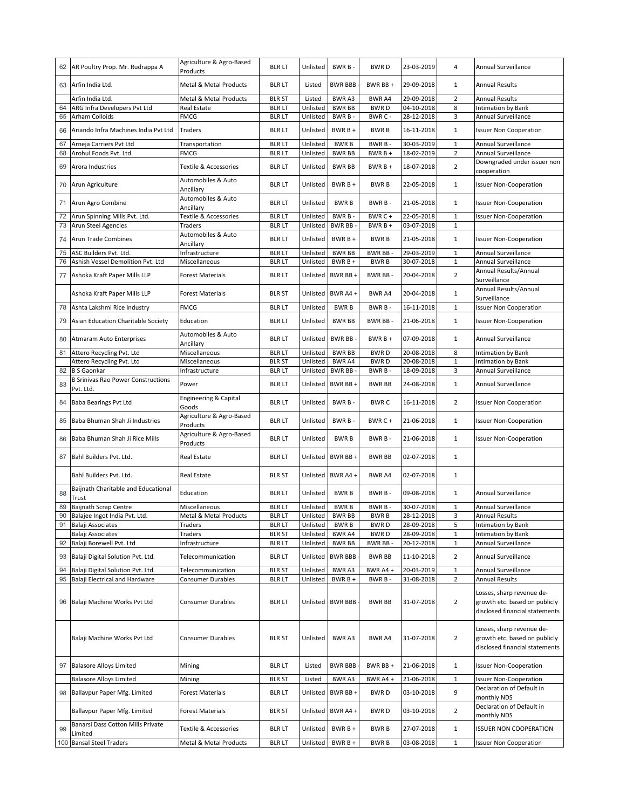| 62 | AR Poultry Prop. Mr. Rudrappa A                        | Agriculture & Agro-Based<br>Products | <b>BLR LT</b> | Unlisted | BWR B-            | <b>BWRD</b>   | 23-03-2019 | 4                       | Annual Surveillance                                                                          |
|----|--------------------------------------------------------|--------------------------------------|---------------|----------|-------------------|---------------|------------|-------------------------|----------------------------------------------------------------------------------------------|
| 63 | Arfin India Ltd.                                       | Metal & Metal Products               | <b>BLRLT</b>  | Listed   | <b>BWR BBB</b>    | BWR BB +      | 29-09-2018 | 1                       | Annual Results                                                                               |
|    | Arfin India Ltd.                                       | Metal & Metal Products               | <b>BLR ST</b> | Listed   | BWR A3            | <b>BWRA4</b>  | 29-09-2018 | $\overline{2}$          | <b>Annual Results</b>                                                                        |
| 64 | ARG Infra Developers Pvt Ltd                           | Real Estate                          | <b>BLR LT</b> | Unlisted | <b>BWR BB</b>     | <b>BWRD</b>   | 04-10-2018 | 8                       | Intimation by Bank                                                                           |
| 65 | <b>Arham Colloids</b>                                  | <b>FMCG</b>                          | <b>BLR LT</b> | Unlisted | BWR B-            | BWR C -       | 28-12-2018 | 3                       | Annual Surveillance                                                                          |
| 66 | Ariando Infra Machines India Pvt Ltd                   | Traders                              | <b>BLR LT</b> | Unlisted | BWR B +           | <b>BWRB</b>   | 16-11-2018 | 1                       | <b>Issuer Non Cooperation</b>                                                                |
| 67 | Arneja Carriers Pvt Ltd                                | Transportation                       | <b>BLR LT</b> | Unlisted | <b>BWRB</b>       | BWR B-        | 30-03-2019 | $\mathbf{1}$            | Annual Surveillance                                                                          |
| 68 | Arohul Foods Pvt. Ltd.                                 | FMCG                                 | <b>BLRLT</b>  | Unlisted | <b>BWR BB</b>     | BWR B +       | 18-02-2019 | $\overline{\mathbf{c}}$ | Annual Surveillance                                                                          |
| 69 | Arora Industries                                       | Textile & Accessories                | <b>BLR LT</b> | Unlisted | <b>BWR BB</b>     | BWR B +       | 18-07-2018 | $\overline{2}$          | Downgraded under issuer non<br>cooperation                                                   |
| 70 | Arun Agriculture                                       | Automobiles & Auto<br>Ancillary      | <b>BLR LT</b> | Unlisted | BWR B +           | <b>BWRB</b>   | 22-05-2018 | $\mathbf{1}$            | <b>Issuer Non-Cooperation</b>                                                                |
| 71 | Arun Agro Combine                                      | Automobiles & Auto<br>Ancillary      | <b>BLR LT</b> | Unlisted | <b>BWRB</b>       | BWR B-        | 21-05-2018 | 1                       | <b>Issuer Non-Cooperation</b>                                                                |
| 72 | Arun Spinning Mills Pvt. Ltd.                          | Textile & Accessories                | <b>BLRLT</b>  | Unlisted | BWR B-            | BWR C +       | 22-05-2018 | $\mathbf{1}$            | <b>Issuer Non-Cooperation</b>                                                                |
| 73 | Arun Steel Agencies                                    | Traders                              | <b>BLR LT</b> | Unlisted | BWR BB            | BWR B +       | 03-07-2018 | $\mathbf{1}$            |                                                                                              |
|    |                                                        | Automobiles & Auto                   |               |          |                   |               |            |                         |                                                                                              |
| 74 | <b>Arun Trade Combines</b>                             | Ancillary                            | <b>BLR LT</b> | Unlisted | $BWRB +$          | <b>BWRB</b>   | 21-05-2018 | 1                       | <b>Issuer Non-Cooperation</b>                                                                |
| 75 | ASC Builders Pvt. Ltd.                                 | Infrastructure                       | <b>BLR LT</b> | Unlisted | <b>BWR BB</b>     | BWR BB-       | 29-03-2019 | $\mathbf{1}$            | Annual Surveillance                                                                          |
| 76 | Ashish Vessel Demolition Pvt. Ltd                      | Miscellaneous                        | <b>BLRLT</b>  | Unlisted | BWR B +           | <b>BWRB</b>   | 30-07-2018 | $1\,$                   | Annual Surveillance                                                                          |
| 77 | Ashoka Kraft Paper Mills LLP                           | <b>Forest Materials</b>              | <b>BLR LT</b> | Unlisted | BWR BB+           | BWR BB-       | 20-04-2018 | $\overline{2}$          | Annual Results/Annual<br>Surveillance                                                        |
|    | Ashoka Kraft Paper Mills LLP                           | Forest Materials                     | <b>BLR ST</b> |          | Unlisted BWR A4 + | BWR A4        | 20-04-2018 | $\mathbf{1}$            | Annual Results/Annual                                                                        |
|    |                                                        |                                      |               |          |                   |               |            |                         | Surveillance                                                                                 |
| 78 | Ashta Lakshmi Rice Industry                            | FMCG                                 | <b>BLRLT</b>  | Unlisted | <b>BWRB</b>       | BWR B-        | 16-11-2018 | $\mathbf{1}$            | <b>Issuer Non Cooperation</b>                                                                |
| 79 | Asian Education Charitable Society                     | Education                            | <b>BLRLT</b>  | Unlisted | <b>BWR BB</b>     | BWR BB-       | 21-06-2018 | $\mathbf{1}$            | <b>Issuer Non-Cooperation</b>                                                                |
| 80 | Atmaram Auto Enterprises                               | Automobiles & Auto<br>Ancillary      | <b>BLR LT</b> | Unlisted | BWR BB-           | BWR B +       | 07-09-2018 | $\mathbf{1}$            | Annual Surveillance                                                                          |
| 81 | Attero Recycling Pvt. Ltd                              | Miscellaneous                        | <b>BLR LT</b> | Unlisted | <b>BWR BB</b>     | <b>BWRD</b>   | 20-08-2018 | 8                       | Intimation by Bank                                                                           |
|    | Attero Recycling Pvt. Ltd                              | Miscellaneous                        | <b>BLR ST</b> | Unlisted | BWR A4            | <b>BWRD</b>   | 20-08-2018 | $\mathbf 1$             | Intimation by Bank                                                                           |
| 82 | <b>B S Gaonkar</b>                                     | Infrastructure                       | <b>BLR LT</b> | Unlisted | <b>BWR BB</b>     | BWR B-        | 18-09-2018 | 3                       | Annual Surveillance                                                                          |
| 83 | <b>B Srinivas Rao Power Constructions</b><br>Pvt. Ltd. | Power                                | <b>BLR LT</b> | Unlisted | BWR BB+           | <b>BWR BB</b> | 24-08-2018 | 1                       | Annual Surveillance                                                                          |
| 84 | Baba Bearings Pvt Ltd                                  | Engineering & Capital<br>Goods       | <b>BLR LT</b> | Unlisted | BWR B-            | <b>BWRC</b>   | 16-11-2018 | $\overline{2}$          | <b>Issuer Non Cooperation</b>                                                                |
| 85 | Baba Bhuman Shah Ji Industries                         | Agriculture & Agro-Based<br>Products | <b>BLR LT</b> | Unlisted | BWR B-            | BWR C +       | 21-06-2018 | $\mathbf{1}$            | <b>Issuer Non-Cooperation</b>                                                                |
| 86 | Baba Bhuman Shah Ji Rice Mills                         | Agriculture & Agro-Based<br>Products | <b>BLR LT</b> | Unlisted | <b>BWRB</b>       | BWR B-        | 21-06-2018 | $\mathbf{1}$            | <b>Issuer Non-Cooperation</b>                                                                |
| 87 | Bahl Builders Pvt. Ltd.                                | Real Estate                          | <b>BLR LT</b> | Unlisted | BWR BB+           | <b>BWR BB</b> | 02-07-2018 | 1                       |                                                                                              |
|    | Bahl Builders Pvt. Ltd.                                | <b>Real Estate</b>                   | <b>BLR ST</b> | Unlisted | BWR A4+           | <b>BWR A4</b> | 02-07-2018 | $\mathbf{1}$            |                                                                                              |
| 88 | Baijnath Charitable and Educational<br>Trust           | Education                            | <b>BLR LT</b> | Unlisted | <b>BWRB</b>       | BWR B-        | 09-08-2018 | 1                       | Annual Surveillance                                                                          |
| 89 | <b>Baijnath Scrap Centre</b>                           | Miscellaneous                        | <b>BLRLT</b>  | Unlisted | <b>BWRB</b>       | BWR B-        | 30-07-2018 | $\mathbf{1}$            | Annual Surveillance                                                                          |
|    | 90 Balajee Ingot India Pvt. Ltd.                       | Metal & Metal Products               | blr lt        | Unlisted | BWR BB            | BWR B         | 28-12-2018 | 3                       | Annual Results                                                                               |
| 91 | Balaji Associates                                      | Traders                              | <b>BLR LT</b> | Unlisted | <b>BWRB</b>       | <b>BWRD</b>   | 28-09-2018 | 5                       | Intimation by Bank                                                                           |
|    | Balaji Associates                                      | Traders                              | <b>BLR ST</b> | Unlisted | BWR A4            | <b>BWRD</b>   | 28-09-2018 | $\mathbf{1}$            | Intimation by Bank                                                                           |
| 92 | Balaji Borewell Pvt. Ltd                               | Infrastructure                       | <b>BLR LT</b> | Unlisted | <b>BWR BB</b>     | BWR BB-       | 20-12-2018 | $\mathbf{1}$            | Annual Surveillance                                                                          |
|    | 93 Balaji Digital Solution Pvt. Ltd.                   | Telecommunication                    | <b>BLR LT</b> |          | Unlisted BWR BBB  | <b>BWR BB</b> | 11-10-2018 | $\overline{2}$          | Annual Surveillance                                                                          |
| 94 | Balaji Digital Solution Pvt. Ltd.                      | Telecommunication                    | <b>BLR ST</b> | Unlisted | BWR A3            | BWR A4+       | 20-03-2019 | $\mathbf 1$             | Annual Surveillance                                                                          |
| 95 | Balaji Electrical and Hardware                         | Consumer Durables                    | <b>BLR LT</b> | Unlisted | BWR B +           | BWR B-        | 31-08-2018 | $\overline{2}$          | <b>Annual Results</b>                                                                        |
| 96 | Balaji Machine Works Pvt Ltd                           | Consumer Durables                    | <b>BLR LT</b> |          | Unlisted BWR BBB  | <b>BWR BB</b> | 31-07-2018 | $\overline{2}$          | Losses, sharp revenue de-<br>growth etc. based on publicly<br>disclosed financial statements |
|    | Balaji Machine Works Pvt Ltd                           | Consumer Durables                    | <b>BLR ST</b> | Unlisted | BWR A3            | BWR A4        | 31-07-2018 | $\overline{2}$          | Losses, sharp revenue de-<br>growth etc. based on publicly<br>disclosed financial statements |
| 97 | <b>Balasore Alloys Limited</b>                         | Mining                               | <b>BLRLT</b>  | Listed   | <b>BWR BBB</b>    | BWR BB +      | 21-06-2018 | $\mathbf{1}$            | <b>Issuer Non-Cooperation</b>                                                                |
|    | <b>Balasore Alloys Limited</b>                         | Mining                               | <b>BLR ST</b> | Listed   | BWR A3            | BWR A4+       | 21-06-2018 | $1\,$                   | <b>Issuer Non-Cooperation</b>                                                                |
|    | 98 Ballavpur Paper Mfg. Limited                        | Forest Materials                     | <b>BLR LT</b> | Unlisted | BWR BB +          | <b>BWRD</b>   | 03-10-2018 | 9                       | Declaration of Default in<br>monthly NDS                                                     |
|    | Ballavpur Paper Mfg. Limited                           | Forest Materials                     | <b>BLR ST</b> |          | Unlisted BWR A4 + | BWR D         | 03-10-2018 | $\overline{2}$          | Declaration of Default in<br>monthly NDS                                                     |
| 99 | Banarsi Dass Cotton Mills Private<br>Limited           | Textile & Accessories                | <b>BLR LT</b> | Unlisted | $BWRB +$          | <b>BWRB</b>   | 27-07-2018 | $\mathbf{1}$            | <b>ISSUER NON COOPERATION</b>                                                                |
|    | 100 Bansal Steel Traders                               | Metal & Metal Products               | <b>BLR LT</b> | Unlisted | BWR B +           | <b>BWRB</b>   | 03-08-2018 | $\mathbf{1}$            | <b>Issuer Non Cooperation</b>                                                                |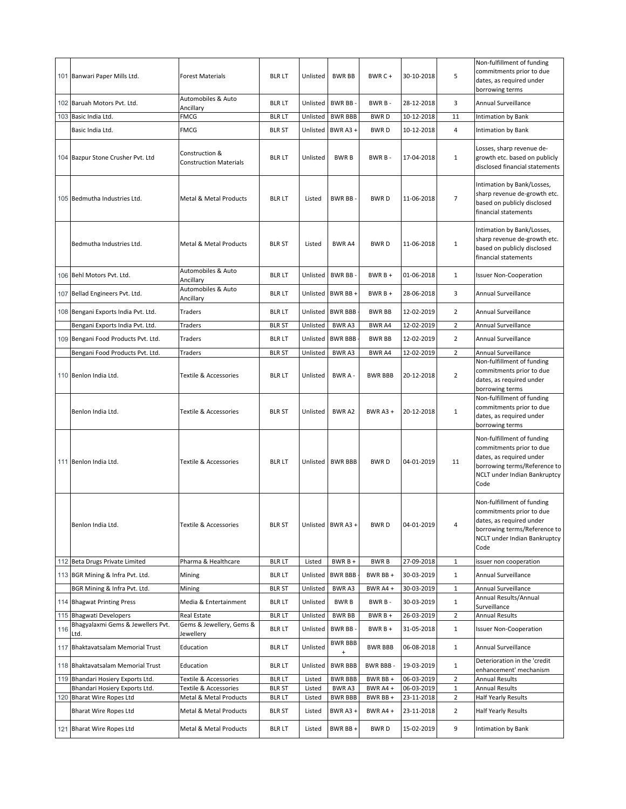|     | 101 Banwari Paper Mills Ltd.                                       | <b>Forest Materials</b>                         | <b>BLR LT</b>                 | Unlisted         | <b>BWR BB</b>               | BWR C+               | 30-10-2018               | 5                   | Non-fulfillment of funding<br>commitments prior to due<br>dates, as required under<br>borrowing terms                                                      |
|-----|--------------------------------------------------------------------|-------------------------------------------------|-------------------------------|------------------|-----------------------------|----------------------|--------------------------|---------------------|------------------------------------------------------------------------------------------------------------------------------------------------------------|
|     | 102 Baruah Motors Pvt. Ltd.                                        | Automobiles & Auto<br>Ancillary                 | <b>BLR LT</b>                 |                  | Unlisted BWR BB -           | BWR B-               | 28-12-2018               | 3                   | Annual Surveillance                                                                                                                                        |
|     | 103 Basic India Ltd.                                               | FMCG                                            | <b>BLRLT</b>                  | Unlisted         | <b>BWR BBB</b>              | <b>BWRD</b>          | 10-12-2018               | 11                  | Intimation by Bank                                                                                                                                         |
|     | Basic India Ltd.                                                   | <b>FMCG</b>                                     | <b>BLR ST</b>                 | Unlisted         | BWR A3 +                    | <b>BWRD</b>          | 10-12-2018               | 4                   | Intimation by Bank                                                                                                                                         |
|     | 104 Bazpur Stone Crusher Pvt. Ltd                                  | Construction &<br><b>Construction Materials</b> | <b>BLR LT</b>                 | Unlisted         | <b>BWRB</b>                 | BWR B-               | 17-04-2018               | $\mathbf{1}$        | Losses, sharp revenue de-<br>growth etc. based on publicly<br>disclosed financial statements                                                               |
|     | 105 Bedmutha Industries Ltd.                                       | Metal & Metal Products                          | <b>BLR LT</b>                 | Listed           | BWR BB-                     | <b>BWRD</b>          | 11-06-2018               | $\overline{7}$      | Intimation by Bank/Losses,<br>sharp revenue de-growth etc.<br>based on publicly disclosed<br>financial statements                                          |
|     | Bedmutha Industries Ltd.                                           | Metal & Metal Products                          | <b>BLR ST</b>                 | Listed           | BWR A4                      | <b>BWRD</b>          | 11-06-2018               | $\mathbf 1$         | Intimation by Bank/Losses,<br>sharp revenue de-growth etc.<br>based on publicly disclosed<br>financial statements                                          |
| 106 | Behl Motors Pvt. Ltd.                                              | Automobiles & Auto<br>Ancillary                 | <b>BLR LT</b>                 |                  | Unlisted BWR BB -           | $BWRB +$             | 01-06-2018               | $\mathbf{1}$        | <b>Issuer Non-Cooperation</b>                                                                                                                              |
|     | 107 Bellad Engineers Pvt. Ltd.                                     | Automobiles & Auto<br>Ancillary                 | <b>BLR LT</b>                 |                  | Unlisted BWR BB +           | $BWRB +$             | 28-06-2018               | 3                   | Annual Surveillance                                                                                                                                        |
|     | 108 Bengani Exports India Pvt. Ltd.                                | Traders                                         | <b>BLRLT</b>                  |                  | Unlisted BWR BBB            | <b>BWR BB</b>        | 12-02-2019               | $\overline{2}$      | Annual Surveillance                                                                                                                                        |
|     | Bengani Exports India Pvt. Ltd.                                    | Traders                                         | <b>BLR ST</b>                 | Unlisted         | BWR A3                      | BWR A4               | 12-02-2019               | $\overline{2}$      | Annual Surveillance                                                                                                                                        |
|     | 109 Bengani Food Products Pvt. Ltd.                                | Traders                                         | <b>BLR LT</b>                 | Unlisted         | <b>BWR BBB</b>              | <b>BWR BB</b>        | 12-02-2019               | $\overline{2}$      | Annual Surveillance                                                                                                                                        |
|     | Bengani Food Products Pvt. Ltd.                                    | Traders                                         | <b>BLR ST</b>                 | Unlisted         | BWR A3                      | BWR A4               | 12-02-2019               | $\overline{2}$      | Annual Surveillance                                                                                                                                        |
|     | 110 Benlon India Ltd.                                              | Textile & Accessories                           | <b>BLR LT</b>                 | Unlisted         | BWR A-                      | <b>BWR BBB</b>       | 20-12-2018               | $\overline{2}$      | Non-fulfillment of funding<br>commitments prior to due<br>dates, as required under<br>borrowing terms                                                      |
|     | Benlon India Ltd.                                                  | Textile & Accessories                           | <b>BLR ST</b>                 | Unlisted         | BWR A2                      | BWR A3 +             | 20-12-2018               | $\mathbf{1}$        | Non-fulfillment of funding<br>commitments prior to due<br>dates, as required under<br>borrowing terms                                                      |
|     | 111 Benlon India Ltd.                                              | Textile & Accessories                           | <b>BLR LT</b>                 |                  | Unlisted   BWR BBB          | <b>BWRD</b>          | 04-01-2019               | 11                  | Non-fulfillment of funding<br>commitments prior to due<br>dates, as required under<br>borrowing terms/Reference to<br>NCLT under Indian Bankruptcy<br>Code |
|     | Benlon India Ltd.                                                  | Textile & Accessories                           | <b>BLR ST</b>                 |                  | Unlisted BWR A3 +           | <b>BWRD</b>          | 04-01-2019               | 4                   | Non-fulfillment of funding<br>commitments prior to due<br>dates, as required under<br>borrowing terms/Reference to<br>NCLT under Indian Bankruptcy<br>Code |
|     | 112 Beta Drugs Private Limited                                     | Pharma & Healthcare                             | <b>BLR LT</b>                 | Listed           | $BWRB +$                    | <b>BWRB</b>          | 27-09-2018               | $\mathbf 1$         | issuer non cooperation                                                                                                                                     |
|     | 113 BGR Mining & Infra Pvt. Ltd.                                   | Mining                                          | <b>BLRLT</b>                  | Unlisted         | <b>BWR BBB</b>              | BWR BB +             | 30-03-2019               | $\mathbf{1}$        | Annual Surveillance                                                                                                                                        |
|     | BGR Mining & Infra Pvt. Ltd.                                       | Mining                                          | <b>BLR ST</b>                 | Unlisted         | BWR A3                      | BWR A4+              | 30-03-2019               | $\mathbf{1}$        | Annual Surveillance<br>Annual Results/Annual                                                                                                               |
|     | 114 Bhagwat Printing Press                                         | Media & Entertainment                           | <b>BLR LT</b>                 | Unlisted         | <b>BWRB</b>                 | BWR B-               | 30-03-2019               | $\mathbf{1}$        | Surveillance                                                                                                                                               |
| 115 | <b>Bhagwati Developers</b>                                         | Real Estate                                     | <b>BLR LT</b>                 | Unlisted         | <b>BWR BB</b>               | BWR B +              | 26-03-2019               | $\overline{2}$      | <b>Annual Results</b>                                                                                                                                      |
| 116 | Bhagyalaxmi Gems & Jewellers Pvt.<br>Ltd.                          | Gems & Jewellery, Gems &<br>lewellery           | <b>BLR LT</b>                 | Unlisted         | <b>BWR BB</b>               | $BWRB +$             | 31-05-2018               | $\mathbf{1}$        | <b>Issuer Non-Cooperation</b>                                                                                                                              |
| 117 | Bhaktavatsalam Memorial Trust                                      | Education                                       | <b>BLRLT</b>                  | Unlisted         | <b>BWR BBB</b><br>$\ddot{}$ | <b>BWR BBB</b>       | 06-08-2018               | $\mathbf{1}$        | Annual Surveillance                                                                                                                                        |
|     | 118 Bhaktavatsalam Memorial Trust                                  | Education                                       | BLR LT                        | Unlisted         | <b>BWR BBB</b>              | BWR BBB -            | 19-03-2019               | $\mathbf{1}$        | Deterioration in the 'credit<br>enhancement' mechanism                                                                                                     |
|     | 119 Bhandari Hosiery Exports Ltd.<br>Bhandari Hosiery Exports Ltd. | Textile & Accessories<br>Textile & Accessories  | <b>BLRLT</b><br><b>BLR ST</b> | Listed           | <b>BWR BBB</b><br>BWR A3    | BWR BB +<br>BWR A4 + | 06-03-2019<br>06-03-2019 | $\overline{2}$      | <b>Annual Results</b><br><b>Annual Results</b>                                                                                                             |
|     | 120 Bharat Wire Ropes Ltd                                          | Metal & Metal Products                          | <b>BLR LT</b>                 | Listed<br>Listed | <b>BWR BBB</b>              | BWR BB +             | 23-11-2018               | 1<br>$\overline{2}$ | Half Yearly Results                                                                                                                                        |
|     | <b>Bharat Wire Ropes Ltd</b>                                       | Metal & Metal Products                          | <b>BLR ST</b>                 | Listed           | BWR A3 +                    | BWR A4+              | 23-11-2018               | $\overline{2}$      | <b>Half Yearly Results</b>                                                                                                                                 |
|     | 121 Bharat Wire Ropes Ltd                                          | Metal & Metal Products                          | <b>BLR LT</b>                 | Listed           | BWR BB +                    | <b>BWRD</b>          | 15-02-2019               | 9                   | Intimation by Bank                                                                                                                                         |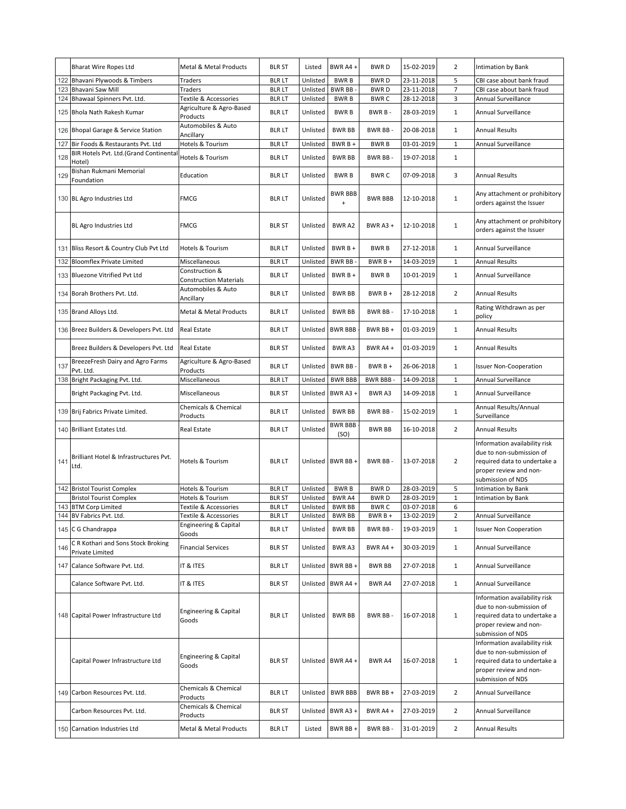|     | <b>Bharat Wire Ropes Ltd</b>                           | Metal & Metal Products                            | <b>BLR ST</b>                 | Listed               | BWR A4+                    | <b>BWRD</b>                | 15-02-2019               | 2                 | Intimation by Bank                                                                                                                       |
|-----|--------------------------------------------------------|---------------------------------------------------|-------------------------------|----------------------|----------------------------|----------------------------|--------------------------|-------------------|------------------------------------------------------------------------------------------------------------------------------------------|
| 122 | Bhavani Plywoods & Timbers                             | Traders                                           | <b>BLR LT</b>                 | Unlisted             | <b>BWRB</b>                | <b>BWRD</b>                | 23-11-2018               | 5                 | CBI case about bank fraud                                                                                                                |
| 123 | Bhavani Saw Mill                                       | Traders                                           | <b>BLR LT</b>                 | Unlisted             | <b>BWR BB</b>              | <b>BWRD</b>                | 23-11-2018               | $\overline{7}$    | CBI case about bank fraud                                                                                                                |
|     | 124 Bhawaal Spinners Pvt. Ltd.                         | Textile & Accessories<br>Agriculture & Agro-Based | <b>BLRLT</b>                  | Unlisted             | <b>BWRB</b>                | <b>BWRC</b>                | 28-12-2018               | 3                 | Annual Surveillance                                                                                                                      |
|     | 125 Bhola Nath Rakesh Kumar                            | Products                                          | <b>BLR LT</b>                 | Unlisted             | <b>BWRB</b>                | BWR B-                     | 28-03-2019               | $\mathbf{1}$      | Annual Surveillance                                                                                                                      |
|     | 126 Bhopal Garage & Service Station                    | Automobiles & Auto<br>Ancillary                   | <b>BLR LT</b>                 | Unlisted             | <b>BWR BB</b>              | BWR BB-                    | 20-08-2018               | $\mathbf{1}$      | <b>Annual Results</b>                                                                                                                    |
| 127 | Bir Foods & Restaurants Pvt. Ltd                       | Hotels & Tourism                                  | <b>BLRLT</b>                  | Unlisted             | BWR B +                    | <b>BWRB</b>                | 03-01-2019               | $\mathbf 1$       | Annual Surveillance                                                                                                                      |
| 128 | BIR Hotels Pvt. Ltd.(Grand Continental<br>Hotel)       | Hotels & Tourism                                  | <b>BLR LT</b>                 | Unlisted             | <b>BWR BB</b>              | BWR BB-                    | 19-07-2018               | $\mathbf{1}$      |                                                                                                                                          |
| 129 | Bishan Rukmani Memorial<br>Foundation                  | Education                                         | <b>BLR LT</b>                 | Unlisted             | <b>BWRB</b>                | <b>BWRC</b>                | 07-09-2018               | 3                 | <b>Annual Results</b>                                                                                                                    |
|     | 130 BL Agro Industries Ltd                             | <b>FMCG</b>                                       | <b>BLR LT</b>                 | Unlisted             | <b>BWR BBB</b><br>$\bf{+}$ | <b>BWR BBB</b>             | 12-10-2018               | $\mathbf{1}$      | Any attachment or prohibitory<br>orders against the Issuer                                                                               |
|     | BL Agro Industries Ltd                                 | <b>FMCG</b>                                       | <b>BLR ST</b>                 | Unlisted             | <b>BWRA2</b>               | BWR A3 +                   | 12-10-2018               | $\mathbf{1}$      | Any attachment or prohibitory<br>orders against the Issuer                                                                               |
|     | 131 Bliss Resort & Country Club Pvt Ltd                | Hotels & Tourism                                  | <b>BLR LT</b>                 | Unlisted             | BWR B +                    | <b>BWRB</b>                | 27-12-2018               | $\mathbf{1}$      | Annual Surveillance                                                                                                                      |
| 132 | <b>Bloomflex Private Limited</b>                       | Miscellaneous                                     | <b>BLRLT</b>                  | Unlisted             | BWR BB-                    | $BWRB +$                   | 14-03-2019               | $\mathbf{1}$      | <b>Annual Results</b>                                                                                                                    |
|     | 133 Bluezone Vitrified Pvt Ltd                         | Construction &<br><b>Construction Materials</b>   | <b>BLR LT</b>                 | Unlisted             | $BWRB +$                   | <b>BWRB</b>                | 10-01-2019               | $\mathbf{1}$      | Annual Surveillance                                                                                                                      |
|     | 134 Borah Brothers Pvt. Ltd.                           | Automobiles & Auto<br>Ancillary                   | <b>BLR LT</b>                 | Unlisted             | <b>BWR BB</b>              | $BWRB+$                    | 28-12-2018               | $\overline{2}$    | <b>Annual Results</b>                                                                                                                    |
|     | 135 Brand Alloys Ltd.                                  | <b>Metal &amp; Metal Products</b>                 | <b>BLR LT</b>                 | Unlisted             | <b>BWR BB</b>              | BWR BB-                    | 17-10-2018               | $\mathbf{1}$      | Rating Withdrawn as per<br>policy                                                                                                        |
|     | 136 Breez Builders & Developers Pvt. Ltd               | <b>Real Estate</b>                                | <b>BLR LT</b>                 | Unlisted             | <b>BWR BBB</b>             | BWR BB+                    | 01-03-2019               | $\mathbf{1}$      | <b>Annual Results</b>                                                                                                                    |
|     | Breez Builders & Developers Pvt. Ltd                   | <b>Real Estate</b>                                | <b>BLR ST</b>                 | Unlisted             | <b>BWRA3</b>               | BWR A4 +                   | 01-03-2019               | $\mathbf{1}$      | <b>Annual Results</b>                                                                                                                    |
| 137 | BreezeFresh Dairy and Agro Farms<br>Pvt. Ltd.          | Agriculture & Agro-Based<br>Products              | <b>BLR LT</b>                 | Unlisted             | BWR BB-                    | $BWRB +$                   | 26-06-2018               | $\mathbf{1}$      | <b>Issuer Non-Cooperation</b>                                                                                                            |
|     | 138 Bright Packaging Pvt. Ltd.                         | Miscellaneous                                     | <b>BLRLT</b>                  | Unlisted             | <b>BWR BBB</b>             | <b>BWR BBB-</b>            | 14-09-2018               | $\mathbf{1}$      | Annual Surveillance                                                                                                                      |
|     | Bright Packaging Pvt. Ltd.                             | Miscellaneous                                     | <b>BLR ST</b>                 | Unlisted             | BWR A3 +                   | BWR A3                     | 14-09-2018               | $\mathbf{1}$      | Annual Surveillance                                                                                                                      |
|     | 139 Brij Fabrics Private Limited.                      | Chemicals & Chemical<br>Products                  | <b>BLR LT</b>                 | Unlisted             | <b>BWR BB</b>              | BWR BB-                    | 15-02-2019               | $\mathbf{1}$      | Annual Results/Annual<br>Surveillance                                                                                                    |
|     | 140 Brilliant Estates Ltd.                             | Real Estate                                       | <b>BLR LT</b>                 | Unlisted             | <b>BWR BBB</b><br>(SO)     | <b>BWR BB</b>              | 16-10-2018               | $\overline{2}$    | <b>Annual Results</b>                                                                                                                    |
| 141 | Brilliant Hotel & Infrastructures Pvt.<br>Ltd.         | Hotels & Tourism                                  | <b>BLR LT</b>                 | Unlisted             | BWR BB+                    | BWR BB-                    | 13-07-2018               | $\overline{2}$    | Information availability risk<br>due to non-submission of<br>required data to undertake a<br>proper review and non-<br>submission of NDS |
| 142 | <b>Bristol Tourist Complex</b>                         | Hotels & Tourism                                  | <b>BLRLT</b>                  | Unlisted             | <b>BWRB</b>                | <b>BWRD</b>                | 28-03-2019               | 5                 | <b>Intimation by Bank</b>                                                                                                                |
|     | <b>Bristol Tourist Complex</b><br>143 BTM Corp Limited | Hotels & Tourism<br>Textile & Accessories         | <b>BLR ST</b><br><b>BLRLT</b> | Unlisted<br>Unlisted | BWR A4<br><b>BWR BB</b>    | <b>BWRD</b><br><b>BWRC</b> | 28-03-2019<br>03-07-2018 | $\mathbf{1}$<br>6 | Intimation by Bank                                                                                                                       |
|     | 144 BV Fabrics Pvt. Ltd.                               | Textile & Accessories                             | blr lt                        |                      | Unlisted BWR BB            | BWR B +                    | 13-02-2019               |                   | Annual Surveillance                                                                                                                      |
|     | 145 C G Chandrappa                                     | Engineering & Capital<br>Goods                    | <b>BLR LT</b>                 | Unlisted             | <b>BWR BB</b>              | BWR BB-                    | 19-03-2019               | $\mathbf{1}$      | <b>Issuer Non Cooperation</b>                                                                                                            |
| 146 | C R Kothari and Sons Stock Broking<br>Private Limited  | <b>Financial Services</b>                         | <b>BLR ST</b>                 | Unlisted             | BWR A3                     | BWR A4 +                   | 30-03-2019               | $\mathbf{1}$      | Annual Surveillance                                                                                                                      |
|     | 147 Calance Software Pvt. Ltd.                         | IT & ITES                                         | <b>BLR LT</b>                 | Unlisted             | BWR BB +                   | BWR BB                     | 27-07-2018               | $\mathbf{1}$      | Annual Surveillance                                                                                                                      |
|     | Calance Software Pvt. Ltd.                             | IT & ITES                                         | <b>BLR ST</b>                 |                      | Unlisted BWR A4 +          | BWR A4                     | 27-07-2018               | $\mathbf{1}$      | Annual Surveillance                                                                                                                      |
|     | 148 Capital Power Infrastructure Ltd                   | Engineering & Capital<br>Goods                    | <b>BLR LT</b>                 | Unlisted             | <b>BWR BB</b>              | BWR BB-                    | 16-07-2018               | $\mathbf{1}$      | Information availability risk<br>due to non-submission of<br>required data to undertake a<br>proper review and non-<br>submission of NDS |
|     | Capital Power Infrastructure Ltd                       | Engineering & Capital<br>Goods                    | <b>BLR ST</b>                 |                      | Unlisted BWR A4 +          | BWR A4                     | 16-07-2018               | $\mathbf{1}$      | Information availability risk<br>due to non-submission of<br>required data to undertake a<br>proper review and non-<br>submission of NDS |
|     | 149 Carbon Resources Pvt. Ltd.                         | Chemicals & Chemical<br>Products                  | <b>BLR LT</b>                 | Unlisted             | <b>BWR BBB</b>             | BWR BB +                   | 27-03-2019               | $\overline{2}$    | Annual Surveillance                                                                                                                      |
|     | Carbon Resources Pvt. Ltd.                             | Chemicals & Chemical<br>Products                  | <b>BLR ST</b>                 | Unlisted             | BWR A3 +                   | BWR A4 +                   | 27-03-2019               | $\overline{2}$    | Annual Surveillance                                                                                                                      |
|     | 150 Carnation Industries Ltd                           | Metal & Metal Products                            | <b>BLRLT</b>                  | Listed               | BWR BB +                   | BWR BB-                    | 31-01-2019               | $\overline{2}$    | <b>Annual Results</b>                                                                                                                    |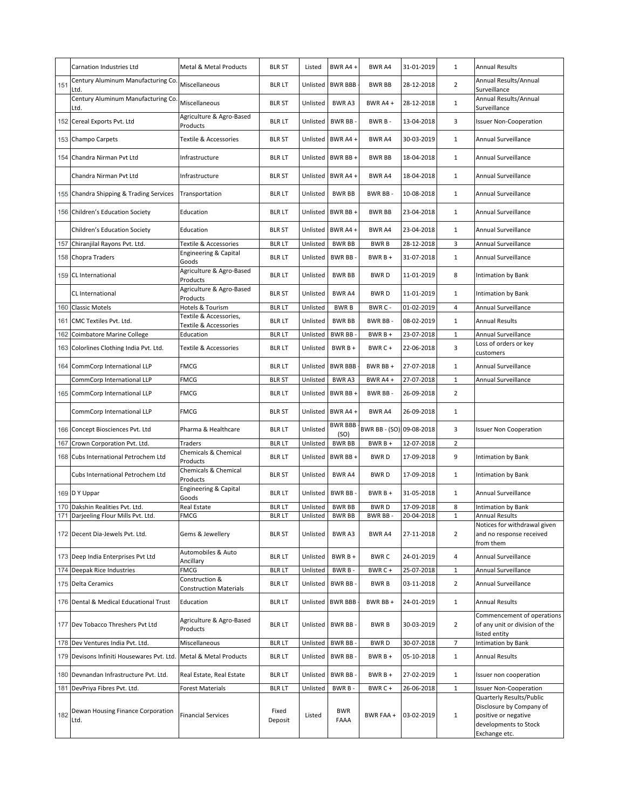|     | Carnation Industries Ltd                   | Metal & Metal Products                          | <b>BLR ST</b>    | Listed   | BWR A4+                | BWR A4                   | 31-01-2019 | 1              | <b>Annual Results</b>                                                                                                  |
|-----|--------------------------------------------|-------------------------------------------------|------------------|----------|------------------------|--------------------------|------------|----------------|------------------------------------------------------------------------------------------------------------------------|
| 151 | Century Aluminum Manufacturing Co.<br>Ltd. | Miscellaneous                                   | <b>BLR LT</b>    | Unlisted | <b>BWR BBB</b>         | <b>BWR BB</b>            | 28-12-2018 | $\overline{2}$ | Annual Results/Annual<br>Surveillance                                                                                  |
|     | Century Aluminum Manufacturing Co.<br>Ltd. | Miscellaneous                                   | <b>BLR ST</b>    | Unlisted | <b>BWRA3</b>           | BWR A4 +                 | 28-12-2018 | $\mathbf{1}$   | Annual Results/Annual<br>Surveillance                                                                                  |
|     | 152 Cereal Exports Pvt. Ltd                | Agriculture & Agro-Based<br>Products            | <b>BLR LT</b>    | Unlisted | BWR BB-                | BWR B-                   | 13-04-2018 | 3              | <b>Issuer Non-Cooperation</b>                                                                                          |
|     | 153 Champo Carpets                         | Textile & Accessories                           | <b>BLR ST</b>    | Unlisted | BWR A4 +               | BWR A4                   | 30-03-2019 | $\mathbf{1}$   | Annual Surveillance                                                                                                    |
|     | 154 Chandra Nirman Pvt Ltd                 | Infrastructure                                  | <b>BLR LT</b>    | Unlisted | BWR BB+                | <b>BWR BB</b>            | 18-04-2018 | $\mathbf{1}$   | Annual Surveillance                                                                                                    |
|     | Chandra Nirman Pvt Ltd                     | Infrastructure                                  | <b>BLR ST</b>    | Unlisted | BWR A4 +               | BWR A4                   | 18-04-2018 | $\mathbf{1}$   | Annual Surveillance                                                                                                    |
|     | 155 Chandra Shipping & Trading Services    | Transportation                                  | <b>BLRLT</b>     | Unlisted | <b>BWR BB</b>          | BWR BB-                  | 10-08-2018 | $\mathbf{1}$   | Annual Surveillance                                                                                                    |
|     | 156 Children's Education Society           | Education                                       | <b>BLR LT</b>    | Unlisted | BWR BB+                | <b>BWR BB</b>            | 23-04-2018 | 1              | Annual Surveillance                                                                                                    |
|     | Children's Education Society               | Education                                       | <b>BLR ST</b>    | Unlisted | BWR A4+                | BWR A4                   | 23-04-2018 | $\mathbf{1}$   | Annual Surveillance                                                                                                    |
| 157 | Chiranjilal Rayons Pvt. Ltd.               | Textile & Accessories                           | <b>BLRLT</b>     | Unlisted | <b>BWR BB</b>          | <b>BWRB</b>              | 28-12-2018 | 3              | Annual Surveillance                                                                                                    |
|     | 158 Chopra Traders                         | Engineering & Capital<br>Goods                  | <b>BLR LT</b>    | Unlisted | BWR BB-                | $BWRB +$                 | 31-07-2018 | $\mathbf{1}$   | Annual Surveillance                                                                                                    |
|     | 159 CL International                       | Agriculture & Agro-Based<br>Products            | <b>BLR LT</b>    | Unlisted | <b>BWR BB</b>          | <b>BWRD</b>              | 11-01-2019 | 8              | Intimation by Bank                                                                                                     |
|     | CL International                           | Agriculture & Agro-Based<br>Products            | <b>BLR ST</b>    | Unlisted | <b>BWR A4</b>          | <b>BWRD</b>              | 11-01-2019 | $\mathbf{1}$   | Intimation by Bank                                                                                                     |
|     | 160 Classic Motels                         | Hotels & Tourism                                | <b>BLRLT</b>     | Unlisted | <b>BWRB</b>            | BWR C -                  | 01-02-2019 | 4              | Annual Surveillance                                                                                                    |
|     | 161 CMC Textiles Pvt. Ltd.                 | Textile & Accessories,                          | <b>BLR LT</b>    | Unlisted | <b>BWR BB</b>          | BWR BB-                  | 08-02-2019 | $\mathbf{1}$   | <b>Annual Results</b>                                                                                                  |
| 162 | Coimbatore Marine College                  | Textile & Accessories<br>Education              | <b>BLRLT</b>     | Unlisted | <b>BWR BB</b>          | $BWRB +$                 | 23-07-2018 | $\mathbf 1$    | Annual Surveillance                                                                                                    |
|     | 163 Colorlines Clothing India Pvt. Ltd.    | Textile & Accessories                           | <b>BLR LT</b>    | Unlisted | BWR B +                | BWR C +                  | 22-06-2018 | 3              | Loss of orders or key<br>customers                                                                                     |
|     | 164 CommCorp International LLP             | <b>FMCG</b>                                     | <b>BLRLT</b>     | Unlisted | <b>BWR BBB</b>         | BWR BB +                 | 27-07-2018 | $\mathbf{1}$   | Annual Surveillance                                                                                                    |
|     | CommCorp International LLP                 | <b>FMCG</b>                                     | <b>BLR ST</b>    | Unlisted | BWR A3                 | BWR A4+                  | 27-07-2018 | $\mathbf{1}$   | Annual Surveillance                                                                                                    |
|     | 165 CommCorp International LLP             | <b>FMCG</b>                                     | <b>BLRLT</b>     | Unlisted | BWR BB+                | BWR BB-                  | 26-09-2018 | $\overline{2}$ |                                                                                                                        |
|     | CommCorp International LLP                 | <b>FMCG</b>                                     | <b>BLR ST</b>    | Unlisted | BWR A4 +               | BWR A4                   | 26-09-2018 | $\mathbf{1}$   |                                                                                                                        |
|     | 166 Concept Biosciences Pvt. Ltd           | Pharma & Healthcare                             | <b>BLR LT</b>    | Unlisted | <b>BWR BBB</b><br>(SO) | BWR BB - (SO) 09-08-2018 |            | 3              | <b>Issuer Non Cooperation</b>                                                                                          |
| 167 | Crown Corporation Pvt. Ltd.                | Traders                                         | <b>BLRLT</b>     | Unlisted | <b>BWR BB</b>          | $BWRB +$                 | 12-07-2018 | $\overline{2}$ |                                                                                                                        |
|     | 168 Cubs International Petrochem Ltd       | Chemicals & Chemical<br>Products                | <b>BLR LT</b>    | Unlisted | BWR BB+                | <b>BWRD</b>              | 17-09-2018 | 9              | Intimation by Bank                                                                                                     |
|     | Cubs International Petrochem Ltd           | Chemicals & Chemical<br>Products                | <b>BLR ST</b>    | Unlisted | <b>BWRA4</b>           | <b>BWRD</b>              | 17-09-2018 | $\mathbf{1}$   | Intimation by Bank                                                                                                     |
|     | 169 D Y Uppar                              | Engineering & Capital<br>Goods                  | <b>BLR LT</b>    | Unlisted | BWR BB-                | $BWRB +$                 | 31-05-2018 | $\mathbf{1}$   | Annual Surveillance                                                                                                    |
|     | 170 Dakshin Realities Pvt. Ltd.            | Real Estate                                     | <b>BLRLT</b>     | Unlisted | <b>BWR BB</b>          | <b>BWRD</b>              | 17-09-2018 | 8              | Intimation by Bank                                                                                                     |
|     | 171 Darjeeling Flour Mills Pvt. Ltd.       | <b>FMCG</b>                                     | BLR LI           | Unlisted | <b>BWR BB</b>          | BWR BB -                 | 20-04-2018 |                | Annual Results                                                                                                         |
|     | 172 Decent Dia-Jewels Pvt. Ltd.            | Gems & Jewellery                                | <b>BLR ST</b>    | Unlisted | BWR A3                 | BWR A4                   | 27-11-2018 | $\overline{2}$ | Notices for withdrawal given<br>and no response received<br>from them                                                  |
|     | 173 Deep India Enterprises Pvt Ltd         | Automobiles & Auto<br>Ancillary                 | <b>BLR LT</b>    | Unlisted | $BWRB +$               | <b>BWRC</b>              | 24-01-2019 | 4              | Annual Surveillance                                                                                                    |
|     | 174 Deepak Rice Industries                 | <b>FMCG</b>                                     | <b>BLR LT</b>    | Unlisted | BWR B-                 | BWR C +                  | 25-07-2018 | $\mathbf{1}$   | Annual Surveillance                                                                                                    |
|     | 175 Delta Ceramics                         | Construction &<br><b>Construction Materials</b> | <b>BLR LT</b>    | Unlisted | BWR BB-                | <b>BWRB</b>              | 03-11-2018 | $\overline{2}$ | Annual Surveillance                                                                                                    |
|     | 176 Dental & Medical Educational Trust     | Education                                       | <b>BLR LT</b>    | Unlisted | <b>BWR BBB</b>         | BWR BB +                 | 24-01-2019 | $\mathbf{1}$   | <b>Annual Results</b>                                                                                                  |
|     | 177 Dev Tobacco Threshers Pvt Ltd          | Agriculture & Agro-Based<br>Products            | <b>BLR LT</b>    | Unlisted | BWR BB-                | <b>BWRB</b>              | 30-03-2019 | $\overline{2}$ | Commencement of operations<br>of any unit or division of the<br>listed entity                                          |
|     | 178 Dev Ventures India Pvt. Ltd.           | Miscellaneous                                   | <b>BLRLT</b>     | Unlisted | BWR BB-                | <b>BWRD</b>              | 30-07-2018 | $\overline{7}$ | Intimation by Bank                                                                                                     |
|     | 179 Devisons Infiniti Housewares Pvt. Ltd. | Metal & Metal Products                          | <b>BLRLT</b>     | Unlisted | BWR BB-                | $BWRB +$                 | 05-10-2018 | $\mathbf{1}$   | <b>Annual Results</b>                                                                                                  |
|     | 180 Devnandan Infrastructure Pvt. Ltd.     | Real Estate, Real Estate                        | <b>BLR LT</b>    | Unlisted | BWR BB-                | $BWRB+$                  | 27-02-2019 | $\mathbf{1}$   | Issuer non cooperation                                                                                                 |
|     | 181 DevPriya Fibres Pvt. Ltd.              | <b>Forest Materials</b>                         | <b>BLR LT</b>    | Unlisted | <b>BWRB</b>            | BWR C +                  | 26-06-2018 | 1              | <b>Issuer Non-Cooperation</b>                                                                                          |
| 182 | Dewan Housing Finance Corporation<br>Ltd.  | <b>Financial Services</b>                       | Fixed<br>Deposit | Listed   | <b>BWR</b><br>FAAA     | BWR FAA +                | 03-02-2019 | $\mathbf{1}$   | Quarterly Results/Public<br>Disclosure by Company of<br>positive or negative<br>developments to Stock<br>Exchange etc. |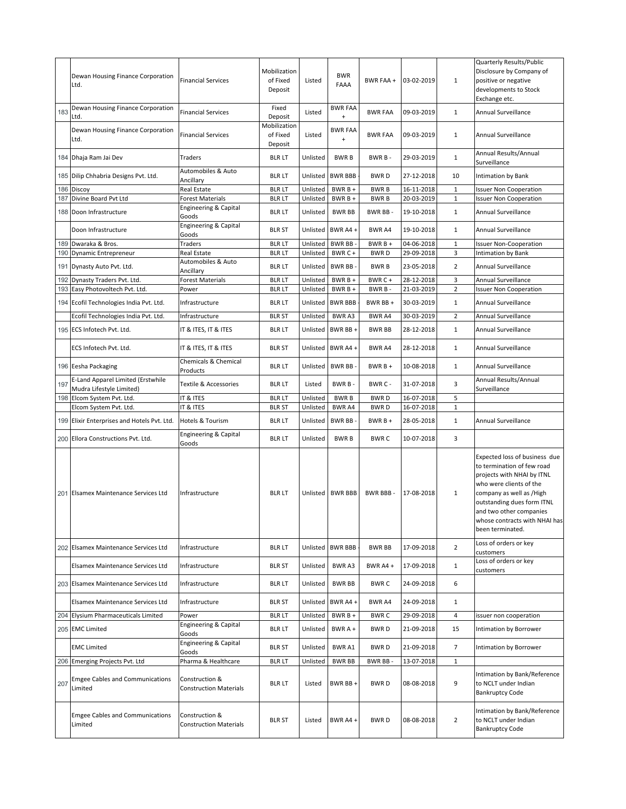|     | Dewan Housing Finance Corporation<br>Ltd.                     | <b>Financial Services</b>                       | Mobilization<br>of Fixed<br>Deposit | Listed               | <b>BWR</b><br>FAAA           | BWR FAA +                  | 03-02-2019               | 1                 | Quarterly Results/Public<br>Disclosure by Company of<br>positive or negative<br>developments to Stock<br>Exchange etc.                                                                                                                                         |
|-----|---------------------------------------------------------------|-------------------------------------------------|-------------------------------------|----------------------|------------------------------|----------------------------|--------------------------|-------------------|----------------------------------------------------------------------------------------------------------------------------------------------------------------------------------------------------------------------------------------------------------------|
| 183 | Dewan Housing Finance Corporation<br>_td.                     | <b>Financial Services</b>                       | Fixed<br>Deposit                    | Listed               | <b>BWR FAA</b><br>$\ddot{}$  | <b>BWR FAA</b>             | 09-03-2019               | $\mathbf{1}$      | Annual Surveillance                                                                                                                                                                                                                                            |
|     | Dewan Housing Finance Corporation<br>Ltd.                     | <b>Financial Services</b>                       | Mobilization<br>of Fixed<br>Deposit | Listed               | <b>BWR FAA</b><br>$\ddot{}$  | <b>BWR FAA</b>             | 09-03-2019               | $\mathbf{1}$      | Annual Surveillance                                                                                                                                                                                                                                            |
|     | 184 Dhaja Ram Jai Dev                                         | Traders                                         | <b>BLR LT</b>                       | Unlisted             | <b>BWRB</b>                  | BWR B-                     | 29-03-2019               | $\mathbf{1}$      | Annual Results/Annual<br>Surveillance                                                                                                                                                                                                                          |
|     | 185 Dilip Chhabria Designs Pvt. Ltd.                          | Automobiles & Auto<br>Ancillary                 | <b>BLR LT</b>                       | Unlisted             | <b>BWR BBB</b>               | <b>BWRD</b>                | 27-12-2018               | 10                | Intimation by Bank                                                                                                                                                                                                                                             |
| 186 | Discoy                                                        | <b>Real Estate</b>                              | <b>BLR LT</b>                       | Unlisted             | $BWRB +$                     | <b>BWRB</b>                | 16-11-2018               | $\mathbf{1}$      | <b>Issuer Non Cooperation</b>                                                                                                                                                                                                                                  |
| 187 | Divine Board Pvt Ltd                                          | Forest Materials<br>Engineering & Capital       | <b>BLR LT</b>                       | Unlisted             | $BWRB +$                     | <b>BWRB</b>                | 20-03-2019               | $\mathbf{1}$      | <b>Issuer Non Cooperation</b>                                                                                                                                                                                                                                  |
|     | 188 Doon Infrastructure                                       | Goods<br>Engineering & Capital                  | <b>BLR LT</b>                       | Unlisted             | <b>BWR BB</b>                | BWR BB-                    | 19-10-2018               | $\mathbf{1}$      | Annual Surveillance                                                                                                                                                                                                                                            |
|     | Doon Infrastructure                                           | Goods                                           | <b>BLR ST</b>                       | Unlisted             | BWR A4+                      | <b>BWR A4</b>              | 19-10-2018               | $\mathbf{1}$      | Annual Surveillance                                                                                                                                                                                                                                            |
|     | 189 Dwaraka & Bros.                                           | Traders                                         | <b>BLR LT</b>                       | Unlisted             | <b>BWR BB</b>                | $BWRB +$                   | 04-06-2018               | $\mathbf{1}$      | <b>Issuer Non-Cooperation</b>                                                                                                                                                                                                                                  |
|     | 190 Dynamic Entrepreneur                                      | Real Estate                                     | <b>BLR LT</b>                       | Unlisted             | BWR C+                       | <b>BWRD</b>                | 29-09-2018               | 3                 | Intimation by Bank                                                                                                                                                                                                                                             |
|     | 191 Dynasty Auto Pvt. Ltd.                                    | Automobiles & Auto<br>Ancillary                 | <b>BLR LT</b>                       | Unlisted             | BWR BB-                      | <b>BWRB</b>                | 23-05-2018               | $\overline{2}$    | Annual Surveillance                                                                                                                                                                                                                                            |
| 192 | Dynasty Traders Pvt. Ltd.                                     | <b>Forest Materials</b>                         | <b>BLR LT</b>                       | Unlisted             | BWR $B +$                    | BWR C+                     | 28-12-2018               | 3                 | Annual Surveillance                                                                                                                                                                                                                                            |
|     | 193 Easy Photovoltech Pvt. Ltd.                               | Power                                           | <b>BLR LT</b>                       | Unlisted             | $BWRB +$                     | BWR B-                     | 21-03-2019               | $\overline{2}$    | <b>Issuer Non Cooperation</b>                                                                                                                                                                                                                                  |
|     | 194 Ecofil Technologies India Pvt. Ltd.                       | Infrastructure                                  | <b>BLR LT</b>                       | Unlisted             | <b>BWR BBB</b>               | BWR BB +                   | 30-03-2019               | $\mathbf{1}$      | Annual Surveillance                                                                                                                                                                                                                                            |
|     | Ecofil Technologies India Pvt. Ltd.                           | Infrastructure                                  | <b>BLR ST</b>                       | Unlisted             | BWR A3                       | BWR A4                     | 30-03-2019               | $\overline{2}$    | <b>Annual Surveillance</b>                                                                                                                                                                                                                                     |
|     | 195 ECS Infotech Pvt. Ltd.                                    | IT & ITES, IT & ITES                            | <b>BLRLT</b>                        | Unlisted             | BWR BB+                      | <b>BWR BB</b>              | 28-12-2018               | $\mathbf{1}$      | Annual Surveillance                                                                                                                                                                                                                                            |
|     | ECS Infotech Pvt. Ltd.                                        | IT & ITES, IT & ITES                            | <b>BLR ST</b>                       | Unlisted             | BWR A4+                      | BWR A4                     | 28-12-2018               | $\mathbf{1}$      | Annual Surveillance                                                                                                                                                                                                                                            |
|     | 196 Eesha Packaging                                           | Chemicals & Chemical<br>Products                | <b>BLR LT</b>                       | Unlisted             | BWR BB-                      | $BWRB+$                    | 10-08-2018               | $\mathbf{1}$      | Annual Surveillance                                                                                                                                                                                                                                            |
| 197 | E-Land Apparel Limited (Erstwhile<br>Mudra Lifestyle Limited) | Textile & Accessories                           | <b>BLR LT</b>                       | Listed               | BWR B-                       | BWR C -                    | 31-07-2018               | 3                 | Annual Results/Annual<br>Surveillance                                                                                                                                                                                                                          |
|     | 198 Elcom System Pvt. Ltd.<br>Elcom System Pvt. Ltd.          | IT & ITES<br>IT & ITES                          | <b>BLR LT</b><br><b>BLR ST</b>      | Unlisted<br>Unlisted | <b>BWRB</b><br><b>BWR A4</b> | <b>BWRD</b><br><b>BWRD</b> | 16-07-2018<br>16-07-2018 | 5<br>$\mathbf{1}$ |                                                                                                                                                                                                                                                                |
|     | 199 Elixir Enterprises and Hotels Pvt. Ltd.                   | Hotels & Tourism                                | <b>BLR LT</b>                       | Unlisted             | BWR BB-                      | $BWRB +$                   | 28-05-2018               | $\mathbf{1}$      | Annual Surveillance                                                                                                                                                                                                                                            |
|     | 200 Ellora Constructions Pvt. Ltd.                            | Engineering & Capital<br>Goods                  | <b>BLR LT</b>                       | Unlisted             | <b>BWRB</b>                  | <b>BWRC</b>                | 10-07-2018               | 3                 |                                                                                                                                                                                                                                                                |
|     | 201 Elsamex Maintenance Services Ltd                          | Infrastructure                                  | <b>BLR LT</b>                       | Unlisted             | <b>BWR BBB</b>               | BWR BBB-                   | 17-08-2018               | 1                 | Expected loss of business due<br>to termination of few road<br>projects with NHAI by ITNL<br>who were clients of the<br>company as well as /High<br>outstanding dues form ITNL<br>and two other companies<br>whose contracts with NHAI has<br>been terminated. |
|     | 202 Elsamex Maintenance Services Ltd                          | Infrastructure                                  | <b>BLR LT</b>                       | Unlisted             | <b>BWR BBB</b>               | <b>BWR BB</b>              | 17-09-2018               | $\overline{2}$    | Loss of orders or key<br>customers                                                                                                                                                                                                                             |
|     | Elsamex Maintenance Services Ltd                              | Infrastructure                                  | <b>BLR ST</b>                       | Unlisted             | BWR A3                       | BWR A4 +                   | 17-09-2018               | $\mathbf{1}$      | Loss of orders or key<br>customers                                                                                                                                                                                                                             |
|     | 203 Elsamex Maintenance Services Ltd                          | Infrastructure                                  | <b>BLR LT</b>                       | Unlisted             | <b>BWR BB</b>                | <b>BWRC</b>                | 24-09-2018               | 6                 |                                                                                                                                                                                                                                                                |
|     | Elsamex Maintenance Services Ltd                              | Infrastructure                                  | <b>BLR ST</b>                       | Unlisted             | BWR A4 +                     | BWR A4                     | 24-09-2018               | $\mathbf{1}$      |                                                                                                                                                                                                                                                                |
|     | 204 Elysium Pharmaceuticals Limited                           | Power                                           | <b>BLRLT</b>                        | Unlisted             | BWR B +                      | <b>BWRC</b>                | 29-09-2018               | 4                 | issuer non cooperation                                                                                                                                                                                                                                         |
|     | 205 EMC Limited                                               | Engineering & Capital<br>Goods                  | <b>BLR LT</b>                       | Unlisted             | BWR A +                      | <b>BWRD</b>                | 21-09-2018               | 15                | Intimation by Borrower                                                                                                                                                                                                                                         |
|     | <b>EMC Limited</b>                                            | Engineering & Capital<br>Goods                  | <b>BLR ST</b>                       | Unlisted             | <b>BWRA1</b>                 | <b>BWRD</b>                | 21-09-2018               | $\overline{7}$    | Intimation by Borrower                                                                                                                                                                                                                                         |
|     | 206 Emerging Projects Pvt. Ltd                                | Pharma & Healthcare                             | <b>BLR LT</b>                       | Unlisted             | <b>BWR BB</b>                | BWR BB-                    | 13-07-2018               | $\mathbf{1}$      |                                                                                                                                                                                                                                                                |
| 207 | <b>Emgee Cables and Communications</b><br>Limited             | Construction &<br><b>Construction Materials</b> | <b>BLR LT</b>                       | Listed               | BWR BB +                     | <b>BWRD</b>                | 08-08-2018               | 9                 | Intimation by Bank/Reference<br>to NCLT under Indian<br><b>Bankruptcy Code</b>                                                                                                                                                                                 |
|     | <b>Emgee Cables and Communications</b><br>Limited             | Construction &<br><b>Construction Materials</b> | <b>BLR ST</b>                       | Listed               | BWR A4 +                     | <b>BWRD</b>                | 08-08-2018               | $\overline{2}$    | Intimation by Bank/Reference<br>to NCLT under Indian<br><b>Bankruptcy Code</b>                                                                                                                                                                                 |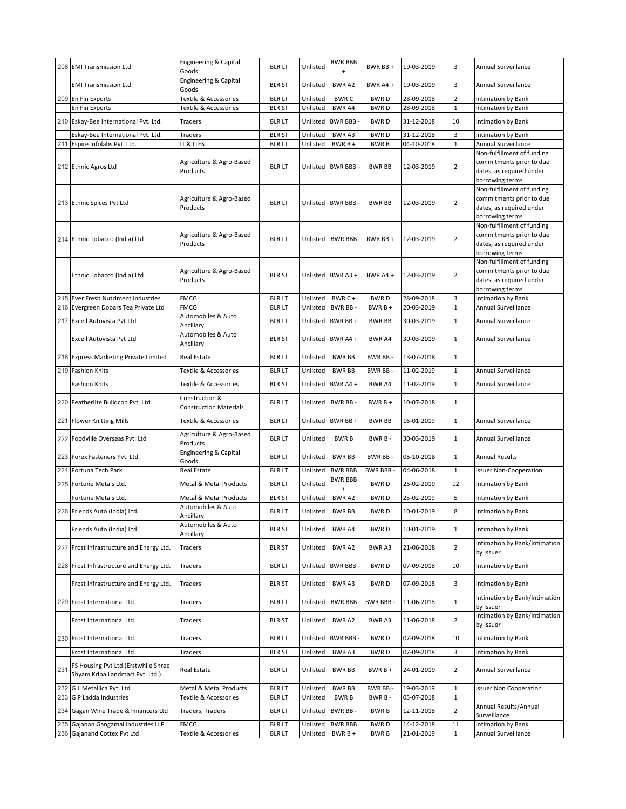|     | 208 EMI Transmission Ltd                                               | Engineering & Capital<br>Goods            | <b>BLR LT</b>                 | Unlisted             | <b>BWR BBB</b><br>$\begin{array}{c} + \end{array}$ | BWR BB +                   | 19-03-2019               | 3                  | Annual Surveillance                                                                                   |
|-----|------------------------------------------------------------------------|-------------------------------------------|-------------------------------|----------------------|----------------------------------------------------|----------------------------|--------------------------|--------------------|-------------------------------------------------------------------------------------------------------|
|     | <b>EMI Transmission Ltd</b>                                            | Engineering & Capital<br>Goods            | <b>BLR ST</b>                 | Unlisted             | <b>BWRA2</b>                                       | BWR A4+                    | 19-03-2019               | 3                  | Annual Surveillance                                                                                   |
|     | 209 En Fin Exports                                                     | Textile & Accessories                     | <b>BLRLT</b>                  | Unlisted             | <b>BWRC</b>                                        | <b>BWRD</b>                | 28-09-2018               | $\overline{2}$     | Intimation by Bank                                                                                    |
|     | En Fin Exports                                                         | Textile & Accessories                     | <b>BLR ST</b>                 | Unlisted             | BWR A4                                             | <b>BWRD</b>                | 28-09-2018               | $1\,$              | Intimation by Bank                                                                                    |
|     | 210 Eskay-Bee International Pvt. Ltd.                                  | Traders                                   | <b>BLR LT</b>                 | Unlisted             | <b>BWR BBB</b>                                     | <b>BWRD</b>                | 31-12-2018               | 10                 | Intimation by Bank                                                                                    |
|     | Eskay-Bee International Pvt. Ltd.                                      | Traders                                   | <b>BLR ST</b>                 | Unlisted             | BWR A3                                             | <b>BWRD</b>                | 31-12-2018               | 3                  | Intimation by Bank                                                                                    |
|     | 211 Espire Infolabs Pvt. Ltd.                                          | IT & ITES                                 | <b>BLRLT</b>                  | Unlisted             | BWR B +                                            | <b>BWRB</b>                | 04-10-2018               | $\mathbf{1}$       | Annual Surveillance<br>Non-fulfillment of funding                                                     |
|     | 212 Ethnic Agros Ltd                                                   | Agriculture & Agro-Based<br>Products      | <b>BLR LT</b>                 | Unlisted             | <b>BWR BBB</b>                                     | <b>BWR BB</b>              | 12-03-2019               | $\overline{2}$     | commitments prior to due<br>dates, as required under<br>borrowing terms                               |
|     | 213 Ethnic Spices Pvt Ltd                                              | Agriculture & Agro-Based<br>Products      | <b>BLR LT</b>                 |                      | Unlisted BWR BBB                                   | <b>BWR BB</b>              | 12-03-2019               | $\overline{2}$     | Non-fulfillment of funding<br>commitments prior to due<br>dates, as required under<br>borrowing terms |
|     | 214 Ethnic Tobacco (India) Ltd                                         | Agriculture & Agro-Based<br>Products      | <b>BLR LT</b>                 | Unlisted             | <b>BWR BBB</b>                                     | BWR BB+                    | 12-03-2019               | $\overline{2}$     | Non-fulfillment of funding<br>commitments prior to due<br>dates, as required under<br>borrowing terms |
|     | Ethnic Tobacco (India) Ltd                                             | Agriculture & Agro-Based<br>Products      | <b>BLR ST</b>                 |                      | Unlisted BWR A3 +                                  | BWR A4 +                   | 12-03-2019               | $\overline{2}$     | Non-fulfillment of funding<br>commitments prior to due<br>dates, as required under<br>borrowing terms |
|     | 215 Ever Fresh Nutriment Industries                                    | <b>FMCG</b>                               | <b>BLR LT</b>                 | Unlisted             | BWR C+                                             | <b>BWRD</b>                | 28-09-2018               | 3                  | <b>Intimation by Bank</b>                                                                             |
|     | 216 Evergreen Dooars Tea Private Ltd                                   | <b>FMCG</b>                               | <b>BLR LT</b>                 | Unlisted             | BWR BB-                                            | BWR B +                    | 20-03-2019               | $\mathbf{1}$       | Annual Surveillance                                                                                   |
|     | 217 Excell Autovista Pvt Ltd                                           | Automobiles & Auto<br>Ancillary           | <b>BLR LT</b>                 | Unlisted             | BWR BB+                                            | <b>BWR BB</b>              | 30-03-2019               | $\mathbf{1}$       | Annual Surveillance                                                                                   |
|     | Excell Autovista Pvt Ltd                                               | Automobiles & Auto<br>Ancillary           | <b>BLR ST</b>                 | Unlisted             | BWR A4+                                            | BWR A4                     | 30-03-2019               | 1                  | Annual Surveillance                                                                                   |
|     | 218 Express Marketing Private Limited                                  | Real Estate                               | <b>BLR LT</b>                 | Unlisted             | <b>BWR BB</b>                                      | BWR BB-                    | 13-07-2018               | $\mathbf{1}$       |                                                                                                       |
|     | 219 Fashion Knits                                                      | Textile & Accessories                     | <b>BLRLT</b>                  | Unlisted             | <b>BWR BB</b>                                      | BWR BB-                    | 11-02-2019               | $\mathbf{1}$       | Annual Surveillance                                                                                   |
|     | <b>Fashion Knits</b>                                                   | Textile & Accessories                     | <b>BLR ST</b>                 | Unlisted             | BWR A4+                                            | BWR A4                     | 11-02-2019               | $\mathbf{1}$       | Annual Surveillance                                                                                   |
|     | 220 Featherlite Buildcon Pvt. Ltd                                      | Construction &<br>Construction Materials  | <b>BLR LT</b>                 | Unlisted             | <b>BWR BB</b>                                      | $BWRB +$                   | 10-07-2018               | $\mathbf{1}$       |                                                                                                       |
|     | 221 Flower Knitting Mills                                              | Textile & Accessories                     | <b>BLR LT</b>                 | Unlisted             | BWR BB+                                            | <b>BWR BB</b>              | 16-01-2019               | $\mathbf{1}$       | Annual Surveillance                                                                                   |
|     | 222 Foodville Overseas Pvt. Ltd                                        | Agriculture & Agro-Based<br>Products      | <b>BLR LT</b>                 | Unlisted             | <b>BWRB</b>                                        | BWR B-                     | 30-03-2019               | $\mathbf{1}$       | Annual Surveillance                                                                                   |
|     | 223 Forex Fasteners Pvt. Ltd.                                          | Engineering & Capital<br>Goods            | <b>BLR LT</b>                 | Unlisted             | <b>BWR BB</b>                                      | BWR BB-                    | 05-10-2018               | $\mathbf{1}$       | <b>Annual Results</b>                                                                                 |
|     | 224 Fortuna Tech Park                                                  | Real Estate                               | <b>BLR LT</b>                 | Unlisted             | <b>BWR BBB</b>                                     | <b>BWR BBB-</b>            | 04-06-2018               | $\mathbf{1}$       | <b>Issuer Non-Cooperation</b>                                                                         |
|     | 225 Fortune Metals Ltd.                                                | Metal & Metal Products                    | <b>BLR LT</b>                 | Unlisted             | BWR BBB<br>$\begin{array}{c} + \end{array}$        | <b>BWRD</b>                | 25-02-2019               | 12                 | <b>Intimation by Bank</b>                                                                             |
|     | Fortune Metals Ltd.                                                    | Metal & Metal Products                    | <b>BLR ST</b>                 | Unlisted             | BWR A2                                             | <b>BWRD</b>                | 25-02-2019               | 5                  | <b>Intimation by Bank</b>                                                                             |
|     | 226 Friends Auto (India) Ltd.                                          | Automobiles & Auto<br>Ancillary           | <b>BLR LT</b>                 | Unlisted             | <b>BWR BB</b>                                      | <b>BWRD</b>                | 10-01-2019               | 8                  | Intimation by Bank                                                                                    |
|     | Friends Auto (India) Ltd.                                              | Automobiles & Auto<br>Ancillary           | <b>BLR ST</b>                 | Unlisted             | BWR A4                                             | <b>BWRD</b>                | 10-01-2019               | $\mathbf{1}$       | Intimation by Bank                                                                                    |
|     | 227 Frost Infrastructure and Energy Ltd.                               | Traders                                   | <b>BLR ST</b>                 | Unlisted             | BWR A2                                             | BWR A3                     | 21-06-2018               | $\overline{2}$     | Intimation by Bank/Intimation<br>by Issuer                                                            |
|     | 228 Frost Infrastructure and Energy Ltd.                               | Traders                                   | <b>BLR LT</b>                 | Unlisted             | <b>BWR BBB</b>                                     | BWR D                      | 07-09-2018               | 10                 | Intimation by Bank                                                                                    |
|     | Frost Infrastructure and Energy Ltd.                                   | Traders                                   | <b>BLR ST</b>                 | Unlisted             | BWR A3                                             | BWR D                      | 07-09-2018               | 3                  | Intimation by Bank                                                                                    |
|     | 229 Frost International Ltd.                                           | Traders                                   | <b>BLR LT</b>                 | Unlisted             | <b>BWR BBB</b>                                     | BWR BBB-                   | 11-06-2018               | $\mathbf{1}$       | Intimation by Bank/Intimation<br>by Issuer                                                            |
|     | Frost International Ltd.                                               | Traders                                   | <b>BLR ST</b>                 | Unlisted             | BWR A2                                             | BWR A3                     | 11-06-2018               | $\overline{2}$     | Intimation by Bank/Intimation<br>by Issuer                                                            |
|     | 230 Frost International Ltd.                                           | Traders                                   | <b>BLR LT</b>                 | Unlisted             | <b>BWR BBB</b>                                     | <b>BWRD</b>                | 07-09-2018               | 10                 | Intimation by Bank                                                                                    |
|     | Frost International Ltd.                                               | Traders                                   | <b>BLR ST</b>                 | Unlisted             | BWR A3                                             | <b>BWRD</b>                | 07-09-2018               | 3                  | Intimation by Bank                                                                                    |
| 231 | FS Housing Pvt Ltd (Erstwhile Shree<br>Shyam Kripa Landmart Pvt. Ltd.) | Real Estate                               | <b>BLR LT</b>                 | Unlisted             | <b>BWR BB</b>                                      | $BWRB+$                    | 24-01-2019               | $\overline{2}$     | Annual Surveillance                                                                                   |
|     | 232 G L Metallica Pvt. Ltd                                             | Metal & Metal Products                    | <b>BLR LT</b>                 | Unlisted             | <b>BWR BB</b>                                      | BWR BB-                    | 19-03-2019               | 1                  | <b>Issuer Non Cooperation</b>                                                                         |
|     | 233 G P Ladda Industries<br>234 Gagan Wine Trade & Financers Ltd       | Textile & Accessories<br>Traders, Traders | BLR LT<br><b>BLR LT</b>       | Unlisted<br>Unlisted | BWR B<br>BWR BB-                                   | BWR B -<br><b>BWRB</b>     | 05-07-2018<br>12-11-2018 | $\mathbf{1}$<br>2  | Annual Results/Annual                                                                                 |
|     |                                                                        |                                           |                               |                      |                                                    |                            |                          |                    | Surveillance                                                                                          |
|     | 235 Gajanan Gangamai Industries LLP<br>236 Gajanand Cottex Pvt Ltd     | <b>FMCG</b><br>Textile & Accessories      | <b>BLR LT</b><br><b>BLRLT</b> | Unlisted<br>Unlisted | <b>BWR BBB</b><br>$BWRB +$                         | <b>BWRD</b><br><b>BWRB</b> | 14-12-2018<br>21-01-2019 | 11<br>$\mathbf{1}$ | Intimation by Bank<br>Annual Surveillance                                                             |
|     |                                                                        |                                           |                               |                      |                                                    |                            |                          |                    |                                                                                                       |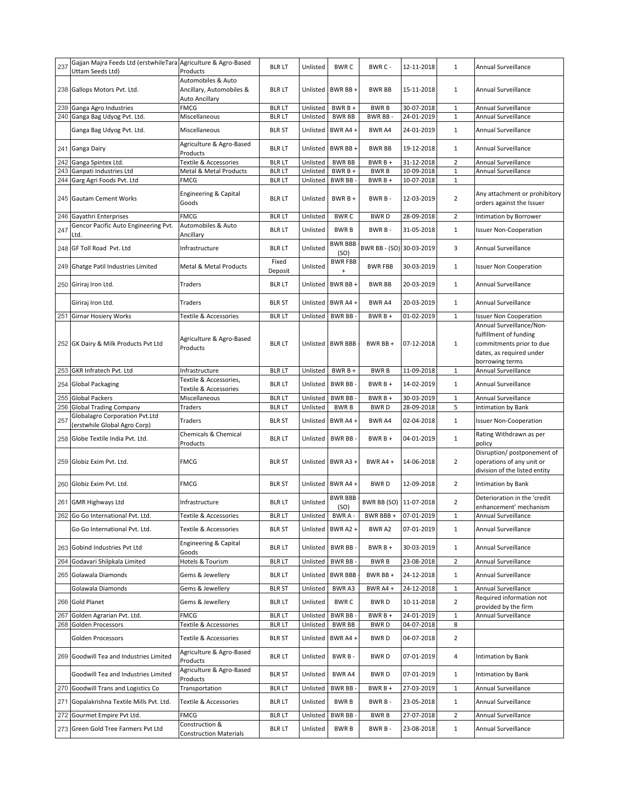| 237 | Gajjan Majra Feeds Ltd (erstwhileTara Agriculture & Agro-Based<br>Uttam Seeds Ltd) | Products                                                         | <b>BLR LT</b>                  | Unlisted             | <b>BWRC</b>              | BWR C -                  | 12-11-2018               | $\mathbf{1}$                   | Annual Surveillance                                                                       |
|-----|------------------------------------------------------------------------------------|------------------------------------------------------------------|--------------------------------|----------------------|--------------------------|--------------------------|--------------------------|--------------------------------|-------------------------------------------------------------------------------------------|
|     | 238 Gallops Motors Pvt. Ltd.                                                       | Automobiles & Auto<br>Ancillary, Automobiles &<br>Auto Ancillary | <b>BLR LT</b>                  |                      | Unlisted BWR BB +        | <b>BWR BB</b>            | 15-11-2018               | $\mathbf{1}$                   | Annual Surveillance                                                                       |
| 239 | Ganga Agro Industries                                                              | <b>FMCG</b>                                                      | <b>BLR LT</b>                  | Unlisted             | BWR B +                  | <b>BWRB</b>              | 30-07-2018               | $\mathbf{1}$                   | Annual Surveillance                                                                       |
|     | 240 Ganga Bag Udyog Pvt. Ltd.                                                      | Miscellaneous                                                    | <b>BLRLT</b>                   | Unlisted             | <b>BWR BB</b>            | BWR BB-                  | 24-01-2019               | $\mathbf{1}$                   | Annual Surveillance                                                                       |
|     | Ganga Bag Udyog Pvt. Ltd.                                                          | Miscellaneous                                                    | <b>BLR ST</b>                  | Unlisted             | BWR A4 +                 | BWR A4                   | 24-01-2019               | $\mathbf{1}$                   | Annual Surveillance                                                                       |
|     | 241 Ganga Dairy                                                                    | Agriculture & Agro-Based<br>Products                             | <b>BLR LT</b>                  |                      | Unlisted BWR BB +        | <b>BWR BB</b>            | 19-12-2018               | 1                              | Annual Surveillance                                                                       |
| 242 | Ganga Spintex Ltd.                                                                 | Textile & Accessories                                            | <b>BLRLT</b>                   | Unlisted             | <b>BWR BB</b>            | BWR B +                  | 31-12-2018               | $\overline{2}$                 | <b>Annual Surveillance</b>                                                                |
| 243 | Ganpati Industries Ltd                                                             | Metal & Metal Products                                           | <b>BLR LT</b>                  | Unlisted             | BWR B +                  | <b>BWRB</b>              | 10-09-2018               | $\mathbf{1}$                   | Annual Surveillance                                                                       |
|     | 244 Garg Agri Foods Pvt. Ltd<br>245 Gautam Cement Works                            | <b>FMCG</b><br>Engineering & Capital<br>Goods                    | <b>BLR LT</b><br><b>BLR LT</b> | Unlisted<br>Unlisted | <b>BWR BB</b><br>BWR B + | $BWRB +$<br>BWR B-       | 10-07-2018<br>12-03-2019 | $\mathbf{1}$<br>$\overline{2}$ | Any attachment or prohibitory<br>orders against the Issuer                                |
| 246 | Gayathri Enterprises                                                               | <b>FMCG</b>                                                      | <b>BLR LT</b>                  | Unlisted             | <b>BWRC</b>              | <b>BWRD</b>              | 28-09-2018               | $\overline{2}$                 | Intimation by Borrower                                                                    |
| 247 | Gencor Pacific Auto Engineering Pvt.                                               | Automobiles & Auto                                               | <b>BLR LT</b>                  | Unlisted             | <b>BWRB</b>              | BWR B-                   | 31-05-2018               | $\mathbf{1}$                   | <b>Issuer Non-Cooperation</b>                                                             |
| 248 | Ltd.<br>GF Toll Road Pvt. Ltd                                                      | Ancillary<br>Infrastructure                                      | BLR LT                         | Unlisted             | <b>BWR BBB</b>           | BWR BB - (SO) 30-03-2019 |                          | 3                              | Annual Surveillance                                                                       |
|     |                                                                                    |                                                                  | Fixed                          |                      | (SO)<br><b>BWR FBB</b>   |                          |                          |                                |                                                                                           |
|     | 249 Ghatge Patil Industries Limited                                                | Metal & Metal Products                                           | Deposit                        | Unlisted             | $\ddot{}$                | <b>BWR FBB</b>           | 30-03-2019               | $\mathbf{1}$                   | <b>Issuer Non Cooperation</b>                                                             |
|     | 250 Giriraj Iron Ltd.                                                              | Traders                                                          | <b>BLRLT</b>                   | Unlisted             | BWR BB +                 | <b>BWR BB</b>            | 20-03-2019               | $\mathbf{1}$                   | Annual Surveillance                                                                       |
|     | Giriraj Iron Ltd.                                                                  | Traders                                                          | <b>BLR ST</b>                  | Unlisted             | BWR A4+                  | BWR A4                   | 20-03-2019               | $\mathbf{1}$                   | Annual Surveillance                                                                       |
| 251 | <b>Girnar Hosiery Works</b>                                                        | <b>Textile &amp; Accessories</b><br>Agriculture & Agro-Based     | <b>BLR LT</b>                  | Unlisted             | BWR BB                   | $BWRB +$                 | 01-02-2019               | $\mathbf{1}$                   | <b>Issuer Non Cooperation</b><br>Annual Surveillance/Non-<br>fulfillment of funding       |
|     | 252 GK Dairy & Milk Products Pvt Ltd                                               | Products                                                         | <b>BLR LT</b>                  |                      | Unlisted BWR BBB         | BWR BB+                  | 07-12-2018               | $\mathbf{1}$                   | commitments prior to due<br>dates, as required under<br>borrowing terms                   |
| 253 | GKR Infratech Pvt. Ltd                                                             | Infrastructure                                                   | <b>BLR LT</b>                  | Unlisted             | $BWRB +$                 | <b>BWRB</b>              | 11-09-2018               | $1\,$                          | Annual Surveillance                                                                       |
| 254 | <b>Global Packaging</b>                                                            | Textile & Accessories,<br>Textile & Accessories                  | <b>BLR LT</b>                  | Unlisted             | BWR BB-                  | $BWRB +$                 | 14-02-2019               | $\mathbf{1}$                   | Annual Surveillance                                                                       |
|     |                                                                                    |                                                                  |                                |                      |                          |                          |                          |                                |                                                                                           |
| 255 | <b>Global Packers</b>                                                              | Miscellaneous                                                    | <b>BLRLT</b>                   | Unlisted             | BWR BB-                  | BWR B +                  | 30-03-2019               | $\mathbf{1}$                   | Annual Surveillance                                                                       |
| 256 | <b>Global Trading Company</b>                                                      | Traders                                                          | <b>BLR LT</b>                  | Unlisted             | <b>BWRB</b>              | <b>BWRD</b>              | 28-09-2018               | 5                              | Intimation by Bank                                                                        |
| 257 | Globalagro Corporation Pvt.Ltd<br>(erstwhile Global Agro Corp)                     | Traders                                                          | <b>BLR ST</b>                  | Unlisted             | BWR A4 +                 | BWR A4                   | 02-04-2018               | $\mathbf{1}$                   | <b>Issuer Non-Cooperation</b>                                                             |
| 258 | Globe Textile India Pvt. Ltd.                                                      | Chemicals & Chemical<br>Products                                 | <b>BLR LT</b>                  | Unlisted             | BWR BB-                  | $BWRB +$                 | 04-01-2019               | $\mathbf{1}$                   | Rating Withdrawn as per<br>policy                                                         |
|     | 259 Globiz Exim Pvt. Ltd.                                                          | <b>FMCG</b>                                                      | <b>BLR ST</b>                  |                      | Unlisted BWR A3 +        | BWR A4 +                 | 14-06-2018               | $\overline{2}$                 | Disruption/ postponement of<br>operations of any unit or<br>division of the listed entity |
| 260 | Globiz Exim Pvt. Ltd.                                                              | <b>FMCG</b>                                                      | BLR ST                         |                      | Unlisted BWR A4 +        | <b>BWRD</b>              | 12-09-2018               | $\overline{2}$                 | Intimation by Bank                                                                        |
|     | 261 GMR Highways Ltd                                                               | Infrastructure                                                   | <b>BLR LT</b>                  | Unlisted             | <b>BWR BBB</b><br>(SO)   | BWR BB (SO) 11-07-2018   |                          | $\overline{2}$                 | Deterioration in the 'credit<br>enhancement' mechanism                                    |
|     | 262 Go Go International Pvt. Ltd.                                                  | Fextile & Accessories                                            | blr lt                         | Unlisted BWR A -     |                          | BWR BBB +                | 07-01-2019               | 1                              | Annual Surveillance                                                                       |
|     | Go Go International Pvt. Ltd.                                                      | Textile & Accessories                                            | <b>BLR ST</b>                  | Unlisted             | <b>BWR A2 +</b>          | BWR A2                   | 07-01-2019               | 1                              | Annual Surveillance                                                                       |
|     | 263 Gobind Industries Pvt Ltd                                                      | Engineering & Capital<br>Goods                                   | <b>BLR LT</b>                  | Unlisted             | BWR BB-                  | $BWRB+$                  | 30-03-2019               | $\mathbf{1}$                   | Annual Surveillance                                                                       |
| 264 | Godavari Shilpkala Limited                                                         | Hotels & Tourism                                                 | <b>BLRLT</b>                   | Unlisted             | BWR BB-                  | <b>BWRB</b>              | 23-08-2018               | $\overline{2}$                 | Annual Surveillance                                                                       |
|     | 265 Golawala Diamonds                                                              | Gems & Jewellery                                                 | <b>BLR LT</b>                  | Unlisted             | <b>BWR BBB</b>           | BWR BB+                  | 24-12-2018               | $\mathbf{1}$                   | Annual Surveillance                                                                       |
|     | Golawala Diamonds                                                                  | Gems & Jewellery                                                 | <b>BLR ST</b>                  | Unlisted             | BWR A3                   | BWR A4 +                 | 24-12-2018               | $\mathbf{1}$                   | Annual Surveillance                                                                       |
| 266 | <b>Gold Planet</b>                                                                 | Gems & Jewellery                                                 | <b>BLR LT</b>                  | Unlisted             | <b>BWRC</b>              | BWR D                    | 10-11-2018               | $\overline{2}$                 | Required information not<br>provided by the firm                                          |
| 267 | Golden Agrarian Pvt. Ltd.                                                          | <b>FMCG</b>                                                      | <b>BLRLT</b>                   | Unlisted             | <b>BWR BB</b>            | BWR B +                  | 24-01-2019               | $\mathbf{1}$                   | Annual Surveillance                                                                       |
|     | 268 Golden Processors                                                              | Textile & Accessories                                            | <b>BLR LT</b>                  | Unlisted             | <b>BWR BB</b>            | <b>BWRD</b>              | 04-07-2018               | 8                              |                                                                                           |
|     | Golden Processors                                                                  | Textile & Accessories                                            | <b>BLR ST</b>                  | Unlisted             | BWR A4 +                 | <b>BWRD</b>              | 04-07-2018               | $\overline{2}$                 |                                                                                           |
|     | 269 Goodwill Tea and Industries Limited                                            | Agriculture & Agro-Based<br>Products                             | <b>BLR LT</b>                  | Unlisted             | BWR B-                   | <b>BWRD</b>              | 07-01-2019               | 4                              | Intimation by Bank                                                                        |
|     | Goodwill Tea and Industries Limited                                                | Agriculture & Agro-Based<br>Products                             | <b>BLR ST</b>                  | Unlisted             | BWR A4                   | <b>BWRD</b>              | 07-01-2019               | $\mathbf{1}$                   | Intimation by Bank                                                                        |
| 270 | Goodwill Trans and Logistics Co                                                    | Transportation                                                   | <b>BLRLT</b>                   | Unlisted             | <b>BWR BB</b>            | BWR B +                  | 27-03-2019               | $\mathbf{1}$                   | Annual Surveillance                                                                       |
| 271 | Gopalakrishna Textile Mills Pvt. Ltd.                                              | Textile & Accessories                                            | BLR LT                         | Unlisted             | <b>BWRB</b>              | BWR B-                   | 23-05-2018               | $\mathbf{1}$                   | Annual Surveillance                                                                       |
| 272 | Gourmet Empire Pvt Ltd.                                                            | <b>FMCG</b><br>Construction &                                    | <b>BLR LT</b>                  | Unlisted             | <b>BWR BB</b>            | <b>BWRB</b>              | 27-07-2018               | $\overline{2}$                 | Annual Surveillance                                                                       |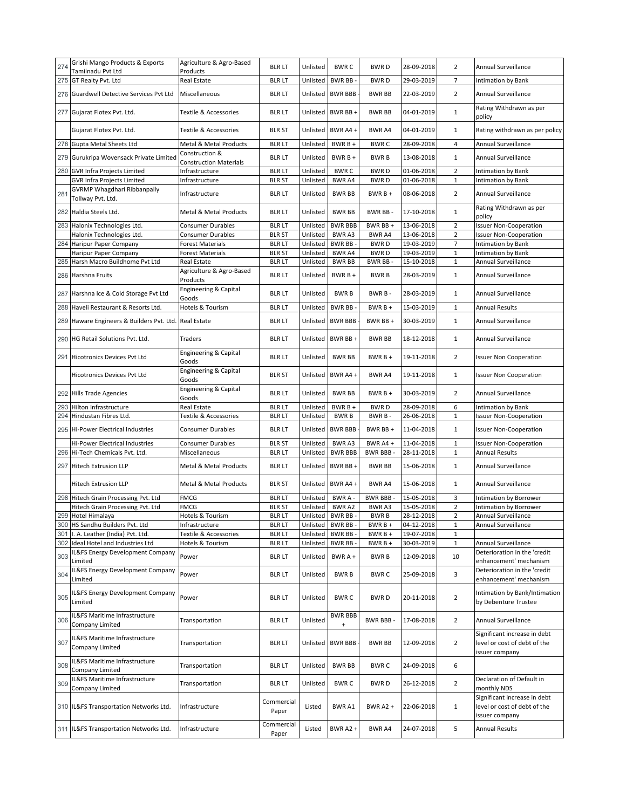| 274 | Grishi Mango Products & Exports                                   | Agriculture & Agro-Based                        | <b>BLR LT</b>                 | Unlisted             | <b>BWRC</b>                                        | <b>BWRD</b>         | 28-09-2018               | $\overline{2}$        | Annual Surveillance                                                            |
|-----|-------------------------------------------------------------------|-------------------------------------------------|-------------------------------|----------------------|----------------------------------------------------|---------------------|--------------------------|-----------------------|--------------------------------------------------------------------------------|
|     | Tamilnadu Pvt Ltd<br>275 GT Realty Pvt. Ltd                       | Products<br>Real Estate                         | <b>BLR LT</b>                 | Unlisted             | <b>BWR BB</b>                                      | <b>BWRD</b>         | 29-03-2019               | $\overline{7}$        | Intimation by Bank                                                             |
|     | 276 Guardwell Detective Services Pvt Ltd                          | Miscellaneous                                   | <b>BLR LT</b>                 | Unlisted             | <b>BWR BBB</b>                                     | <b>BWR BB</b>       | 22-03-2019               | $\overline{2}$        | Annual Surveillance                                                            |
|     | 277 Gujarat Flotex Pvt. Ltd.                                      | Textile & Accessories                           | <b>BLR LT</b>                 | Unlisted             | BWR BB+                                            | <b>BWR BB</b>       | 04-01-2019               | $\mathbf{1}$          | Rating Withdrawn as per<br>policy                                              |
|     | Gujarat Flotex Pvt. Ltd.                                          | Textile & Accessories                           | <b>BLR ST</b>                 | Unlisted             | BWR A4+                                            | BWR A4              | 04-01-2019               | $\mathbf{1}$          | Rating withdrawn as per policy                                                 |
|     | 278 Gupta Metal Sheets Ltd                                        | Metal & Metal Products                          | <b>BLRLT</b>                  | Unlisted             | BWR B +                                            | <b>BWRC</b>         | 28-09-2018               | 4                     | Annual Surveillance                                                            |
|     | 279 Gurukripa Wovensack Private Limited                           | Construction &<br><b>Construction Materials</b> | <b>BLR LT</b>                 | Unlisted             | BWR B +                                            | <b>BWRB</b>         | 13-08-2018               | $\mathbf{1}$          | Annual Surveillance                                                            |
|     | 280 GVR Infra Projects Limited                                    | Infrastructure                                  | <b>BLR LT</b>                 | Unlisted             | <b>BWRC</b>                                        | <b>BWRD</b>         | 01-06-2018               | $\overline{2}$        | Intimation by Bank                                                             |
|     | GVR Infra Projects Limited                                        | Infrastructure                                  | <b>BLR ST</b>                 | Unlisted             | BWR A4                                             | <b>BWRD</b>         | 01-06-2018               | $\mathbf 1$           | Intimation by Bank                                                             |
| 281 | GVRMP Whagdhari Ribbanpally<br>Tollway Pvt. Ltd.                  | Infrastructure                                  | <b>BLR LT</b>                 | Unlisted             | <b>BWR BB</b>                                      | $BWRB +$            | 08-06-2018               | $\overline{2}$        | Annual Surveillance                                                            |
|     | 282 Haldia Steels Ltd.                                            | Metal & Metal Products                          | <b>BLRLT</b>                  | Unlisted             | <b>BWR BB</b>                                      | BWR BB-             | 17-10-2018               | $\mathbf{1}$          | Rating Withdrawn as per<br>policy                                              |
|     | 283 Halonix Technologies Ltd.                                     | Consumer Durables                               | <b>BLRLT</b>                  | Unlisted             | <b>BWR BBB</b>                                     | BWR BB +            | 13-06-2018               | $\overline{2}$        | <b>Issuer Non-Cooperation</b>                                                  |
|     | Halonix Technologies Ltd.                                         | Consumer Durables                               | <b>BLR ST</b>                 | Unlisted             | BWR A3                                             | BWR A4              | 13-06-2018               | $\overline{2}$        | <b>Issuer Non-Cooperation</b>                                                  |
|     | 284 Haripur Paper Company                                         | Forest Materials                                | <b>BLR LT</b>                 | Unlisted             | BWR BB-                                            | <b>BWRD</b>         | 19-03-2019               | $\overline{7}$        | Intimation by Bank                                                             |
|     | Haripur Paper Company                                             | <b>Forest Materials</b>                         | <b>BLR ST</b>                 | Unlisted             | BWR A4                                             | <b>BWRD</b>         | 19-03-2019               | $1\,$                 | Intimation by Bank                                                             |
|     | 285 Harsh Macro Buildhome Pvt Ltd                                 | Real Estate                                     | <b>BLRLT</b>                  | Unlisted             | <b>BWR BB</b>                                      | BWR BB-             | 15-10-2018               | $\mathbf 1$           | Annual Surveillance                                                            |
|     | 286 Harshna Fruits                                                | Agriculture & Agro-Based<br>Products            | <b>BLR LT</b>                 | Unlisted             | $BWRB +$                                           | <b>BWRB</b>         | 28-03-2019               | $\mathbf{1}$          | Annual Surveillance                                                            |
|     | 287 Harshna Ice & Cold Storage Pvt Ltd                            | Engineering & Capital<br>Goods                  | <b>BLR LT</b>                 | Unlisted             | <b>BWRB</b>                                        | BWR B-              | 28-03-2019               | $\mathbf{1}$          | Annual Surveillance                                                            |
|     | 288 Haveli Restaurant & Resorts Ltd.                              | Hotels & Tourism                                | <b>BLRLT</b>                  | Unlisted             | <b>BWR BB</b>                                      | $BWRB +$            | 15-03-2019               | $\mathbf{1}$          | <b>Annual Results</b>                                                          |
|     | 289 Haware Engineers & Builders Pvt. Ltd.                         | Real Estate                                     | <b>BLR LT</b>                 | Unlisted             | <b>BWR BBB</b>                                     | BWR BB +            | 30-03-2019               | $\mathbf{1}$          | Annual Surveillance                                                            |
|     | 290 HG Retail Solutions Pvt. Ltd.                                 | Traders                                         | <b>BLRLT</b>                  | Unlisted             | BWR BB+                                            | <b>BWR BB</b>       | 18-12-2018               | $\mathbf{1}$          | Annual Surveillance                                                            |
|     | 291 Hicotronics Devices Pvt Ltd                                   | Engineering & Capital<br>Goods                  | <b>BLR LT</b>                 | Unlisted             | <b>BWR BB</b>                                      | $BWRB +$            | 19-11-2018               | $\overline{2}$        | <b>Issuer Non Cooperation</b>                                                  |
|     | <b>Hicotronics Devices Pvt Ltd</b>                                | Engineering & Capital<br>Goods                  | <b>BLR ST</b>                 | Unlisted             | BWR A4 +                                           | BWR A4              | 19-11-2018               | $\mathbf{1}$          | <b>Issuer Non Cooperation</b>                                                  |
|     | 292 Hills Trade Agencies                                          | Engineering & Capital                           | <b>BLR LT</b>                 |                      |                                                    |                     |                          |                       |                                                                                |
|     |                                                                   | Goods                                           |                               | Unlisted             | <b>BWR BB</b>                                      | $BWRB+$             | 30-03-2019               | $\overline{2}$        | Annual Surveillance                                                            |
| 293 | Hilton Infrastructure                                             | Real Estate                                     | <b>BLR LT</b>                 | Unlisted             | BWR B +                                            | <b>BWRD</b>         | 28-09-2018               | 6                     | Intimation by Bank                                                             |
|     | 294 Hindustan Fibres Ltd.                                         | Textile & Accessories                           | <b>BLRLT</b>                  | Unlisted             | <b>BWRB</b>                                        | BWR B-              | 26-06-2018               | $\mathbf{1}$          | <b>Issuer Non-Cooperation</b>                                                  |
|     | 295 Hi-Power Electrical Industries                                | Consumer Durables                               | <b>BLR LT</b>                 | Unlisted             | <b>BWR BBB</b>                                     | BWR BB +            | 11-04-2018               | $\mathbf{1}$          | <b>Issuer Non-Cooperation</b>                                                  |
|     | Hi-Power Electrical Industries<br>296 Hi-Tech Chemicals Pvt. Ltd. | Consumer Durables<br>Miscellaneous              | <b>BLR ST</b><br><b>BLRLT</b> | Unlisted<br>Unlisted | <b>BWRA3</b><br><b>BWR BBB</b>                     | BWR A4+<br>BWR BBB- | 11-04-2018<br>28-11-2018 | $1\,$<br>$\mathbf{1}$ | <b>Issuer Non-Cooperation</b><br><b>Annual Results</b>                         |
|     | 297 Hitech Extrusion LLP                                          | Metal & Metal Products                          | <b>BLR LT</b>                 | Unlisted             | BWR BB +                                           | <b>BWR BB</b>       | 15-06-2018               | $\mathbf{1}$          | Annual Surveillance                                                            |
|     | <b>Hitech Extrusion LLP</b>                                       | Metal & Metal Products                          | <b>BLR ST</b>                 | Unlisted             | BWR A4 +                                           | BWR A4              | 15-06-2018               | $\mathbf{1}$          | Annual Surveillance                                                            |
|     | 298 Hitech Grain Processing Pvt. Ltd                              | <b>FMCG</b>                                     | BLR LT                        | Unlisted             | BWR A -                                            | <b>BWR BBB-</b>     | 15-05-2018               | 3                     | Intimation by Borrower                                                         |
|     | Hitech Grain Processing Pvt. Ltd                                  | <b>FMCG</b>                                     | <b>BLR ST</b>                 | Unlisted             | BWR A2                                             | BWR A3              | 15-05-2018               | $\overline{2}$        | Intimation by Borrower                                                         |
|     | 299 Hotel Himalaya                                                | Hotels & Tourism                                | blr lt                        |                      | Unlisted   BWR BB -                                | BWR B               | 28-12-2018               | 2                     | Annual Surveillance                                                            |
|     | 300 HS Sandhu Builders Pvt. Ltd                                   | Infrastructure                                  | <b>BLR LT</b>                 | Unlisted             | BWR BB-                                            | $BWRB +$            | 04-12-2018               | 1                     | Annual Surveillance                                                            |
|     | 301 I. A. Leather (India) Pvt. Ltd.                               | Textile & Accessories                           | <b>BLR LT</b>                 | Unlisted             | <b>BWR BB</b>                                      | $BWRB +$            | 19-07-2018               | $\mathbf{1}$          |                                                                                |
|     | 302 Ideal Hotel and Industries Ltd                                | Hotels & Tourism                                | <b>BLR LT</b>                 | Unlisted             | BWR BB                                             | BWR B +             | 30-03-2019               | $\mathbf{1}$          | Annual Surveillance                                                            |
| 303 | IL&FS Energy Development Company<br>Limited                       | Power                                           | <b>BLR LT</b>                 | Unlisted             | BWR A +                                            | <b>BWRB</b>         | 12-09-2018               | 10                    | Deterioration in the 'credit<br>enhancement' mechanism                         |
| 304 | IL&FS Energy Development Company<br>Limited                       | Power                                           | <b>BLR LT</b>                 | Unlisted             | <b>BWRB</b>                                        | <b>BWRC</b>         | 25-09-2018               | 3                     | Deterioration in the 'credit<br>enhancement' mechanism                         |
| 305 | IL&FS Energy Development Company<br>Limited                       | Power                                           | <b>BLR LT</b>                 | Unlisted             | <b>BWRC</b>                                        | <b>BWRD</b>         | 20-11-2018               | $\overline{2}$        | Intimation by Bank/Intimation<br>by Debenture Trustee                          |
| 306 | IL&FS Maritime Infrastructure<br>Company Limited                  | Transportation                                  | <b>BLR LT</b>                 | Unlisted             | <b>BWR BBB</b><br>$\begin{array}{c} + \end{array}$ | BWR BBB -           | 17-08-2018               | $\overline{2}$        | Annual Surveillance                                                            |
| 307 | IL&FS Maritime Infrastructure<br>Company Limited                  | Transportation                                  | <b>BLR LT</b>                 | Unlisted             | <b>BWR BBB</b>                                     | <b>BWR BB</b>       | 12-09-2018               | $\overline{2}$        | Significant increase in debt<br>level or cost of debt of the<br>issuer company |
| 308 | IL&FS Maritime Infrastructure<br>Company Limited                  | Transportation                                  | <b>BLR LT</b>                 | Unlisted             | <b>BWR BB</b>                                      | <b>BWRC</b>         | 24-09-2018               | 6                     |                                                                                |
| 309 | IL&FS Maritime Infrastructure<br>Company Limited                  | Transportation                                  | <b>BLR LT</b>                 | Unlisted             | <b>BWRC</b>                                        | <b>BWRD</b>         | 26-12-2018               | $\overline{2}$        | Declaration of Default in<br>monthly NDS                                       |
|     | 310 IL&FS Transportation Networks Ltd.                            | Infrastructure                                  | Commercial<br>Paper           | Listed               | <b>BWRA1</b>                                       | <b>BWR A2 +</b>     | 22-06-2018               | $\mathbf{1}$          | Significant increase in debt<br>level or cost of debt of the<br>issuer company |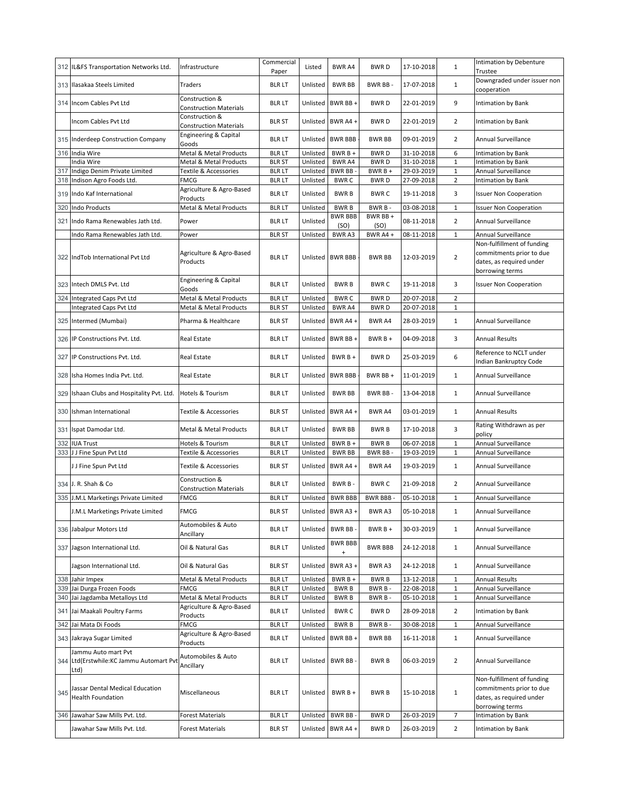|     | 312 IL&FS Transportation Networks Ltd.                                 | Infrastructure                                  | Commercial<br>Paper | Listed   | <b>BWRA4</b>                | <b>BWRD</b>     | 17-10-2018 | $\mathbf{1}$   | Intimation by Debenture<br>Trustee                                                                    |
|-----|------------------------------------------------------------------------|-------------------------------------------------|---------------------|----------|-----------------------------|-----------------|------------|----------------|-------------------------------------------------------------------------------------------------------|
| 313 | Ilasakaa Steels Limited                                                | Traders                                         | <b>BLR LT</b>       | Unlisted | <b>BWR BB</b>               | BWR BB-         | 17-07-2018 | $\mathbf{1}$   | Downgraded under issuer non<br>cooperation                                                            |
|     | 314 Incom Cables Pvt Ltd                                               | Construction &<br><b>Construction Materials</b> | <b>BLR LT</b>       | Unlisted | BWR BB +                    | <b>BWRD</b>     | 22-01-2019 | 9              | Intimation by Bank                                                                                    |
|     | Incom Cables Pvt Ltd                                                   | Construction &<br><b>Construction Materials</b> | <b>BLR ST</b>       | Unlisted | BWR A4+                     | <b>BWRD</b>     | 22-01-2019 | $\overline{2}$ | Intimation by Bank                                                                                    |
| 315 | Inderdeep Construction Company                                         | Engineering & Capital<br>Goods                  | <b>BLR LT</b>       | Unlisted | <b>BWR BBB</b>              | <b>BWR BB</b>   | 09-01-2019 | $\overline{2}$ | Annual Surveillance                                                                                   |
| 316 | India Wire                                                             | Metal & Metal Products                          | <b>BLR LT</b>       | Unlisted | $BWRB +$                    | <b>BWRD</b>     | 31-10-2018 | 6              | Intimation by Bank                                                                                    |
|     | India Wire                                                             | Metal & Metal Products                          | <b>BLR ST</b>       | Unlisted | <b>BWRA4</b>                | <b>BWRD</b>     | 31-10-2018 | $\mathbf 1$    | Intimation by Bank                                                                                    |
| 317 | Indigo Denim Private Limited                                           | Textile & Accessories                           | <b>BLRLT</b>        | Unlisted | <b>BWR BB</b>               | BWR B +         | 29-03-2019 | $\mathbf{1}$   | Annual Surveillance                                                                                   |
| 318 | Indison Agro Foods Ltd.                                                | <b>FMCG</b>                                     | <b>BLR LT</b>       | Unlisted | <b>BWRC</b>                 | <b>BWRD</b>     | 27-09-2018 | $\overline{2}$ | <b>Intimation by Bank</b>                                                                             |
| 319 | Indo Kaf International                                                 | Agriculture & Agro-Based<br>Products            | <b>BLR LT</b>       | Unlisted | <b>BWRB</b>                 | <b>BWRC</b>     | 19-11-2018 | 3              | <b>Issuer Non Cooperation</b>                                                                         |
| 320 | <b>Indo Products</b>                                                   | Metal & Metal Products                          | <b>BLRLT</b>        | Unlisted | <b>BWRB</b>                 | BWR B-          | 03-08-2018 | $\mathbf{1}$   | <b>Issuer Non Cooperation</b>                                                                         |
| 321 | Indo Rama Renewables Jath Ltd.                                         | Power                                           | <b>BLR LT</b>       | Unlisted | <b>BWR BBB</b><br>(SO)      | BWR BB+<br>(SO) | 08-11-2018 | $\overline{2}$ | Annual Surveillance                                                                                   |
|     | Indo Rama Renewables Jath Ltd.                                         | Power                                           | <b>BLR ST</b>       | Unlisted | BWR A3                      | BWR A4 +        | 08-11-2018 | 1              | Annual Surveillance                                                                                   |
|     | 322 IndTob International Pvt Ltd                                       | Agriculture & Agro-Based<br>Products            | <b>BLR LT</b>       |          | Unlisted BWR BBB            | <b>BWR BB</b>   | 12-03-2019 | $\overline{2}$ | Non-fulfillment of funding<br>commitments prior to due<br>dates, as required under<br>borrowing terms |
|     | 323 Intech DMLS Pvt. Ltd                                               | Engineering & Capital<br>Goods                  | <b>BLR LT</b>       | Unlisted | <b>BWRB</b>                 | <b>BWRC</b>     | 19-11-2018 | 3              | <b>Issuer Non Cooperation</b>                                                                         |
|     | 324 Integrated Caps Pvt Ltd                                            | Metal & Metal Products                          | <b>BLR LT</b>       | Unlisted | <b>BWRC</b>                 | <b>BWRD</b>     | 20-07-2018 | $\overline{2}$ |                                                                                                       |
|     | Integrated Caps Pvt Ltd                                                | Metal & Metal Products                          | <b>BLR ST</b>       | Unlisted | BWR A4                      | <b>BWRD</b>     | 20-07-2018 | $\mathbf{1}$   |                                                                                                       |
| 325 | Intermed (Mumbai)                                                      | Pharma & Healthcare                             | <b>BLR ST</b>       | Unlisted | BWR A4+                     | BWR A4          | 28-03-2019 | $\mathbf{1}$   | <b>Annual Surveillance</b>                                                                            |
| 326 | IP Constructions Pvt. Ltd.                                             | Real Estate                                     | <b>BLR LT</b>       | Unlisted | BWR BB+                     | $BWRB+$         | 04-09-2018 | 3              | <b>Annual Results</b>                                                                                 |
| 327 | IP Constructions Pvt. Ltd.                                             | Real Estate                                     | <b>BLR LT</b>       | Unlisted | $BWRB +$                    | <b>BWRD</b>     | 25-03-2019 | 6              | Reference to NCLT under<br>Indian Bankruptcy Code                                                     |
| 328 | Isha Homes India Pvt. Ltd.                                             | Real Estate                                     | <b>BLR LT</b>       | Unlisted | <b>BWR BBB</b>              | BWR BB +        | 11-01-2019 | $\mathbf{1}$   | Annual Surveillance                                                                                   |
| 329 | Ishaan Clubs and Hospitality Pvt. Ltd.                                 | <b>Hotels &amp; Tourism</b>                     | <b>BLR LT</b>       | Unlisted | <b>BWR BB</b>               | BWR BB-         | 13-04-2018 | 1              | Annual Surveillance                                                                                   |
| 330 | Ishman International                                                   | Textile & Accessories                           | <b>BLR ST</b>       | Unlisted | BWR A4+                     | BWR A4          | 03-01-2019 | $\mathbf{1}$   | Annual Results                                                                                        |
| 331 | Ispat Damodar Ltd.                                                     | Metal & Metal Products                          | <b>BLR LT</b>       | Unlisted | <b>BWR BB</b>               | <b>BWRB</b>     | 17-10-2018 | 3              | Rating Withdrawn as per<br>policy                                                                     |
| 332 | <b>IUA Trust</b>                                                       | Hotels & Tourism                                | <b>BLR LT</b>       | Unlisted | BWR B +                     | <b>BWRB</b>     | 06-07-2018 | $1\,$          | Annual Surveillance                                                                                   |
| 333 | J J Fine Spun Pvt Ltd                                                  | Textile & Accessories                           | <b>BLRLT</b>        | Unlisted | <b>BWR BB</b>               | BWR BB-         | 19-03-2019 | $\mathbf 1$    | Annual Surveillance                                                                                   |
|     | JJ Fine Spun Pvt Ltd                                                   | Textile & Accessories                           | <b>BLR ST</b>       | Unlisted | BWR A4+                     | BWR A4          | 19-03-2019 | $\mathbf{1}$   | Annual Surveillance                                                                                   |
|     | 334 J. R. Shah & Co                                                    | Construction &<br><b>Construction Materials</b> | <b>BLR LT</b>       | Unlisted | BWR B-                      | <b>BWRC</b>     | 21-09-2018 | $\overline{2}$ | Annual Surveillance                                                                                   |
| 335 | J.M.L Marketings Private Limited                                       | <b>FMCG</b>                                     | <b>BLR LT</b>       | Unlisted | <b>BWR BBB</b>              | <b>BWR BBB-</b> | 05-10-2018 | $\mathbf{1}$   | Annual Surveillance                                                                                   |
|     | M.L Marketings Private Limited.                                        | <b>FMCG</b>                                     | BLR ST              |          | Unlisted BWR A3 +           | BWR A3          | 05-10-2018 | 1              | Annual Surveillance                                                                                   |
|     | 336 Jabalpur Motors Ltd                                                | Automobiles & Auto<br>Ancillary                 | <b>BLR LT</b>       | Unlisted | BWR BB-                     | $BWRB+$         | 30-03-2019 | 1              | Annual Surveillance                                                                                   |
| 337 | Jagson International Ltd.                                              | Oil & Natural Gas                               | <b>BLRLT</b>        | Unlisted | <b>BWR BBB</b><br>$\ddot{}$ | <b>BWR BBB</b>  | 24-12-2018 | $\mathbf{1}$   | Annual Surveillance                                                                                   |
|     | Jagson International Ltd.                                              | Oil & Natural Gas                               | <b>BLR ST</b>       | Unlisted | BWR A3+                     | BWR A3          | 24-12-2018 | $\mathbf{1}$   | Annual Surveillance                                                                                   |
|     | 338 Jahir Impex                                                        | Metal & Metal Products                          | <b>BLR LT</b>       | Unlisted | $BWRB +$                    | <b>BWRB</b>     | 13-12-2018 | 1              | <b>Annual Results</b>                                                                                 |
|     | 339 Jai Durga Frozen Foods                                             | FMCG                                            | <b>BLRLT</b>        | Unlisted | <b>BWRB</b>                 | BWR B-          | 22-08-2018 | 1              | Annual Surveillance                                                                                   |
| 340 | Jai Jagdamba Metalloys Ltd                                             | Metal & Metal Products                          | <b>BLR LT</b>       | Unlisted | <b>BWRB</b>                 | BWR B-          | 05-10-2018 | $\mathbf{1}$   | Annual Surveillance                                                                                   |
|     | 341 Jai Maakali Poultry Farms                                          | Agriculture & Agro-Based<br>Products            | <b>BLR LT</b>       | Unlisted | <b>BWRC</b>                 | <b>BWRD</b>     | 28-09-2018 | $\overline{2}$ | Intimation by Bank                                                                                    |
|     | 342 Jai Mata Di Foods                                                  | <b>FMCG</b>                                     | <b>BLR LT</b>       | Unlisted | <b>BWRB</b>                 | BWR B-          | 30-08-2018 | 1              | Annual Surveillance                                                                                   |
|     | 343 Jakraya Sugar Limited                                              | Agriculture & Agro-Based<br>Products            | <b>BLR LT</b>       | Unlisted | BWR BB+                     | <b>BWR BB</b>   | 16-11-2018 | $\mathbf{1}$   | Annual Surveillance                                                                                   |
|     | Jammu Auto mart Pvt<br>344 Ltd(Erstwhile:KC Jammu Automart Pvt<br>Ltd) | Automobiles & Auto<br>Ancillary                 | <b>BLR LT</b>       | Unlisted | BWR BB-                     | <b>BWRB</b>     | 06-03-2019 | $\overline{2}$ | Annual Surveillance                                                                                   |
| 345 | Jassar Dental Medical Education<br>Health Foundation                   | Miscellaneous                                   | <b>BLRLT</b>        | Unlisted | $BWRB +$                    | <b>BWRB</b>     | 15-10-2018 | $\mathbf 1$    | Non-fulfillment of funding<br>commitments prior to due<br>dates, as required under<br>borrowing terms |
|     | 346 Jawahar Saw Mills Pvt. Ltd.                                        | <b>Forest Materials</b>                         | <b>BLRLT</b>        | Unlisted | BWR BB-                     | <b>BWRD</b>     | 26-03-2019 | $\overline{7}$ | Intimation by Bank                                                                                    |
|     | Jawahar Saw Mills Pvt. Ltd.                                            | <b>Forest Materials</b>                         | <b>BLR ST</b>       |          | Unlisted BWR A4 +           | <b>BWRD</b>     | 26-03-2019 | $\overline{2}$ | Intimation by Bank                                                                                    |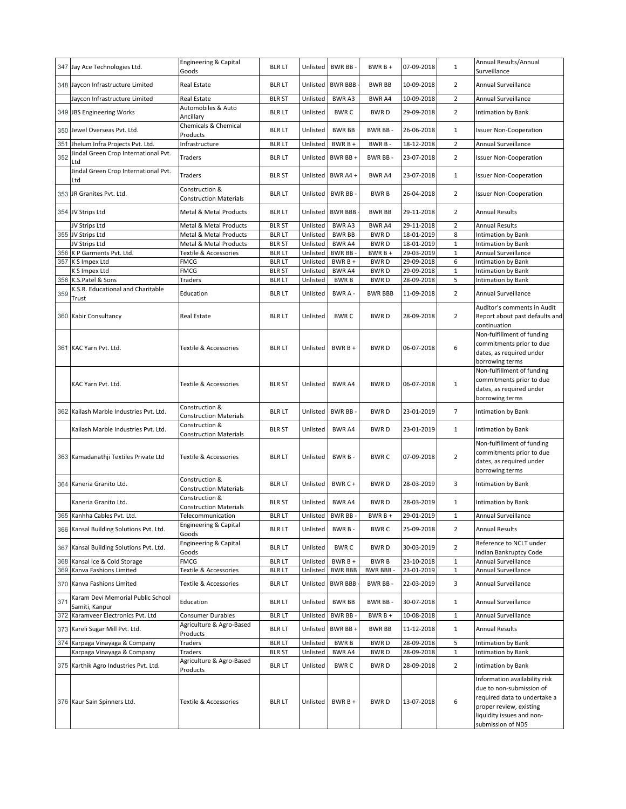|     | 347 Jay Ace Technologies Ltd.               | Engineering & Capital<br>Goods                  | <b>BLR LT</b> |          | Unlisted BWR BB -   | $BWRB +$        | 07-09-2018 | $\mathbf{1}$   | Annual Results/Annual<br>Surveillance |
|-----|---------------------------------------------|-------------------------------------------------|---------------|----------|---------------------|-----------------|------------|----------------|---------------------------------------|
|     | 348 Jaycon Infrastructure Limited           | Real Estate                                     | <b>BLR LT</b> | Unlisted | <b>BWR BBB</b>      | <b>BWR BB</b>   | 10-09-2018 | $\overline{2}$ | Annual Surveillance                   |
|     | laycon Infrastructure Limited               | Real Estate                                     | <b>BLR ST</b> | Unlisted | BWR A3              | BWR A4          | 10-09-2018 | $\overline{2}$ | Annual Surveillance                   |
|     |                                             | Automobiles & Auto                              |               |          |                     |                 |            |                |                                       |
|     | 349 JBS Engineering Works                   | Ancillary                                       | <b>BLR LT</b> | Unlisted | <b>BWRC</b>         | <b>BWRD</b>     | 29-09-2018 | $\overline{2}$ | Intimation by Bank                    |
|     | 350 Jewel Overseas Pvt. Ltd.                | Chemicals & Chemical<br>Products                | <b>BLR LT</b> | Unlisted | <b>BWR BB</b>       | BWR BB-         | 26-06-2018 | $\mathbf{1}$   | <b>Issuer Non-Cooperation</b>         |
| 351 | Jhelum Infra Projects Pvt. Ltd.             | Infrastructure                                  | <b>BLR LT</b> | Unlisted | BWR B +             | BWR B-          | 18-12-2018 | $\overline{2}$ | Annual Surveillance                   |
|     | Jindal Green Crop International Pvt.        |                                                 |               |          |                     |                 |            |                |                                       |
| 352 | Ltd                                         | Traders                                         | <b>BLR LT</b> | Unlisted | BWR BB+             | BWR BB-         | 23-07-2018 | $\overline{2}$ | <b>Issuer Non-Cooperation</b>         |
|     | Jindal Green Crop International Pvt.<br>Ltd | Traders                                         | <b>BLR ST</b> |          | Unlisted BWR A4 +   | <b>BWR A4</b>   | 23-07-2018 | $\mathbf{1}$   | <b>Issuer Non-Cooperation</b>         |
|     |                                             | Construction &                                  |               |          |                     |                 |            |                |                                       |
|     | 353 JR Granites Pvt. Ltd.                   | <b>Construction Materials</b>                   | <b>BLR LT</b> | Unlisted | BWR BB-             | <b>BWRB</b>     | 26-04-2018 | $\overline{2}$ | <b>Issuer Non-Cooperation</b>         |
|     | 354 JV Strips Ltd                           | Metal & Metal Products                          | <b>BLR LT</b> | Unlisted | <b>BWR BBB</b>      | <b>BWR BB</b>   | 29-11-2018 | $\overline{2}$ | Annual Results                        |
|     | JV Strips Ltd                               | Metal & Metal Products                          | <b>BLR ST</b> | Unlisted | BWR A3              | BWR A4          | 29-11-2018 | $\overline{2}$ | <b>Annual Results</b>                 |
|     | 355 JV Strips Ltd                           | Metal & Metal Products                          | <b>BLR LT</b> | Unlisted | <b>BWR BB</b>       | <b>BWRD</b>     | 18-01-2019 | 8              | Intimation by Bank                    |
|     | JV Strips Ltd                               | Metal & Metal Products                          | <b>BLR ST</b> | Unlisted | <b>BWRA4</b>        | <b>BWRD</b>     | 18-01-2019 | $\mathbf 1$    | Intimation by Bank                    |
| 356 | K P Garments Pvt. Ltd.                      | Textile & Accessories                           | <b>BLR LT</b> | Unlisted | <b>BWR BB</b>       | BWR B +         | 29-03-2019 | $\mathbf 1$    | Annual Surveillance                   |
| 357 | K S Impex Ltd                               | <b>FMCG</b>                                     | <b>BLR LT</b> | Unlisted | BWR B +             | <b>BWRD</b>     | 29-09-2018 | 6              | Intimation by Bank                    |
|     | K S Impex Ltd                               | <b>FMCG</b>                                     | <b>BLR ST</b> | Unlisted | BWR A4              | <b>BWRD</b>     | 29-09-2018 | $1\,$          | Intimation by Bank                    |
|     | 358 K.S.Patel & Sons                        | Traders                                         | <b>BLRLT</b>  | Unlisted | <b>BWRB</b>         | <b>BWRD</b>     | 28-09-2018 | 5              | Intimation by Bank                    |
|     | K.S.R. Educational and Charitable           |                                                 |               |          |                     |                 |            |                |                                       |
| 359 | Trust                                       | Education                                       | <b>BLR LT</b> | Unlisted | BWR A -             | <b>BWR BBB</b>  | 11-09-2018 | $\overline{2}$ | Annual Surveillance                   |
|     |                                             |                                                 |               |          |                     |                 |            |                | Auditor's comments in Audit           |
|     | 360 Kabir Consultancy                       | <b>Real Estate</b>                              | <b>BLR LT</b> | Unlisted | <b>BWRC</b>         | BWR D           | 28-09-2018 | $\overline{2}$ | Report about past defaults and        |
|     |                                             |                                                 |               |          |                     |                 |            |                | continuation                          |
|     |                                             |                                                 |               |          |                     |                 |            |                | Non-fulfillment of funding            |
|     | 361 KAC Yarn Pvt. Ltd.                      | Textile & Accessories                           | <b>BLR LT</b> | Unlisted | $BWRB +$            | <b>BWRD</b>     | 06-07-2018 | 6              | commitments prior to due              |
|     |                                             |                                                 |               |          |                     |                 |            |                | dates, as required under              |
|     |                                             |                                                 |               |          |                     |                 |            |                | borrowing terms                       |
|     |                                             |                                                 |               |          |                     |                 |            |                | Non-fulfillment of funding            |
|     |                                             |                                                 |               |          |                     |                 |            |                | commitments prior to due              |
|     | KAC Yarn Pvt. Ltd.                          | Textile & Accessories                           | <b>BLR ST</b> | Unlisted | <b>BWR A4</b>       | <b>BWRD</b>     | 06-07-2018 | $1\,$          | dates, as required under              |
|     |                                             |                                                 |               |          |                     |                 |            |                | borrowing terms                       |
|     | 362 Kailash Marble Industries Pvt. Ltd.     | Construction &                                  | <b>BLR LT</b> | Unlisted | BWR BB-             | <b>BWRD</b>     | 23-01-2019 | $\overline{7}$ | Intimation by Bank                    |
|     |                                             | <b>Construction Materials</b>                   |               |          |                     |                 |            |                |                                       |
|     | Kailash Marble Industries Pvt. Ltd.         | Construction &<br><b>Construction Materials</b> | <b>BLR ST</b> | Unlisted | <b>BWR A4</b>       | BWR D           | 23-01-2019 | $\mathbf{1}$   | Intimation by Bank                    |
|     |                                             |                                                 |               |          |                     |                 |            |                | Non-fulfillment of funding            |
|     |                                             |                                                 |               |          |                     |                 |            |                | commitments prior to due              |
|     | 363 Kamadanathji Textiles Private Ltd       | Textile & Accessories                           | <b>BLR LT</b> | Unlisted | BWR B-              | <b>BWRC</b>     | 07-09-2018 | $\overline{2}$ | dates, as required under              |
|     |                                             |                                                 |               |          |                     |                 |            |                | borrowing terms                       |
|     |                                             | Construction &                                  |               |          |                     |                 |            |                |                                       |
|     | 364 Kaneria Granito Ltd.                    | <b>Construction Materials</b>                   | <b>BLR LT</b> | Unlisted | BWR C+              | <b>BWRD</b>     | 28-03-2019 | 3              | Intimation by Bank                    |
|     | Kaneria Granito Ltd.                        | Construction &                                  | BLR ST        | Unlisted | BWR A4              | <b>BWRD</b>     | 28-03-2019 | $\mathbf{1}$   | Intimation by Bank                    |
|     |                                             | <b>Construction Materials</b>                   |               |          |                     |                 |            |                |                                       |
|     | 365 Kanhha Cables Pvt. Ltd.                 | Telecommunication                               | blr lt        |          | Unlisted   BWR BB - | BWR B +         | 29-01-2019 | 1              | Annual Surveillance                   |
|     | 366 Kansal Building Solutions Pvt. Ltd.     | Engineering & Capital<br>Goods                  | <b>BLR LT</b> | Unlisted | BWR B-              | <b>BWRC</b>     | 25-09-2018 | $\overline{2}$ | <b>Annual Results</b>                 |
|     | 367 Kansal Building Solutions Pvt. Ltd.     | Engineering & Capital                           | <b>BLR LT</b> | Unlisted | <b>BWRC</b>         | <b>BWRD</b>     | 30-03-2019 | $\overline{2}$ | Reference to NCLT under               |
|     |                                             | Goods                                           |               |          |                     |                 |            |                | Indian Bankruptcy Code                |
|     | 368 Kansal Ice & Cold Storage               | <b>FMCG</b>                                     | <b>BLR LT</b> | Unlisted | BWR B +             | <b>BWRB</b>     | 23-10-2018 | $\mathbf{1}$   | Annual Surveillance                   |
|     | 369 Kanva Fashions Limited                  | Textile & Accessories                           | <b>BLRLT</b>  | Unlisted | <b>BWR BBB</b>      | <b>BWR BBB-</b> | 23-01-2019 | $\mathbf{1}$   | Annual Surveillance                   |
|     | 370 Kanva Fashions Limited                  | Textile & Accessories                           | <b>BLRLT</b>  |          | Unlisted BWR BBB    | BWR BB-         | 22-03-2019 | 3              | Annual Surveillance                   |
| 371 | Karam Devi Memorial Public School           |                                                 |               |          |                     |                 |            |                | Annual Surveillance                   |
|     | Samiti, Kanpur                              | Education                                       | <b>BLR LT</b> | Unlisted | <b>BWR BB</b>       | BWR BB-         | 30-07-2018 | $\mathbf{1}$   |                                       |
|     | 372 Karamveer Electronics Pvt. Ltd          | Consumer Durables                               | <b>BLR LT</b> | Unlisted | BWR BB-             | $BWRB +$        | 10-08-2018 | $\mathbf{1}$   | Annual Surveillance                   |
|     | 373 Kareli Sugar Mill Pvt. Ltd.             | Agriculture & Agro-Based<br>Products            | <b>BLR LT</b> | Unlisted | BWR BB+             | <b>BWR BB</b>   | 11-12-2018 | $\mathbf{1}$   | <b>Annual Results</b>                 |
|     | 374 Karpaga Vinayaga & Company              | Traders                                         | <b>BLR LT</b> | Unlisted | <b>BWRB</b>         | <b>BWRD</b>     | 28-09-2018 | 5              | Intimation by Bank                    |
|     | Karpaga Vinayaga & Company                  | Traders                                         | <b>BLR ST</b> | Unlisted | BWR A4              | <b>BWRD</b>     | 28-09-2018 | $\mathbf 1$    | Intimation by Bank                    |
|     | 375 Karthik Agro Industries Pvt. Ltd.       | Agriculture & Agro-Based                        | <b>BLR LT</b> | Unlisted | <b>BWRC</b>         | <b>BWRD</b>     | 28-09-2018 | $\overline{2}$ | Intimation by Bank                    |
|     |                                             | Products                                        |               |          |                     |                 |            |                |                                       |
|     |                                             |                                                 |               |          |                     |                 |            |                | Information availability risk         |
|     |                                             |                                                 |               |          |                     |                 |            |                | due to non-submission of              |
|     | 376 Kaur Sain Spinners Ltd.                 | Textile & Accessories                           | <b>BLRLT</b>  | Unlisted | $BWRB +$            | <b>BWRD</b>     | 13-07-2018 | 6              | required data to undertake a          |
|     |                                             |                                                 |               |          |                     |                 |            |                | proper review, existing               |
|     |                                             |                                                 |               |          |                     |                 |            |                | liquidity issues and non-             |
|     |                                             |                                                 |               |          |                     |                 |            |                | submission of NDS                     |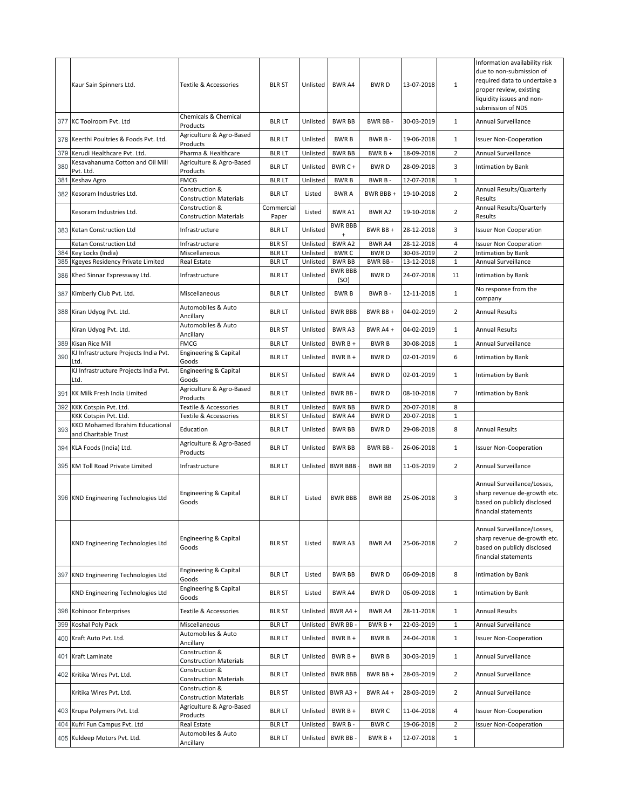|     | Kaur Sain Spinners Ltd.                                   | Textile & Accessories                           | <b>BLR ST</b>                 | Unlisted             | <b>BWR A4</b>                | <b>BWRD</b>            | 13-07-2018               | 1                             | Information availability risk<br>due to non-submission of<br>required data to undertake a<br>proper review, existing<br>liquidity issues and non-<br>submission of NDS |
|-----|-----------------------------------------------------------|-------------------------------------------------|-------------------------------|----------------------|------------------------------|------------------------|--------------------------|-------------------------------|------------------------------------------------------------------------------------------------------------------------------------------------------------------------|
| 377 | <b>KC Toolroom Pyt. Ltd</b>                               | Chemicals & Chemical<br>Products                | <b>BLR LT</b>                 | Unlisted             | <b>BWR BB</b>                | BWR BB-                | 30-03-2019               | $\mathbf{1}$                  | Annual Surveillance                                                                                                                                                    |
| 378 | Keerthi Poultries & Foods Pvt. Ltd.                       | Agriculture & Agro-Based<br>Products            | <b>BLR LT</b>                 | Unlisted             | <b>BWRB</b>                  | BWR B-                 | 19-06-2018               | 1                             | <b>Issuer Non-Cooperation</b>                                                                                                                                          |
| 379 | Kerudi Healthcare Pvt. Ltd.                               | Pharma & Healthcare                             | <b>BLR LT</b>                 | Unlisted             | <b>BWR BB</b>                | BWR B +                | 18-09-2018               | $\mathbf 2$                   | Annual Surveillance                                                                                                                                                    |
| 380 | Kesavahanuma Cotton and Oil Mill<br>Pvt. Ltd.             | Agriculture & Agro-Based<br>Products            | <b>BLR LT</b>                 | Unlisted             | BWR C+                       | <b>BWRD</b>            | 28-09-2018               | 3                             | Intimation by Bank                                                                                                                                                     |
| 381 | Keshav Agro                                               | FMCG                                            | <b>BLR LT</b>                 | Unlisted             | <b>BWRB</b>                  | BWR B-                 | 12-07-2018               | $\mathbf 1$                   |                                                                                                                                                                        |
| 382 | Kesoram Industries Ltd.                                   | Construction &<br><b>Construction Materials</b> | <b>BLR LT</b>                 | Listed               | <b>BWRA</b>                  | BWR BBB +              | 19-10-2018               | $\overline{2}$                | Annual Results/Quarterly<br>Results                                                                                                                                    |
|     | Kesoram Industries Ltd.                                   | Construction &<br><b>Construction Materials</b> | Commercial<br>Paper           | Listed               | <b>BWRA1</b>                 | BWR A2                 | 19-10-2018               | $\overline{2}$                | Annual Results/Quarterly<br>Results                                                                                                                                    |
|     | 383 Ketan Construction Ltd                                | Infrastructure                                  | <b>BLR LT</b>                 | Unlisted             | <b>BWR BBB</b><br>$\ddot{}$  | BWR BB +               | 28-12-2018               | 3                             | <b>Issuer Non Cooperation</b>                                                                                                                                          |
|     | Ketan Construction Ltd                                    | Infrastructure                                  | <b>BLR ST</b>                 | Unlisted             | BWR A2                       | BWR A4                 | 28-12-2018               | $\overline{4}$                | <b>Issuer Non Cooperation</b>                                                                                                                                          |
| 385 | 384 Key Locks (India)<br>Kgeyes Residency Private Limited | Miscellaneous<br>Real Estate                    | <b>BLRLT</b><br><b>BLR LT</b> | Unlisted<br>Unlisted | <b>BWRC</b><br><b>BWR BB</b> | <b>BWRD</b><br>BWR BB- | 30-03-2019<br>13-12-2018 | $\overline{2}$<br>$\mathbf 1$ | Intimation by Bank<br><b>Annual Surveillance</b>                                                                                                                       |
| 386 | Khed Sinnar Expressway Ltd.                               | Infrastructure                                  | <b>BLR LT</b>                 | Unlisted             | <b>BWR BBB</b><br>(SO)       | <b>BWRD</b>            | 24-07-2018               | 11                            | Intimation by Bank                                                                                                                                                     |
|     | 387 Kimberly Club Pvt. Ltd.                               | Miscellaneous                                   | <b>BLRLT</b>                  | Unlisted             | <b>BWRB</b>                  | BWR B-                 | 12-11-2018               | $\mathbf{1}$                  | No response from the<br>company                                                                                                                                        |
|     | 388 Kiran Udyog Pvt. Ltd.                                 | Automobiles & Auto<br>Ancillary                 | <b>BLR LT</b>                 | Unlisted             | <b>BWR BBB</b>               | BWR BB +               | 04-02-2019               | 2                             | <b>Annual Results</b>                                                                                                                                                  |
|     | Kiran Udyog Pvt. Ltd.                                     | Automobiles & Auto<br>Ancillary                 | <b>BLR ST</b>                 | Unlisted             | <b>BWRA3</b>                 | BWR A4 +               | 04-02-2019               | $\mathbf{1}$                  | Annual Results                                                                                                                                                         |
| 389 | Kisan Rice Mill                                           | FMCG                                            | <b>BLRLT</b>                  | Unlisted             | BWR B +                      | <b>BWRB</b>            | 30-08-2018               | 1                             | Annual Surveillance                                                                                                                                                    |
| 390 | KJ Infrastructure Projects India Pvt.<br>Ltd.             | Engineering & Capital<br>Goods                  | <b>BLR LT</b>                 | Unlisted             | $BWRB +$                     | <b>BWRD</b>            | 02-01-2019               | 6                             | Intimation by Bank                                                                                                                                                     |
|     | KJ Infrastructure Projects India Pvt.<br>Ltd.             | Engineering & Capital<br>Goods                  | <b>BLR ST</b>                 | Unlisted             | <b>BWRA4</b>                 | <b>BWRD</b>            | 02-01-2019               | 1                             | Intimation by Bank                                                                                                                                                     |
| 391 | KK Milk Fresh India Limited                               | Agriculture & Agro-Based<br>Products            | <b>BLR LT</b>                 | Unlisted             | BWR BB-                      | <b>BWRD</b>            | 08-10-2018               | $\overline{7}$                | Intimation by Bank                                                                                                                                                     |
| 392 | KKK Cotspin Pvt. Ltd.                                     | Textile & Accessories                           | <b>BLRLT</b>                  | Unlisted             | <b>BWR BB</b>                | <b>BWRD</b>            | 20-07-2018               | 8                             |                                                                                                                                                                        |
|     | KKK Cotspin Pvt. Ltd.                                     | Textile & Accessories                           | <b>BLR ST</b>                 | Unlisted             | BWR A4                       | <b>BWRD</b>            | 20-07-2018               | $\mathbf 1$                   |                                                                                                                                                                        |
| 393 | KKO Mohamed Ibrahim Educational<br>and Charitable Trust   | Education                                       | <b>BLRLT</b>                  | Unlisted             | <b>BWR BB</b>                | <b>BWRD</b>            | 29-08-2018               | 8                             | <b>Annual Results</b>                                                                                                                                                  |
|     | 394 KLA Foods (India) Ltd.                                | Agriculture & Agro-Based<br>Products            | <b>BLR LT</b>                 | Unlisted             | <b>BWR BB</b>                | BWR BB-                | 26-06-2018               | $\mathbf{1}$                  | <b>Issuer Non-Cooperation</b>                                                                                                                                          |
| 395 | <b>KM Toll Road Private Limited</b>                       | Infrastructure                                  | <b>BLR LT</b>                 |                      | Unlisted BWR BBB             | <b>BWR BB</b>          | 11-03-2019               | 2                             | Annual Surveillance                                                                                                                                                    |
|     | 396 KND Engineering Technologies Ltd                      | Engineering & Capital<br>Goods                  | <b>BLR LT</b>                 | Listed               | <b>BWR BBB</b>               | <b>BWR BB</b>          | 25-06-2018               | 3                             | Annual Surveillance/Losses,<br>sharp revenue de-growth etc.<br>based on publicly disclosed<br>financial statements                                                     |
|     | KND Engineering Technologies Ltd                          | Engineering & Capital<br>Goods                  | <b>BLR ST</b>                 | Listed               | <b>BWRA3</b>                 | <b>BWR A4</b>          | 25-06-2018               | $\overline{2}$                | Annual Surveillance/Losses,<br>sharp revenue de-growth etc.<br>based on publicly disclosed<br>financial statements                                                     |
|     | 397 KND Engineering Technologies Ltd                      | Engineering & Capital<br>Goods                  | <b>BLR LT</b>                 | Listed               | <b>BWR BB</b>                | <b>BWRD</b>            | 06-09-2018               | 8                             | Intimation by Bank                                                                                                                                                     |
|     | KND Engineering Technologies Ltd                          | Engineering & Capital<br>Goods                  | <b>BLR ST</b>                 | Listed               | <b>BWR A4</b>                | BWR D                  | 06-09-2018               | $\mathbf{1}$                  | Intimation by Bank                                                                                                                                                     |
|     | 398 Kohinoor Enterprises                                  | Textile & Accessories                           | <b>BLR ST</b>                 | Unlisted             | BWR A4+                      | BWR A4                 | 28-11-2018               | $\mathbf{1}$                  | <b>Annual Results</b>                                                                                                                                                  |
| 399 | Koshal Poly Pack                                          | Miscellaneous                                   | <b>BLRLT</b>                  | Unlisted             | BWR BB-                      | $BWRB +$               | 22-03-2019               | $\mathbf 1$                   | Annual Surveillance                                                                                                                                                    |
|     | 400 Kraft Auto Pvt. Ltd.                                  | Automobiles & Auto<br>Ancillary                 | <b>BLR LT</b>                 | Unlisted             | $BWRB +$                     | <b>BWRB</b>            | 24-04-2018               | $\mathbf{1}$                  | <b>Issuer Non-Cooperation</b>                                                                                                                                          |
|     | 401 Kraft Laminate                                        | Construction &<br><b>Construction Materials</b> | <b>BLR LT</b>                 | Unlisted             | $BWRB +$                     | <b>BWRB</b>            | 30-03-2019               | $\mathbf{1}$                  | Annual Surveillance                                                                                                                                                    |
|     | 402 Kritika Wires Pvt. Ltd.                               | Construction &<br><b>Construction Materials</b> | <b>BLR LT</b>                 | Unlisted             | <b>BWR BBB</b>               | BWR BB +               | 28-03-2019               | 2                             | Annual Surveillance                                                                                                                                                    |
|     | Kritika Wires Pvt. Ltd.                                   | Construction &<br><b>Construction Materials</b> | <b>BLR ST</b>                 | Unlisted             | BWR A3+                      | <b>BWR A4 +</b>        | 28-03-2019               | $\overline{2}$                | Annual Surveillance                                                                                                                                                    |
|     | 403 Krupa Polymers Pvt. Ltd.                              | Agriculture & Agro-Based<br>Products            | <b>BLR LT</b>                 | Unlisted             | $BWRB +$                     | <b>BWRC</b>            | 11-04-2018               | 4                             | <b>Issuer Non-Cooperation</b>                                                                                                                                          |
|     | 404 Kufri Fun Campus Pvt. Ltd                             | Real Estate                                     | <b>BLRLT</b>                  | Unlisted             | BWR B-                       | <b>BWRC</b>            | 19-06-2018               | 2                             | <b>Issuer Non-Cooperation</b>                                                                                                                                          |
|     | 405 Kuldeep Motors Pvt. Ltd.                              | Automobiles & Auto<br>Ancillary                 | <b>BLR LT</b>                 | Unlisted             | BWR BB-                      | $BWRB +$               | 12-07-2018               | $1\,$                         |                                                                                                                                                                        |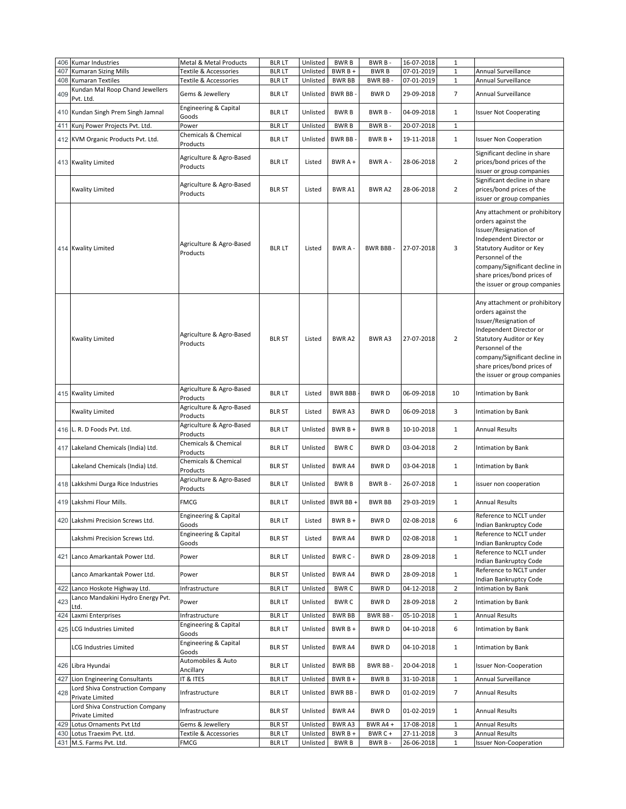|     | 406 Kumar Industries                               |                                           |               |          | <b>BWRB</b>       |                 |            | $\mathbf{1}$   |                                                                                                                                                                                                                                                           |
|-----|----------------------------------------------------|-------------------------------------------|---------------|----------|-------------------|-----------------|------------|----------------|-----------------------------------------------------------------------------------------------------------------------------------------------------------------------------------------------------------------------------------------------------------|
|     |                                                    | Metal & Metal Products                    | <b>BLR LT</b> | Unlisted |                   | BWR B-          | 16-07-2018 |                |                                                                                                                                                                                                                                                           |
| 407 | <b>Kumaran Sizing Mills</b>                        | Textile & Accessories                     | <b>BLRLT</b>  | Unlisted | BWR B +           | <b>BWRB</b>     | 07-01-2019 | $\mathbf{1}$   | Annual Surveillance                                                                                                                                                                                                                                       |
|     | 408 Kumaran Textiles                               | Textile & Accessories                     | <b>BLR LT</b> | Unlisted | <b>BWR BB</b>     | BWR BB-         | 07-01-2019 | 1              | Annual Surveillance                                                                                                                                                                                                                                       |
|     | Kundan Mal Roop Chand Jewellers                    |                                           |               |          |                   |                 |            |                |                                                                                                                                                                                                                                                           |
| 409 | Pvt. Ltd.                                          | Gems & Jewellery                          | <b>BLR LT</b> | Unlisted | <b>BWR BB</b>     | <b>BWRD</b>     | 29-09-2018 | $\overline{7}$ | Annual Surveillance                                                                                                                                                                                                                                       |
|     | 410 Kundan Singh Prem Singh Jamnal                 | Engineering & Capital<br>Goods            | <b>BLR LT</b> | Unlisted | <b>BWRB</b>       | BWR B-          | 04-09-2018 | $\mathbf{1}$   | <b>Issuer Not Cooperating</b>                                                                                                                                                                                                                             |
|     | 411 Kunj Power Projects Pvt. Ltd.                  | Power                                     | <b>BLR LT</b> | Unlisted | <b>BWRB</b>       | BWR B-          | 20-07-2018 | $\mathbf{1}$   |                                                                                                                                                                                                                                                           |
|     | 412 KVM Organic Products Pvt. Ltd.                 | Chemicals & Chemical<br>Products          | <b>BLR LT</b> | Unlisted | BWR BB-           | $BWRB +$        | 19-11-2018 | $\mathbf{1}$   | <b>Issuer Non Cooperation</b>                                                                                                                                                                                                                             |
|     | 413 Kwality Limited                                | Agriculture & Agro-Based<br>Products      | <b>BLR LT</b> | Listed   | BWR A +           | BWR A -         | 28-06-2018 | $\overline{2}$ | Significant decline in share<br>prices/bond prices of the                                                                                                                                                                                                 |
|     |                                                    |                                           |               |          |                   |                 |            |                | issuer or group companies<br>Significant decline in share                                                                                                                                                                                                 |
|     | <b>Kwality Limited</b>                             | Agriculture & Agro-Based<br>Products      | <b>BLR ST</b> | Listed   | <b>BWRA1</b>      | BWR A2          | 28-06-2018 | $\overline{2}$ | prices/bond prices of the<br>issuer or group companies                                                                                                                                                                                                    |
|     | 414 Kwality Limited                                | Agriculture & Agro-Based<br>Products      | <b>BLR LT</b> | Listed   | BWR A -           | <b>BWR BBB-</b> | 27-07-2018 | 3              | Any attachment or prohibitory<br>orders against the<br>Issuer/Resignation of<br>Independent Director or<br>Statutory Auditor or Key<br>Personnel of the<br>company/Significant decline in<br>share prices/bond prices of<br>the issuer or group companies |
|     | <b>Kwality Limited</b>                             | Agriculture & Agro-Based<br>Products      | <b>BLR ST</b> | Listed   | <b>BWRA2</b>      | BWR A3          | 27-07-2018 | $\overline{2}$ | Any attachment or prohibitory<br>orders against the<br>Issuer/Resignation of<br>Independent Director or<br>Statutory Auditor or Key<br>Personnel of the<br>company/Significant decline in<br>share prices/bond prices of<br>the issuer or group companies |
|     | 415 Kwality Limited                                | Agriculture & Agro-Based<br>Products      | <b>BLR LT</b> | Listed   | <b>BWR BBB</b>    | <b>BWRD</b>     | 06-09-2018 | 10             | Intimation by Bank                                                                                                                                                                                                                                        |
|     | <b>Kwality Limited</b>                             | Agriculture & Agro-Based<br>Products      | <b>BLR ST</b> | Listed   | <b>BWRA3</b>      | <b>BWRD</b>     | 06-09-2018 | 3              | Intimation by Bank                                                                                                                                                                                                                                        |
|     | 416 L. R. D Foods Pvt. Ltd.                        | Agriculture & Agro-Based<br>Products      | <b>BLR LT</b> | Unlisted | $BWRB +$          | <b>BWRB</b>     | 10-10-2018 | $\mathbf{1}$   | Annual Results                                                                                                                                                                                                                                            |
|     | 417 Lakeland Chemicals (India) Ltd.                | Chemicals & Chemical<br>Products          | <b>BLR LT</b> | Unlisted | <b>BWRC</b>       | BWR D           | 03-04-2018 | $\overline{2}$ | Intimation by Bank                                                                                                                                                                                                                                        |
|     | Lakeland Chemicals (India) Ltd.                    | Chemicals & Chemical<br>Products          | <b>BLR ST</b> | Unlisted | BWR A4            | <b>BWRD</b>     | 03-04-2018 | $\mathbf{1}$   | <b>Intimation by Bank</b>                                                                                                                                                                                                                                 |
|     | 418 Lakkshmi Durga Rice Industries                 | Agriculture & Agro-Based<br>Products      | <b>BLR LT</b> | Unlisted | <b>BWRB</b>       | BWR B-          | 26-07-2018 | $\mathbf{1}$   | issuer non cooperation                                                                                                                                                                                                                                    |
|     | 419 Lakshmi Flour Mills.                           | <b>FMCG</b>                               | <b>BLRLT</b>  |          | Unlisted BWR BB + | <b>BWR BB</b>   | 29-03-2019 | $\mathbf{1}$   | <b>Annual Results</b>                                                                                                                                                                                                                                     |
|     | 420 Lakshmi Precision Screws Ltd.                  | Engineering & Capital<br>Goods            | <b>BLR LT</b> | Listed   | BWR B +           | <b>BWRD</b>     | 02-08-2018 | 6              | Reference to NCLT under<br>Indian Bankruptcy Code                                                                                                                                                                                                         |
|     | Lakshmi Precision Screws Ltd.                      | Engineering & Capital<br>Goods            | <b>BLR ST</b> | Listed   | <b>BWRA4</b>      | <b>BWRD</b>     | 02-08-2018 | $\mathbf{1}$   | Reference to NCLT under<br>Indian Bankruptcy Code                                                                                                                                                                                                         |
|     | 421 Lanco Amarkantak Power Ltd.                    | Power                                     | <b>BLR LT</b> | Unlisted | BWR C -           | <b>BWRD</b>     | 28-09-2018 | $\mathbf{1}$   | Reference to NCLT under<br>Indian Bankruptcy Code                                                                                                                                                                                                         |
|     | Lanco Amarkantak Power Ltd.                        | Power                                     | <b>BLR ST</b> | Unlisted | <b>BWR A4</b>     | <b>BWRD</b>     | 28-09-2018 | 1              | Reference to NCLT under<br>Indian Bankruptcy Code                                                                                                                                                                                                         |
|     | 422 Lanco Hoskote Highway Ltd.                     | Infrastructure                            | <b>BLRLT</b>  | Unlisted | <b>BWRC</b>       | <b>BWRD</b>     | 04-12-2018 | $\overline{2}$ | Intimation by Bank                                                                                                                                                                                                                                        |
|     | Lanco Mandakini Hydro Energy Pvt.                  |                                           |               |          |                   |                 |            |                |                                                                                                                                                                                                                                                           |
| 423 | Ltd.                                               | Power                                     | <b>BLR LT</b> | Unlisted | <b>BWRC</b>       | <b>BWRD</b>     | 28-09-2018 | $\overline{2}$ | Intimation by Bank                                                                                                                                                                                                                                        |
|     | 424 Laxmi Enterprises                              | Infrastructure                            | <b>BLR LT</b> | Unlisted | <b>BWR BB</b>     | BWR BB-         | 05-10-2018 | $\mathbf{1}$   | <b>Annual Results</b>                                                                                                                                                                                                                                     |
|     | 425 LCG Industries Limited                         | Engineering & Capital<br>Goods            | <b>BLR LT</b> | Unlisted | BWR B +           | <b>BWRD</b>     | 04-10-2018 | 6              | Intimation by Bank                                                                                                                                                                                                                                        |
|     | LCG Industries Limited                             | <b>Engineering &amp; Capital</b><br>Goods | <b>BLR ST</b> | Unlisted | BWR A4            | <b>BWRD</b>     | 04-10-2018 | $\mathbf{1}$   | Intimation by Bank                                                                                                                                                                                                                                        |
|     | 426 Libra Hyundai                                  | Automobiles & Auto<br>Ancillary           | <b>BLR LT</b> | Unlisted | <b>BWR BB</b>     | BWR BB-         | 20-04-2018 | $\mathbf{1}$   | <b>Issuer Non-Cooperation</b>                                                                                                                                                                                                                             |
|     | 427 Lion Engineering Consultants                   | IT & ITES                                 | <b>BLRLT</b>  | Unlisted | BWR B +           | <b>BWRB</b>     | 31-10-2018 | $\mathbf{1}$   | Annual Surveillance                                                                                                                                                                                                                                       |
| 428 | Lord Shiva Construction Company                    | Infrastructure                            | <b>BLR LT</b> | Unlisted | BWR BB-           | <b>BWRD</b>     | 01-02-2019 | $\overline{7}$ | <b>Annual Results</b>                                                                                                                                                                                                                                     |
|     | Private Limited<br>Lord Shiva Construction Company | Infrastructure                            | <b>BLR ST</b> | Unlisted | BWR A4            | <b>BWRD</b>     | 01-02-2019 | $\mathbf{1}$   | <b>Annual Results</b>                                                                                                                                                                                                                                     |
|     | Private Limited                                    |                                           |               |          |                   |                 |            |                |                                                                                                                                                                                                                                                           |
|     | 429 Lotus Ornaments Pvt Ltd                        | Gems & Jewellery                          | <b>BLR ST</b> | Unlisted | BWR A3            | BWR A4+         | 17-08-2018 | 1              | <b>Annual Results</b>                                                                                                                                                                                                                                     |
|     | 430 Lotus Traexim Pvt. Ltd.                        | Textile & Accessories                     | <b>BLRLT</b>  | Unlisted | BWR B +           | BWR C +         | 27-11-2018 | 3              | <b>Annual Results</b>                                                                                                                                                                                                                                     |
|     | 431 M.S. Farms Pvt. Ltd.                           | <b>FMCG</b>                               | BLR LT        | Unlisted | <b>BWRB</b>       | BWR B-          | 26-06-2018 | $\mathbf{1}$   | <b>Issuer Non-Cooperation</b>                                                                                                                                                                                                                             |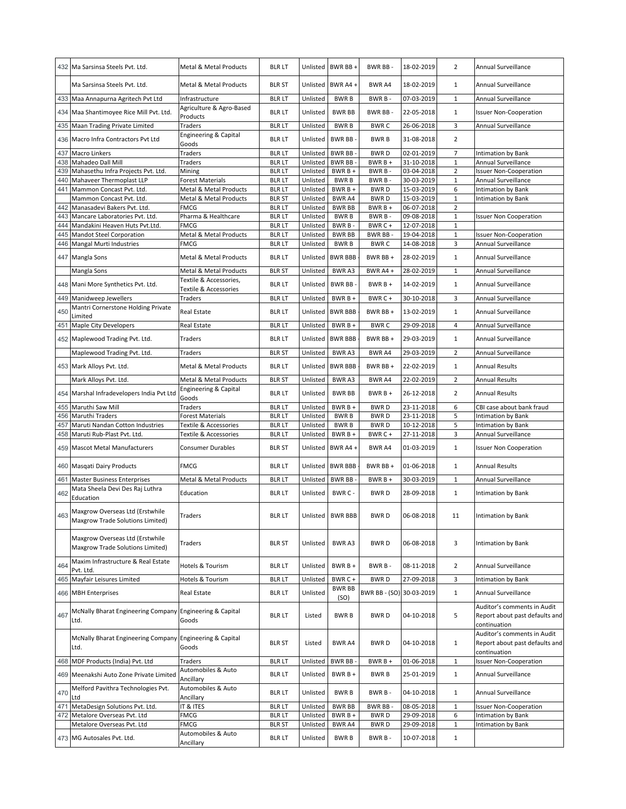| 432        | Ma Sarsinsa Steels Pvt. Ltd.                                        | <b>Metal &amp; Metal Products</b>               | <b>BLR LT</b>                  |                      | Unlisted BWR BB +         | BWR BB-                  | 18-02-2019               | 2              | Annual Surveillance                                                                           |
|------------|---------------------------------------------------------------------|-------------------------------------------------|--------------------------------|----------------------|---------------------------|--------------------------|--------------------------|----------------|-----------------------------------------------------------------------------------------------|
|            | Ma Sarsinsa Steels Pvt. Ltd.                                        | <b>Metal &amp; Metal Products</b>               | <b>BLR ST</b>                  | Unlisted             | BWR A4 +                  | <b>BWR A4</b>            | 18-02-2019               | 1              | Annual Surveillance                                                                           |
|            | 433 Maa Annapurna Agritech Pvt Ltd                                  | Infrastructure                                  | <b>BLR LT</b>                  | Unlisted             | <b>BWRB</b>               | BWR B-                   | 07-03-2019               | $\mathbf{1}$   | Annual Surveillance                                                                           |
| 434        | Maa Shantimoyee Rice Mill Pvt. Ltd.                                 | Agriculture & Agro-Based<br>Products            | <b>BLR LT</b>                  | Unlisted             | <b>BWR BB</b>             | BWR BB-                  | 22-05-2018               | $\mathbf{1}$   | <b>Issuer Non-Cooperation</b>                                                                 |
| 435        | Maan Trading Private Limited                                        | Traders                                         | <b>BLR LT</b>                  | Unlisted             | <b>BWRB</b>               | <b>BWRC</b>              | 26-06-2018               | 3              | Annual Surveillance                                                                           |
| 436        | Macro Infra Contractors Pvt Ltd                                     | Engineering & Capital<br>Goods                  | <b>BLR LT</b>                  | Unlisted             | <b>BWR BB</b>             | <b>BWRB</b>              | 31-08-2018               | $\overline{2}$ |                                                                                               |
| 437        | Macro Linkers                                                       | Traders                                         | <b>BLR LT</b>                  | Unlisted             | <b>BWR BB</b>             | <b>BWRD</b>              | 02-01-2019               | $\overline{7}$ | Intimation by Bank                                                                            |
| 438        | Mahadeo Dall Mill                                                   | Traders                                         | <b>BLRLT</b>                   | Unlisted             | <b>BWR BB</b>             | BWR B +                  | 31-10-2018               | $1\,$          | Annual Surveillance                                                                           |
| 439        | Mahasethu Infra Projects Pvt. Ltd.                                  | Mining                                          | <b>BLRLT</b>                   | Unlisted             | BWR B +                   | BWR B-                   | 03-04-2018               | $\overline{2}$ | <b>Issuer Non-Cooperation</b>                                                                 |
| 440        | Mahaveer Thermoplast LLP                                            | <b>Forest Materials</b>                         | <b>BLR LT</b>                  | Unlisted             | <b>BWRB</b>               | BWR B-                   | 30-03-2019               | $\mathbf{1}$   | Annual Surveillance                                                                           |
| 441        | Mammon Concast Pvt. Ltd.                                            | Metal & Metal Products                          | <b>BLRLT</b>                   | Unlisted             | BWR B +                   | <b>BWRD</b>              | 15-03-2019               | 6              | Intimation by Bank                                                                            |
|            | Mammon Concast Pvt. Ltd.                                            | <b>Metal &amp; Metal Products</b>               | <b>BLR ST</b>                  | Unlisted             | BWR A4                    | <b>BWRD</b>              | 15-03-2019               | $\mathbf{1}$   | Intimation by Bank                                                                            |
| 442        | Manasadevi Bakers Pvt. Ltd.                                         | <b>FMCG</b>                                     | <b>BLR LT</b>                  | Unlisted             | <b>BWR BB</b>             | BWR B +                  | 06-07-2018               | $\overline{2}$ |                                                                                               |
| 443        | Mancare Laboratories Pvt. Ltd.                                      | Pharma & Healthcare                             | <b>BLR LT</b>                  | Unlisted             | <b>BWRB</b>               | BWR B-                   | 09-08-2018               | $\mathbf{1}$   | <b>Issuer Non Cooperation</b>                                                                 |
| 444        | Mandakini Heaven Huts Pvt.Ltd.                                      | <b>FMCG</b>                                     | <b>BLR LT</b>                  | Unlisted             | BWR B-                    | BWR C +                  | 12-07-2018               | $\mathbf{1}$   |                                                                                               |
| 445        | <b>Mandot Steel Corporation</b>                                     | Metal & Metal Products                          | <b>BLRLT</b>                   | Unlisted             | <b>BWR BB</b>             | BWR BB-                  | 19-04-2018               | $\mathbf{1}$   | <b>Issuer Non-Cooperation</b>                                                                 |
| 446        | Mangal Murti Industries                                             | <b>FMCG</b>                                     | <b>BLR LT</b>                  | Unlisted             | <b>BWRB</b>               | <b>BWRC</b>              | 14-08-2018               | 3              | Annual Surveillance                                                                           |
|            | 447 Mangla Sons                                                     | Metal & Metal Products                          | <b>BLR LT</b>                  | Unlisted             | <b>BWR BBB</b>            | BWR BB +                 | 28-02-2019               | $\mathbf{1}$   | Annual Surveillance                                                                           |
|            | Mangla Sons                                                         | Metal & Metal Products                          | <b>BLR ST</b>                  | Unlisted             | BWR A3                    | BWR A4 +                 | 28-02-2019               | $\mathbf{1}$   | Annual Surveillance                                                                           |
|            | 448 Mani More Synthetics Pvt. Ltd.                                  | Textile & Accessories,<br>Textile & Accessories | <b>BLR LT</b>                  | Unlisted             | BWR BB-                   | $BWRB +$                 | 14-02-2019               | $\mathbf{1}$   | Annual Surveillance                                                                           |
| 449        | Manidweep Jewellers                                                 | Traders                                         | <b>BLR LT</b>                  | Unlisted             | $BWRB +$                  | BWR C +                  | 30-10-2018               | 3              | Annual Surveillance                                                                           |
| 450        | Mantri Cornerstone Holding Private                                  | Real Estate                                     | <b>BLR LT</b>                  | Unlisted             | <b>BWR BBB</b>            | BWR BB+                  | 13-02-2019               | 1              | Annual Surveillance                                                                           |
|            | Limited                                                             |                                                 |                                |                      |                           |                          |                          |                |                                                                                               |
| 451        | Maple City Developers                                               | Real Estate                                     | <b>BLR LT</b>                  | Unlisted             | BWR B +                   | <b>BWRC</b>              | 29-09-2018               | $\overline{4}$ | Annual Surveillance                                                                           |
|            | 452 Maplewood Trading Pvt. Ltd.                                     | Traders                                         | <b>BLR LT</b>                  | Unlisted             | <b>BWR BBB</b>            | BWR BB +                 | 29-03-2019               | $\mathbf{1}$   | Annual Surveillance                                                                           |
|            | Maplewood Trading Pvt. Ltd.                                         | Traders                                         | <b>BLR ST</b>                  | Unlisted             | BWR A3                    | BWR A4                   | 29-03-2019               | $\overline{2}$ | <b>Annual Surveillance</b>                                                                    |
|            | 453 Mark Alloys Pvt. Ltd.                                           | Metal & Metal Products                          | <b>BLR LT</b>                  | Unlisted             | <b>BWR BBB</b>            | BWR BB +                 | 22-02-2019               | $\mathbf{1}$   | <b>Annual Results</b>                                                                         |
|            | Mark Alloys Pvt. Ltd.                                               | Metal & Metal Products                          | <b>BLR ST</b>                  | Unlisted             | BWR A3                    | BWR A4                   | 22-02-2019               | $\overline{2}$ | <b>Annual Results</b>                                                                         |
| 454        | Marshal Infradevelopers India Pvt Ltd                               | Engineering & Capital<br>Goods                  | <b>BLR LT</b>                  | Unlisted             | <b>BWR BB</b>             | $BWRB +$                 | 26-12-2018               | $\overline{2}$ | <b>Annual Results</b>                                                                         |
|            |                                                                     |                                                 |                                |                      |                           |                          |                          |                |                                                                                               |
| 455        | Maruthi Saw Mill                                                    | Traders                                         | <b>BLRLT</b>                   | Unlisted             | BWR B +                   | <b>BWRD</b>              | 23-11-2018               | 6              | CBI case about bank fraud                                                                     |
| 456        | Maruthi Traders                                                     | Forest Materials                                | <b>BLR LT</b>                  | Unlisted             | <b>BWRB</b>               | <b>BWRD</b>              | 23-11-2018               | 5              | Intimation by Bank                                                                            |
| 457        | Maruti Nandan Cotton Industries                                     | Textile & Accessories                           | <b>BLR LT</b>                  | Unlisted             | <b>BWRB</b>               | <b>BWRD</b>              | 10-12-2018               | 5              | <b>Intimation by Bank</b>                                                                     |
| 458        | Maruti Rub-Plast Pvt. Ltd.                                          | Textile & Accessories                           | <b>BLR LT</b>                  | Unlisted             | BWR B +                   | BWR C+                   | 27-11-2018               | 3              | Annual Surveillance                                                                           |
| 459        | <b>Mascot Metal Manufacturers</b>                                   | <b>Consumer Durables</b>                        | <b>BLR ST</b>                  | Unlisted             | BWR A4 +                  | BWR A4                   | 01-03-2019               | $\mathbf{1}$   | <b>Issuer Non Cooperation</b>                                                                 |
| 460        | Masqati Dairy Products                                              | <b>FMCG</b>                                     | <b>BLR LT</b>                  |                      | Unlisted BWR BBB          | BWR BB +                 | 01-06-2018               | $\mathbf{1}$   | <b>Annual Results</b>                                                                         |
|            |                                                                     |                                                 |                                |                      |                           |                          |                          |                |                                                                                               |
| 461        | <b>Master Business Enterprises</b>                                  | Metal & Metal Products                          | <b>BLR LT</b>                  |                      | Unlisted BWR BB           | $BWRB +$                 | 30-03-2019               | $\mathbf{1}$   | Annual Surveillance                                                                           |
| 462        | Mata Sheela Devi Des Raj Luthra<br>Education                        | Education                                       | <b>BLR LT</b>                  | Unlisted             | BWR C -                   | <b>BWRD</b>              | 28-09-2018               | $\mathbf{1}$   | Intimation by Bank                                                                            |
| 463        | Maxgrow Overseas Ltd (Erstwhile<br>Maxgrow Trade Solutions Limited) | Traders                                         | <b>BLR LT</b>                  |                      | Unlisted BWR BBB          | BWR D                    | 06-08-2018               |                | Intimation by Bank                                                                            |
|            | Maxgrow Overseas Ltd (Erstwhile<br>Maxgrow Trade Solutions Limited) | Traders                                         | <b>BLR ST</b>                  | Unlisted             | <b>BWRA3</b>              | <b>BWRD</b>              | 06-08-2018               | 3              | <b>Intimation by Bank</b>                                                                     |
| 464        | Maxim Infrastructure & Real Estate<br>Pvt. Ltd.                     | Hotels & Tourism                                | <b>BLRLT</b>                   | Unlisted             | BWR B +                   | BWR B-                   | 08-11-2018               | $\overline{2}$ | Annual Surveillance                                                                           |
|            | Mayfair Leisures Limited                                            | Hotels & Tourism                                |                                | Unlisted             | BWR C +                   | <b>BWRD</b>              | 27-09-2018               | 3              | <b>Intimation by Bank</b>                                                                     |
| 465        | 466 MBH Enterprises                                                 | Real Estate                                     | <b>BLR LT</b><br><b>BLR LT</b> | Unlisted             | <b>BWR BB</b>             | BWR BB - (SO) 30-03-2019 |                          | $\mathbf{1}$   | Annual Surveillance                                                                           |
| 467        | McNally Bharat Engineering Company Engineering & Capital<br>Ltd.    | Goods                                           | <b>BLR LT</b>                  | Listed               | (SO)<br><b>BWRB</b>       | <b>BWRD</b>              | 04-10-2018               | 5              | Auditor's comments in Audit<br>Report about past defaults and                                 |
|            | McNally Bharat Engineering Company Engineering & Capital<br>Ltd.    | Goods                                           | <b>BLR ST</b>                  | Listed               | <b>BWR A4</b>             | BWR D                    | 04-10-2018               | $\mathbf{1}$   | continuation<br>Auditor's comments in Audit<br>Report about past defaults and<br>continuation |
|            | 468 MDF Products (India) Pvt. Ltd                                   | Traders                                         | <b>BLRLT</b>                   | Unlisted             | <b>BWR BB</b>             | BWR B +                  | 01-06-2018               | $\mathbf{1}$   | <b>Issuer Non-Cooperation</b>                                                                 |
|            | 469 Meenakshi Auto Zone Private Limited                             | Automobiles & Auto                              | blr lt                         | Unlisted             | $BWRB +$                  | <b>BWRB</b>              | 25-01-2019               | $\mathbf{1}$   | Annual Surveillance                                                                           |
| 470        | Melford Pavithra Technologies Pvt.                                  | Ancillary<br>Automobiles & Auto                 | <b>BLR LT</b>                  | Unlisted             | <b>BWRB</b>               | BWR B-                   | 04-10-2018               | $\mathbf{1}$   | Annual Surveillance                                                                           |
|            | Ltd                                                                 | Ancillary                                       |                                |                      |                           |                          |                          | $\mathbf{1}$   |                                                                                               |
| 471<br>472 | MetaDesign Solutions Pvt. Ltd.<br>Metalore Overseas Pvt. Ltd        | IT & ITES<br>FMCG                               | <b>BLRLT</b><br><b>BLR LT</b>  | Unlisted<br>Unlisted | <b>BWR BB</b><br>$BWRB +$ | BWR BB-<br><b>BWRD</b>   | 08-05-2018<br>29-09-2018 | 6              | <b>Issuer Non-Cooperation</b><br>Intimation by Bank                                           |
|            | Metalore Overseas Pvt. Ltd                                          | FMCG                                            | <b>BLR ST</b>                  | Unlisted             | BWR A4                    | BWR D                    | 29-09-2018               | $\mathbf{1}$   | Intimation by Bank                                                                            |
|            | 473 MG Autosales Pvt. Ltd.                                          | Automobiles & Auto                              | <b>BLR LT</b>                  | Unlisted             | <b>BWRB</b>               | BWR B-                   | 10-07-2018               | $\mathbf{1}$   |                                                                                               |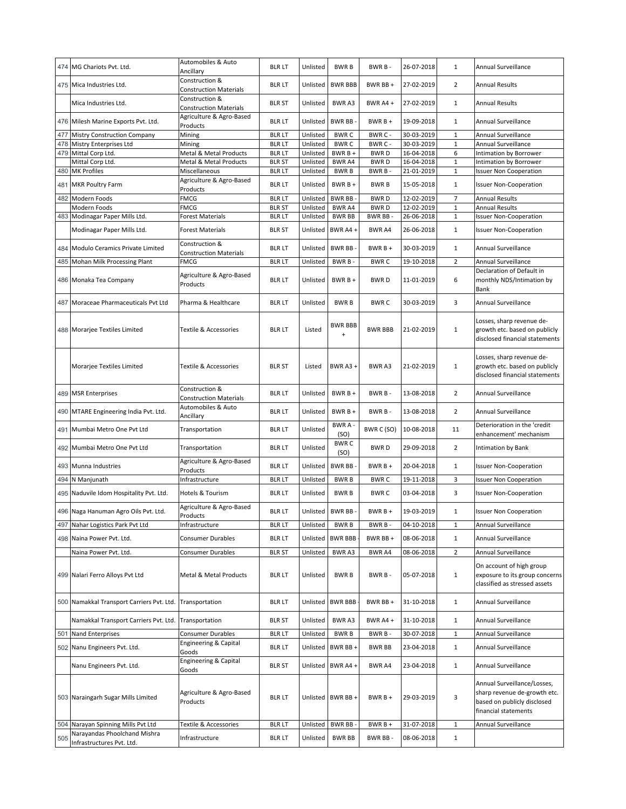|     | 474 MG Chariots Pvt. Ltd.                 | Automobiles & Auto                                           | <b>BLR LT</b> | Unlisted | <b>BWRB</b>                                        | BWR B-         | 26-07-2018 | $\mathbf{1}$   | Annual Surveillance                                                                                                |
|-----|-------------------------------------------|--------------------------------------------------------------|---------------|----------|----------------------------------------------------|----------------|------------|----------------|--------------------------------------------------------------------------------------------------------------------|
|     | 475 Mica Industries Ltd.                  | Ancillary<br>Construction &<br><b>Construction Materials</b> | <b>BLR LT</b> | Unlisted | <b>BWR BBB</b>                                     | BWR BB+        | 27-02-2019 | $\overline{2}$ | <b>Annual Results</b>                                                                                              |
|     | Mica Industries Ltd.                      | Construction &<br><b>Construction Materials</b>              | <b>BLR ST</b> | Unlisted | <b>BWRA3</b>                                       | BWR A4 +       | 27-02-2019 | 1              | <b>Annual Results</b>                                                                                              |
|     | 476 Milesh Marine Exports Pvt. Ltd.       | Agriculture & Agro-Based<br>Products                         | <b>BLR LT</b> | Unlisted | BWR BB-                                            | $BWRB +$       | 19-09-2018 | $\mathbf{1}$   | Annual Surveillance                                                                                                |
| 477 | <b>Mistry Construction Company</b>        | Mining                                                       | <b>BLRLT</b>  | Unlisted | <b>BWRC</b>                                        | BWR C -        | 30-03-2019 | $\mathbf 1$    | Annual Surveillance                                                                                                |
| 478 | Mistry Enterprises Ltd                    | Mining                                                       | <b>BLR LT</b> | Unlisted | <b>BWRC</b>                                        | BWR C -        | 30-03-2019 | $\mathbf 1$    | Annual Surveillance                                                                                                |
| 479 | Mittal Corp Ltd.                          | Metal & Metal Products                                       | <b>BLR LT</b> | Unlisted | BWR B +                                            | <b>BWRD</b>    | 16-04-2018 | 6              | Intimation by Borrower                                                                                             |
|     | Mittal Corp Ltd.                          | Metal & Metal Products                                       | <b>BLR ST</b> | Unlisted | BWR A4                                             | <b>BWRD</b>    | 16-04-2018 | $\mathbf 1$    | Intimation by Borrower                                                                                             |
|     | 480 MK Profiles                           | Miscellaneous                                                | <b>BLRLT</b>  | Unlisted | <b>BWRB</b>                                        | BWR B-         | 21-01-2019 | $\mathbf{1}$   | <b>Issuer Non Cooperation</b>                                                                                      |
|     | 481 MKR Poultry Farm                      | Agriculture & Agro-Based<br>Products                         | <b>BLR LT</b> | Unlisted | BWR B +                                            | <b>BWRB</b>    | 15-05-2018 | $\mathbf{1}$   | <b>Issuer Non-Cooperation</b>                                                                                      |
| 482 | Modern Foods                              | <b>FMCG</b>                                                  | <b>BLR LT</b> | Unlisted | <b>BWR BB</b>                                      | <b>BWRD</b>    | 12-02-2019 | $\overline{7}$ | <b>Annual Results</b>                                                                                              |
|     | Modern Foods                              | FMCG                                                         | <b>BLR ST</b> | Unlisted | BWR A4                                             | <b>BWRD</b>    | 12-02-2019 | $1\,$          | <b>Annual Results</b>                                                                                              |
| 483 | Modinagar Paper Mills Ltd.                | Forest Materials                                             | <b>BLRLT</b>  | Unlisted | <b>BWR BB</b>                                      | BWR BB-        | 26-06-2018 | $\mathbf 1$    | <b>Issuer Non-Cooperation</b>                                                                                      |
|     | Modinagar Paper Mills Ltd.                | <b>Forest Materials</b>                                      | <b>BLR ST</b> | Unlisted | BWR A4+                                            | BWR A4         | 26-06-2018 | $\mathbf{1}$   | <b>Issuer Non-Cooperation</b>                                                                                      |
|     | 484 Modulo Ceramics Private Limited       | Construction &<br><b>Construction Materials</b>              | <b>BLR LT</b> | Unlisted | <b>BWR BB</b>                                      | $BWRB+$        | 30-03-2019 | 1              | Annual Surveillance                                                                                                |
|     | 485 Mohan Milk Processing Plant           | <b>FMCG</b>                                                  | <b>BLRLT</b>  | Unlisted | BWR B-                                             | <b>BWRC</b>    | 19-10-2018 | $\overline{2}$ | Annual Surveillance                                                                                                |
|     | 486  Monaka Tea Company                   | Agriculture & Agro-Based<br>Products                         | <b>BLR LT</b> | Unlisted | $BWRB+$                                            | <b>BWRD</b>    | 11-01-2019 | 6              | Declaration of Default in<br>monthly NDS/Intimation by<br>Bank                                                     |
|     | 487 Moraceae Pharmaceuticals Pvt Ltd      | Pharma & Healthcare                                          | <b>BLR LT</b> | Unlisted | <b>BWRB</b>                                        | <b>BWRC</b>    | 30-03-2019 | 3              | Annual Surveillance                                                                                                |
|     | 488 Morarjee Textiles Limited             | Textile & Accessories                                        | <b>BLR LT</b> | Listed   | <b>BWR BBB</b><br>$\begin{array}{c} + \end{array}$ | <b>BWR BBB</b> | 21-02-2019 | $\mathbf{1}$   | Losses, sharp revenue de-<br>growth etc. based on publicly<br>disclosed financial statements                       |
|     | Morarjee Textiles Limited                 | Textile & Accessories                                        | <b>BLR ST</b> | Listed   | BWR A3 +                                           | BWR A3         | 21-02-2019 | 1              | Losses, sharp revenue de-<br>growth etc. based on publicly<br>disclosed financial statements                       |
|     | 489 MSR Enterprises                       | Construction &<br><b>Construction Materials</b>              | <b>BLR LT</b> | Unlisted | BWR B +                                            | BWR B-         | 13-08-2018 | $\overline{2}$ | Annual Surveillance                                                                                                |
|     | 490 MTARE Engineering India Pvt. Ltd.     | Automobiles & Auto<br>Ancillary                              | <b>BLR LT</b> | Unlisted | BWR B +                                            | BWR B-         | 13-08-2018 | $\overline{2}$ | Annual Surveillance                                                                                                |
|     | 491 Mumbai Metro One Pvt Ltd              | Transportation                                               | <b>BLR LT</b> | Unlisted | BWR A-<br>(SO)                                     | BWR C (SO)     | 10-08-2018 | 11             | Deterioration in the 'credit<br>enhancement' mechanism                                                             |
|     | 492 Mumbai Metro One Pvt Ltd              | Transportation                                               | <b>BLR LT</b> | Unlisted | <b>BWRC</b><br>(SO)                                | <b>BWRD</b>    | 29-09-2018 | $\overline{2}$ | Intimation by Bank                                                                                                 |
|     | 493 Munna Industries                      | Agriculture & Agro-Based<br>Products                         | <b>BLR LT</b> | Unlisted | <b>BWR BB</b>                                      | $BWRB+$        | 20-04-2018 | $\mathbf{1}$   | <b>Issuer Non-Cooperation</b>                                                                                      |
|     | 494 N Manjunath                           | Infrastructure                                               | <b>BLR LT</b> | Unlisted | <b>BWRB</b>                                        | <b>BWRC</b>    | 19-11-2018 | 3              | <b>Issuer Non Cooperation</b>                                                                                      |
|     | 495 Naduvile Idom Hospitality Pvt. Ltd.   | Hotels & Tourism                                             | <b>BLR LT</b> | Unlisted | <b>BWRB</b>                                        | <b>BWRC</b>    | 03-04-2018 | 3              | <b>Issuer Non-Cooperation</b>                                                                                      |
|     | 496 Naga Hanuman Agro Oils Pvt. Ltd.      | Agriculture & Agro-Based<br>Products                         | <b>BLR LT</b> |          | Unlisted BWR BB -                                  | $BWRB +$       | 19-03-2019 | 1              | <b>Issuer Non Cooperation</b>                                                                                      |
|     | 497 Nahar Logistics Park Pvt Ltd          | Infrastructure                                               | <b>BLR LT</b> | Unlisted | <b>BWRB</b>                                        | BWR B-         | 04-10-2018 | $\mathbf{1}$   | Annual Surveillance                                                                                                |
|     | 498 Naina Power Pvt. Ltd.                 | Consumer Durables                                            | <b>BLR LT</b> | Unlisted | <b>BWR BBB</b>                                     | BWR BB +       | 08-06-2018 | $\mathbf{1}$   | Annual Surveillance                                                                                                |
|     |                                           |                                                              |               |          |                                                    |                |            |                |                                                                                                                    |
|     | Naina Power Pvt. Ltd.                     | <b>Consumer Durables</b>                                     | <b>BLR ST</b> | Unlisted | BWR A3                                             | BWR A4         | 08-06-2018 | 2              | Annual Surveillance                                                                                                |
|     | 499 Nalari Ferro Alloys Pvt Ltd           | Metal & Metal Products                                       | <b>BLR LT</b> | Unlisted | <b>BWRB</b>                                        | BWR B-         | 05-07-2018 | $1\,$          | On account of high group<br>exposure to its group concerns<br>classified as stressed assets                        |
|     | 500 Namakkal Transport Carriers Pvt. Ltd. | Transportation                                               | <b>BLR LT</b> | Unlisted | <b>BWR BBB</b>                                     | BWR BB +       | 31-10-2018 | $\mathbf{1}$   | Annual Surveillance                                                                                                |
|     | Namakkal Transport Carriers Pvt. Ltd.     | Transportation                                               | <b>BLR ST</b> | Unlisted | BWR A3                                             | BWR A4 +       | 31-10-2018 | $\mathbf{1}$   | Annual Surveillance                                                                                                |
| 501 | Nand Enterprises                          | <b>Consumer Durables</b>                                     | <b>BLRLT</b>  | Unlisted | <b>BWRB</b>                                        | BWR B-         | 30-07-2018 | $1\,$          | Annual Surveillance                                                                                                |
|     | 502 Nanu Engineers Pvt. Ltd.              | Engineering & Capital<br>Goods                               | <b>BLR LT</b> | Unlisted | BWR BB +                                           | <b>BWR BB</b>  | 23-04-2018 | $\mathbf{1}$   | Annual Surveillance                                                                                                |
|     | Nanu Engineers Pvt. Ltd.                  | Engineering & Capital<br>Goods                               | <b>BLR ST</b> | Unlisted | BWR A4 +                                           | BWR A4         | 23-04-2018 | $\mathbf{1}$   | Annual Surveillance                                                                                                |
|     | 503 Naraingarh Sugar Mills Limited        | Agriculture & Agro-Based<br>Products                         | <b>BLR LT</b> |          | Unlisted BWR BB +                                  | $BWRB +$       | 29-03-2019 | 3              | Annual Surveillance/Losses,<br>sharp revenue de-growth etc.<br>based on publicly disclosed<br>financial statements |
|     | 504 Narayan Spinning Mills Pvt Ltd        | <b>Textile &amp; Accessories</b>                             | <b>BLRLT</b>  | Unlisted | BWR BB                                             | $BWRB +$       | 31-07-2018 | 1              | Annual Surveillance                                                                                                |
| 505 | Narayandas Phoolchand Mishra              |                                                              |               |          |                                                    |                |            |                |                                                                                                                    |
|     | Infrastructures Pvt. Ltd.                 | Infrastructure                                               | <b>BLR LT</b> | Unlisted | <b>BWR BB</b>                                      | BWR BB-        | 08-06-2018 | $\mathbf{1}$   |                                                                                                                    |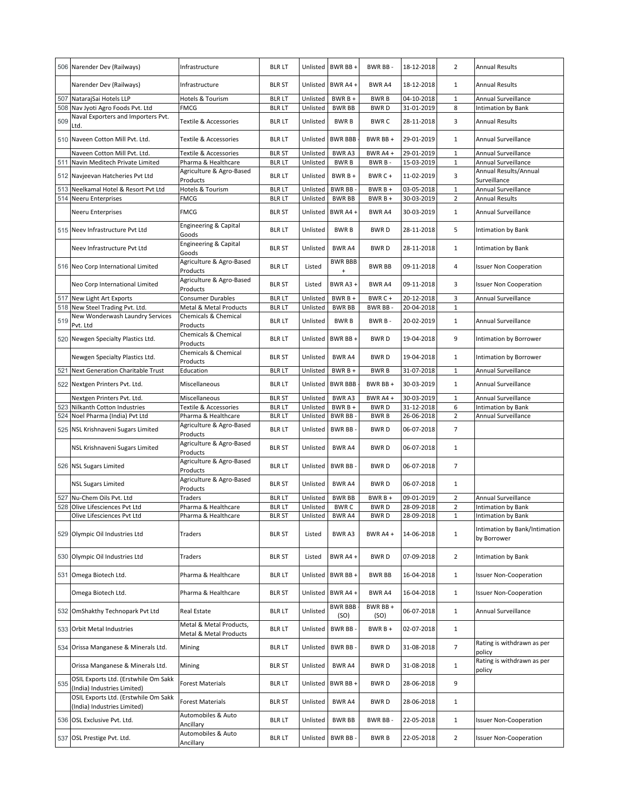|            | 506 Narender Dev (Railways)                                         | Infrastructure                                    | <b>BLR LT</b>                  | Unlisted             | BWR BB+                     | BWR BB-                    | 18-12-2018               | $\overline{2}$               | Annual Results                               |
|------------|---------------------------------------------------------------------|---------------------------------------------------|--------------------------------|----------------------|-----------------------------|----------------------------|--------------------------|------------------------------|----------------------------------------------|
|            | Narender Dev (Railways)                                             | Infrastructure                                    | <b>BLR ST</b>                  | Unlisted             | BWR A4+                     | <b>BWR A4</b>              | 18-12-2018               | $\mathbf{1}$                 | <b>Annual Results</b>                        |
| 507        | NatarajSai Hotels LLP                                               | Hotels & Tourism                                  | <b>BLR LT</b>                  | Unlisted             | $BWRB +$                    | <b>BWRB</b>                | 04-10-2018               | $\mathbf 1$                  | Annual Surveillance                          |
| 508        | Nav Jyoti Agro Foods Pvt. Ltd                                       | <b>FMCG</b>                                       | <b>BLRLT</b>                   | Unlisted             | <b>BWR BB</b>               | <b>BWRD</b>                | 31-01-2019               | 8                            | Intimation by Bank                           |
| 509        | Naval Exporters and Importers Pvt.<br>td.                           | Textile & Accessories                             | <b>BLR LT</b>                  | Unlisted             | <b>BWRB</b>                 | <b>BWRC</b>                | 28-11-2018               | 3                            | <b>Annual Results</b>                        |
| 510        | Naveen Cotton Mill Pvt. Ltd.                                        | Textile & Accessories                             | <b>BLRLT</b>                   | Unlisted             | <b>BWR BBB</b>              | BWR BB +                   | 29-01-2019               | $\mathbf{1}$                 | Annual Surveillance                          |
| 511        | Naveen Cotton Mill Pvt. Ltd.<br>Navin Meditech Private Limited      | Textile & Accessories<br>Pharma & Healthcare      | <b>BLR ST</b><br><b>BLR LT</b> | Unlisted<br>Unlisted | <b>BWRA3</b><br><b>BWRB</b> | BWR A4+<br>BWR B-          | 29-01-2019<br>15-03-2019 | $\mathbf{1}$<br>$\mathbf{1}$ | Annual Surveillance<br>Annual Surveillance   |
|            |                                                                     | Agriculture & Agro-Based                          |                                |                      |                             |                            |                          |                              | Annual Results/Annual                        |
| 512        | Navjeevan Hatcheries Pvt Ltd                                        | Products                                          | <b>BLR LT</b>                  | Unlisted             | BWR B +                     | BWR C+                     | 11-02-2019               | 3                            | Surveillance                                 |
| 513        | Neelkamal Hotel & Resort Pvt Ltd                                    | Hotels & Tourism                                  | <b>BLR LT</b>                  | Unlisted             | <b>BWR BB-</b>              | BWR B +                    | 03-05-2018               | $\mathbf{1}$                 | Annual Surveillance                          |
| 514        | <b>Neeru Enterprises</b>                                            | <b>FMCG</b>                                       | <b>BLR LT</b>                  | Unlisted             | <b>BWR BB</b>               | $BWRB +$                   | 30-03-2019               | $\overline{2}$               | <b>Annual Results</b>                        |
|            | Neeru Enterprises                                                   | <b>FMCG</b>                                       | <b>BLR ST</b>                  | Unlisted             | BWR A4+                     | BWR A4                     | 30-03-2019               | $\mathbf{1}$                 | Annual Surveillance                          |
| 515        | Neev Infrastructure Pvt Ltd                                         | Engineering & Capital<br>Goods                    | <b>BLR LT</b>                  | Unlisted             | <b>BWRB</b>                 | <b>BWRD</b>                | 28-11-2018               | 5                            | Intimation by Bank                           |
|            | Neev Infrastructure Pvt Ltd                                         | Engineering & Capital<br>Goods                    | <b>BLR ST</b>                  | Unlisted             | BWR A4                      | <b>BWRD</b>                | 28-11-2018               | $\mathbf{1}$                 | Intimation by Bank                           |
|            | 516 Neo Corp International Limited                                  | Agriculture & Agro-Based<br>Products              | <b>BLR LT</b>                  | Listed               | <b>BWR BBB</b><br>$\ddot{}$ | <b>BWR BB</b>              | 09-11-2018               | 4                            | <b>Issuer Non Cooperation</b>                |
|            | Neo Corp International Limited                                      | Agriculture & Agro-Based<br>Products              | <b>BLR ST</b>                  | Listed               | BWR A3+                     | <b>BWR A4</b>              | 09-11-2018               | 3                            | <b>Issuer Non Cooperation</b>                |
| 517        | New Light Art Exports                                               | <b>Consumer Durables</b>                          | <b>BLR LT</b>                  | Unlisted<br>Unlisted | BWR B +                     | BWR C+                     | 20-12-2018               | 3                            | Annual Surveillance                          |
| 518        | New Steel Trading Pvt. Ltd.<br>New Wonderwash Laundry Services      | Metal & Metal Products<br>Chemicals & Chemical    | <b>BLRLT</b>                   |                      | <b>BWR BB</b>               | BWR BB-                    | 20-04-2018               | 1                            |                                              |
| 519        | Pvt. Ltd                                                            | Products                                          | <b>BLR LT</b>                  | Unlisted             | <b>BWRB</b>                 | BWR B-                     | 20-02-2019               | 1                            | Annual Surveillance                          |
|            | 520 Newgen Specialty Plastics Ltd.                                  | Chemicals & Chemical<br>Products                  | <b>BLR LT</b>                  | Unlisted             | BWR BB+                     | <b>BWRD</b>                | 19-04-2018               | 9                            | Intimation by Borrower                       |
|            | Newgen Specialty Plastics Ltd.                                      | Chemicals & Chemical<br>Products                  | <b>BLR ST</b>                  | Unlisted             | <b>BWRA4</b>                | <b>BWRD</b>                | 19-04-2018               | $\mathbf{1}$                 | Intimation by Borrower                       |
| 521        | Next Generation Charitable Trust                                    | Education                                         | <b>BLRLT</b>                   | Unlisted             | BWR B +                     | <b>BWRB</b>                | 31-07-2018               | $\mathbf{1}$                 | Annual Surveillance                          |
| 522        | Nextgen Printers Pvt. Ltd.                                          | Miscellaneous                                     | <b>BLR LT</b>                  | Unlisted             | <b>BWR BBB</b>              | BWR BB+                    | 30-03-2019               | $\mathbf{1}$                 | Annual Surveillance                          |
|            | Nextgen Printers Pvt. Ltd.                                          | Miscellaneous                                     | <b>BLR ST</b>                  | Unlisted             | <b>BWRA3</b>                | BWR A4 +                   | 30-03-2019               | $\mathbf{1}$                 | Annual Surveillance                          |
| 523<br>524 | Nilkanth Cotton Industries<br>Noel Pharma (India) Pvt Ltd           | Textile & Accessories<br>Pharma & Healthcare      | <b>BLRLT</b><br><b>BLR LT</b>  | Unlisted<br>Unlisted | BWR B +<br><b>BWR BB</b>    | <b>BWRD</b><br><b>BWRB</b> | 31-12-2018<br>26-06-2018 | 6<br>$\overline{2}$          | Intimation by Bank<br>Annual Surveillance    |
| 525        | NSL Krishnaveni Sugars Limited                                      | Agriculture & Agro-Based<br>Products              | <b>BLR LT</b>                  | Unlisted             | <b>BWR BB</b>               | <b>BWRD</b>                | 06-07-2018               | $\overline{7}$               |                                              |
|            | NSL Krishnaveni Sugars Limited                                      | Agriculture & Agro-Based<br>Products              | <b>BLR ST</b>                  | Unlisted             | <b>BWRA4</b>                | <b>BWRD</b>                | 06-07-2018               | $\mathbf{1}$                 |                                              |
| 526        | <b>NSL Sugars Limited</b>                                           | Agriculture & Agro-Based<br>Products              | <b>BLR LT</b>                  | Unlisted             | BWR BB-                     | <b>BWRD</b>                | 06-07-2018               | $\overline{7}$               |                                              |
|            | <b>NSL Sugars Limited</b>                                           | Agriculture & Agro-Based<br>Products              | <b>BLR ST</b>                  | Unlisted             | <b>BWRA4</b>                | <b>BWRD</b>                | 06-07-2018               | $\mathbf{1}$                 |                                              |
| 527        | Nu-Chem Oils Pvt. Ltd                                               | Traders                                           | <b>BLR LT</b>                  | Unlisted             | <b>BWR BB</b>               | BWR B+                     | 09-01-2019               | $\overline{2}$               | Annual Surveillance                          |
| 528        | Olive Lifesciences Pvt Ltd                                          | Pharma & Healthcare                               | <b>BLR LT</b>                  | Unlisted             | <b>BWRC</b>                 | <b>BWRD</b>                | 28-09-2018               | $\overline{2}$               | Intimation by Bank                           |
|            | Olive Lifesciences PVt Ltd                                          | Pharma & Healthcare                               | <b>BLK 21</b>                  | Unlisted             | BWR A4                      | <b>BWRD</b>                | 28-09-2018               |                              | Intimation by Bank                           |
|            | 529 Olympic Oil Industries Ltd                                      | Traders                                           | <b>BLR ST</b>                  | Listed               | BWR A3                      | BWR A4 +                   | 14-06-2018               | $\mathbf{1}$                 | Intimation by Bank/Intimation<br>by Borrower |
|            | 530 Olympic Oil Industries Ltd                                      | Traders                                           | <b>BLR ST</b>                  | Listed               | BWR A4+                     | <b>BWRD</b>                | 07-09-2018               | $\overline{2}$               | Intimation by Bank                           |
|            | 531 Omega Biotech Ltd.                                              | Pharma & Healthcare                               | <b>BLR LT</b>                  | Unlisted             | BWR BB+                     | <b>BWR BB</b>              | 16-04-2018               | $\mathbf{1}$                 | <b>Issuer Non-Cooperation</b>                |
|            | Omega Biotech Ltd.                                                  | Pharma & Healthcare                               | <b>BLR ST</b>                  | Unlisted             | BWR A4+                     | BWR A4                     | 16-04-2018               | $\mathbf{1}$                 | <b>Issuer Non-Cooperation</b>                |
|            | 532 OmShakthy Technopark Pvt Ltd                                    | Real Estate                                       | <b>BLR LT</b>                  | Unlisted             | <b>BWR BBB</b><br>(SO)      | BWR BB+<br>(SO)            | 06-07-2018               | $\mathbf{1}$                 | Annual Surveillance                          |
|            | 533 Orbit Metal Industries                                          | Metal & Metal Products,<br>Metal & Metal Products | <b>BLR LT</b>                  | Unlisted             | BWR BB-                     | BWR B +                    | 02-07-2018               | $\mathbf{1}$                 |                                              |
|            | 534 Orissa Manganese & Minerals Ltd.                                | Mining                                            | <b>BLR LT</b>                  | Unlisted             | BWR BB-                     | <b>BWRD</b>                | 31-08-2018               | $\overline{7}$               | Rating is withdrawn as per<br>policy         |
|            | Orissa Manganese & Minerals Ltd.                                    | Mining                                            | <b>BLR ST</b>                  | Unlisted             | BWR A4                      | <b>BWRD</b>                | 31-08-2018               | $\mathbf{1}$                 | Rating is withdrawn as per<br>policy         |
| 535        | OSIL Exports Ltd. (Erstwhile Om Sakk<br>(India) Industries Limited) | Forest Materials                                  | <b>BLR LT</b>                  | Unlisted             | BWR BB +                    | <b>BWRD</b>                | 28-06-2018               | 9                            |                                              |
|            | OSIL Exports Ltd. (Erstwhile Om Sakk<br>(India) Industries Limited) | Forest Materials                                  | <b>BLR ST</b>                  | Unlisted             | BWR A4                      | <b>BWRD</b>                | 28-06-2018               | $\mathbf{1}$                 |                                              |
| 536        | OSL Exclusive Pvt. Ltd.                                             | Automobiles & Auto<br>Ancillary                   | <b>BLR LT</b>                  | Unlisted             | <b>BWR BB</b>               | BWR BB-                    | 22-05-2018               | $\mathbf{1}$                 | <b>Issuer Non-Cooperation</b>                |
|            | 537 OSL Prestige Pvt. Ltd.                                          | Automobiles & Auto<br>Ancillary                   | <b>BLR LT</b>                  | Unlisted             | BWR BB-                     | <b>BWRB</b>                | 22-05-2018               | $\overline{2}$               | <b>Issuer Non-Cooperation</b>                |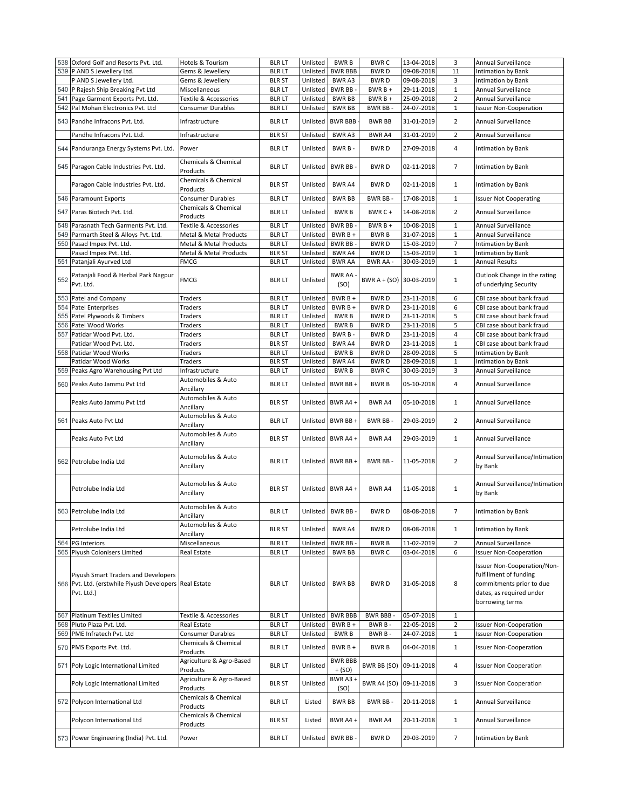|     | 538 Oxford Golf and Resorts Pvt. Ltd.                                                                       | Hotels & Tourism                     | <b>BLR LT</b>                 | Unlisted | <b>BWRB</b>                | <b>BWRC</b>             | 13-04-2018 | 3                 | Annual Surveillance                                                                                                              |
|-----|-------------------------------------------------------------------------------------------------------------|--------------------------------------|-------------------------------|----------|----------------------------|-------------------------|------------|-------------------|----------------------------------------------------------------------------------------------------------------------------------|
|     |                                                                                                             |                                      |                               |          |                            |                         |            |                   |                                                                                                                                  |
|     | 539 P AND S Jewellery Ltd.                                                                                  | Gems & Jewellery                     | <b>BLR LT</b>                 | Unlisted | <b>BWR BBB</b>             | <b>BWRD</b>             | 09-08-2018 | 11                | <b>Intimation by Bank</b>                                                                                                        |
|     | P AND S Jewellery Ltd.                                                                                      | Gems & Jewellery                     | <b>BLR ST</b>                 | Unlisted | BWR A3                     | <b>BWRD</b>             | 09-08-2018 | 3                 | Intimation by Bank                                                                                                               |
|     | 540 P Rajesh Ship Breaking Pvt Ltd                                                                          | Miscellaneous                        | <b>BLR LT</b>                 | Unlisted | <b>BWR BB</b>              | $BWRB +$                | 29-11-2018 | $\mathbf{1}$      | Annual Surveillance                                                                                                              |
|     |                                                                                                             |                                      |                               |          |                            |                         |            |                   |                                                                                                                                  |
|     | 541 Page Garment Exports Pvt. Ltd.                                                                          | Textile & Accessories                | <b>BLR LT</b>                 | Unlisted | <b>BWR BB</b>              | $BWRB +$                | 25-09-2018 | $\overline{2}$    | Annual Surveillance                                                                                                              |
|     | 542 Pal Mohan Electronics Pvt. Ltd                                                                          | Consumer Durables                    | <b>BLRLT</b>                  | Unlisted | <b>BWR BB</b>              | BWR BB-                 | 24-07-2018 | $\mathbf{1}$      | <b>Issuer Non-Cooperation</b>                                                                                                    |
|     | 543 Pandhe Infracons Pvt. Ltd.                                                                              | Infrastructure                       | <b>BLRLT</b>                  | Unlisted | <b>BWR BBB</b>             | <b>BWR BB</b>           | 31-01-2019 | $\overline{2}$    | Annual Surveillance                                                                                                              |
|     | Pandhe Infracons Pvt. Ltd.                                                                                  | Infrastructure                       | <b>BLR ST</b>                 | Unlisted | BWR A3                     | <b>BWRA4</b>            | 31-01-2019 | $\overline{2}$    | Annual Surveillance                                                                                                              |
|     | 544 Panduranga Energy Systems Pvt. Ltd.                                                                     | Power                                | <b>BLR LT</b>                 | Unlisted | BWR B-                     | <b>BWRD</b>             | 27-09-2018 | 4                 | Intimation by Bank                                                                                                               |
|     | 545 Paragon Cable Industries Pvt. Ltd.                                                                      | Chemicals & Chemical                 | <b>BLR LT</b>                 | Unlisted | BWR BB-                    | <b>BWRD</b>             | 02-11-2018 | $\overline{7}$    | <b>Intimation by Bank</b>                                                                                                        |
|     |                                                                                                             | Products<br>Chemicals & Chemical     |                               | Unlisted | <b>BWR A4</b>              |                         | 02-11-2018 |                   |                                                                                                                                  |
| 546 | Paragon Cable Industries Pvt. Ltd.<br>Paramount Exports                                                     | Products<br><b>Consumer Durables</b> | <b>BLR ST</b><br><b>BLRLT</b> | Unlisted | <b>BWR BB</b>              | <b>BWRD</b><br>BWR BB-  | 17-08-2018 | 1<br>$\mathbf{1}$ | Intimation by Bank<br><b>Issuer Not Cooperating</b>                                                                              |
|     | 547 Paras Biotech Pvt. Ltd.                                                                                 | Chemicals & Chemical                 | <b>BLR LT</b>                 | Unlisted | <b>BWRB</b>                | BWR C+                  | 14-08-2018 | $\overline{2}$    | Annual Surveillance                                                                                                              |
| 548 | Parasnath Tech Garments Pvt. Ltd.                                                                           | Products<br>Textile & Accessories    | <b>BLR LT</b>                 | Unlisted | <b>BWR BB</b>              | BWR B +                 | 10-08-2018 | $\mathbf{1}$      | Annual Surveillance                                                                                                              |
|     |                                                                                                             | Metal & Metal Products               |                               | Unlisted |                            |                         |            |                   | Annual Surveillance                                                                                                              |
|     | 549 Parmarth Steel & Alloys Pvt. Ltd.                                                                       |                                      | <b>BLRLT</b>                  |          | BWR B +                    | <b>BWRB</b>             | 31-07-2018 | $\mathbf{1}$      |                                                                                                                                  |
| 550 | Pasad Impex Pvt. Ltd.                                                                                       | Metal & Metal Products               | <b>BLRLT</b>                  | Unlisted | <b>BWR BB</b>              | <b>BWRD</b>             | 15-03-2019 | $\overline{7}$    | Intimation by Bank                                                                                                               |
|     | Pasad Impex Pvt. Ltd.                                                                                       | Metal & Metal Products               | <b>BLR ST</b>                 | Unlisted | BWR A4                     | <b>BWRD</b>             | 15-03-2019 | $\mathbf{1}$      | Intimation by Bank                                                                                                               |
|     |                                                                                                             |                                      |                               |          |                            | BWR AA -                |            |                   | <b>Annual Results</b>                                                                                                            |
|     | 551 Patanjali Ayurved Ltd                                                                                   | <b>FMCG</b>                          | <b>BLR LT</b>                 | Unlisted | <b>BWR AA</b>              |                         | 30-03-2019 | $\mathbf{1}$      |                                                                                                                                  |
| 552 | Patanjali Food & Herbal Park Nagpur<br>Pvt. Ltd.                                                            | <b>FMCG</b>                          | <b>BLR LT</b>                 | Unlisted | <b>BWR AA</b><br>(SO)      | BWR A + (SO) 30-03-2019 |            | 1                 | Outlook Change in the rating<br>of underlying Security                                                                           |
|     |                                                                                                             |                                      |                               |          |                            |                         |            |                   | CBI case about bank fraud                                                                                                        |
|     | 553 Patel and Company                                                                                       | Traders                              | <b>BLR LT</b>                 | Unlisted | BWR B +                    | <b>BWRD</b>             | 23-11-2018 | 6                 |                                                                                                                                  |
|     | 554 Patel Enterprises                                                                                       | Traders                              | <b>BLR LT</b>                 | Unlisted | BWR B +                    | <b>BWRD</b>             | 23-11-2018 | 6                 | CBI case about bank fraud                                                                                                        |
|     | 555 Patel Plywoods & Timbers                                                                                | Traders                              | <b>BLR LT</b>                 | Unlisted | <b>BWRB</b>                | <b>BWRD</b>             | 23-11-2018 | 5                 | CBI case about bank fraud                                                                                                        |
|     |                                                                                                             |                                      |                               |          |                            |                         |            | 5                 |                                                                                                                                  |
|     | 556 Patel Wood Works                                                                                        | Traders                              | <b>BLR LT</b>                 | Unlisted | <b>BWRB</b>                | <b>BWRD</b>             | 23-11-2018 |                   | CBI case about bank fraud                                                                                                        |
| 557 | Patidar Wood Pvt. Ltd.                                                                                      | Traders                              | <b>BLR LT</b>                 | Unlisted | BWR B-                     | <b>BWRD</b>             | 23-11-2018 | $\overline{4}$    | CBI case about bank fraud                                                                                                        |
|     | Patidar Wood Pvt. Ltd.                                                                                      | Traders                              | <b>BLR ST</b>                 | Unlisted | BWR A4                     | <b>BWRD</b>             | 23-11-2018 | $\mathbf{1}$      | CBI case about bank fraud                                                                                                        |
|     | 558 Patidar Wood Works                                                                                      |                                      |                               |          | <b>BWRB</b>                | <b>BWRD</b>             |            | 5                 |                                                                                                                                  |
|     |                                                                                                             | Traders                              | <b>BLR LT</b>                 | Unlisted |                            |                         | 28-09-2018 |                   | Intimation by Bank                                                                                                               |
|     | Patidar Wood Works                                                                                          | Traders                              | <b>BLR ST</b>                 | Unlisted | BWR A4                     | <b>BWRD</b>             | 28-09-2018 | $\mathbf 1$       | Intimation by Bank                                                                                                               |
|     | 559 Peaks Agro Warehousing Pvt Ltd                                                                          | Infrastructure                       | <b>BLR LT</b>                 | Unlisted | <b>BWRB</b>                | <b>BWRC</b>             | 30-03-2019 | 3                 | Annual Surveillance                                                                                                              |
|     |                                                                                                             |                                      |                               |          |                            |                         |            |                   |                                                                                                                                  |
|     | 560 Peaks Auto Jammu Pvt Ltd                                                                                | Automobiles & Auto<br>Ancillary      | <b>BLR LT</b>                 | Unlisted | BWR BB+                    | <b>BWRB</b>             | 05-10-2018 | 4                 | Annual Surveillance                                                                                                              |
|     | Peaks Auto Jammu Pvt Ltd                                                                                    | Automobiles & Auto<br>Ancillary      | <b>BLR ST</b>                 | Unlisted | BWR A4+                    | <b>BWR A4</b>           | 05-10-2018 | $\mathbf{1}$      | Annual Surveillance                                                                                                              |
|     | 561 Peaks Auto Pvt Ltd                                                                                      | Automobiles & Auto<br>Ancillary      | <b>BLR LT</b>                 | Unlisted | BWR BB+                    | BWR BB-                 | 29-03-2019 | $\overline{2}$    | Annual Surveillance                                                                                                              |
|     | Peaks Auto Pvt Ltd                                                                                          | Automobiles & Auto<br>Ancillary      | <b>BLR ST</b>                 | Unlisted | BWR A4+                    | BWR A4                  | 29-03-2019 | $\mathbf{1}$      | Annual Surveillance                                                                                                              |
|     | 562 Petrolube India Ltd                                                                                     | Automobiles & Auto<br>Ancillary      | <b>BLR LT</b>                 | Unlisted | BWR BB+                    | BWR BB-                 | 11-05-2018 | $\overline{2}$    | Annual Surveillance/Intimation<br>by Bank                                                                                        |
|     | Petrolube India Ltd                                                                                         | Automobiles & Auto<br>Ancillary      | <b>BLR ST</b>                 |          | Unlisted BWR A4 +          | <b>BWR A4</b>           | 11-05-2018 | $\mathbf{1}$      | Annual Surveillance/Intimation<br>by Bank                                                                                        |
|     | 563 Petrolube India Ltd                                                                                     | Automobiles & Auto<br>Ancillary      | blr lt                        |          | Unlisted BWR BB -          | <b>BWRD</b>             | 08-08-2018 | 7                 | Intimation by Bank                                                                                                               |
|     | Petrolube India Ltd                                                                                         | Automobiles & Auto<br>Ancillary      | <b>BLR ST</b>                 | Unlisted | <b>BWRA4</b>               | <b>BWRD</b>             | 08-08-2018 | $\mathbf{1}$      | Intimation by Bank                                                                                                               |
|     | 564 PG Interiors                                                                                            | Miscellaneous                        | <b>BLR LT</b>                 | Unlisted | BWR BB-                    | <b>BWRB</b>             | 11-02-2019 | $\overline{2}$    | Annual Surveillance                                                                                                              |
|     | 565 Piyush Colonisers Limited                                                                               | Real Estate                          | <b>BLRLT</b>                  | Unlisted | <b>BWR BB</b>              | <b>BWRC</b>             | 03-04-2018 | 6                 | <b>Issuer Non-Cooperation</b>                                                                                                    |
|     | Piyush Smart Traders and Developers<br>566 Pvt. Ltd. (erstwhile Piyush Developers Real Estate<br>Pvt. Ltd.) |                                      | <b>BLR LT</b>                 | Unlisted | <b>BWR BB</b>              | <b>BWRD</b>             | 31-05-2018 | 8                 | Issuer Non-Cooperation/Non-<br>fulfillment of funding<br>commitments prior to due<br>dates, as required under<br>borrowing terms |
|     | 567 Platinum Textiles Limited                                                                               | Textile & Accessories                | <b>BLRLT</b>                  | Unlisted | <b>BWR BBB</b>             | <b>BWR BBB-</b>         | 05-07-2018 | $\mathbf 1$       |                                                                                                                                  |
|     |                                                                                                             |                                      |                               |          |                            |                         | 22-05-2018 |                   |                                                                                                                                  |
|     | 568 Pluto Plaza Pvt. Ltd.                                                                                   | Real Estate                          | <b>BLRLT</b>                  | Unlisted | BWR B +                    | BWR B-                  |            | $\overline{2}$    | <b>Issuer Non-Cooperation</b>                                                                                                    |
|     | 569 PME Infratech Pvt. Ltd                                                                                  | Consumer Durables                    | <b>BLRLT</b>                  | Unlisted | <b>BWRB</b>                | BWR B-                  | 24-07-2018 | $\mathbf 1$       | <b>Issuer Non-Cooperation</b>                                                                                                    |
|     | 570 PMS Exports Pvt. Ltd.                                                                                   | Chemicals & Chemical<br>Products     | <b>BLR LT</b>                 | Unlisted | BWR B +                    | <b>BWRB</b>             | 04-04-2018 | $\mathbf{1}$      | <b>Issuer Non-Cooperation</b>                                                                                                    |
|     | 571 Poly Logic International Limited                                                                        | Agriculture & Agro-Based<br>Products | <b>BLR LT</b>                 | Unlisted | <b>BWR BBB</b><br>$+ (SO)$ | BWR BB (SO)             | 09-11-2018 | 4                 | <b>Issuer Non Cooperation</b>                                                                                                    |
|     | Poly Logic International Limited                                                                            | Agriculture & Agro-Based<br>Products | <b>BLR ST</b>                 | Unlisted | BWR A3 +<br>(SO)           | <b>BWR A4 (SO)</b>      | 09-11-2018 | 3                 | <b>Issuer Non Cooperation</b>                                                                                                    |
|     | 572 Polycon International Ltd                                                                               | Chemicals & Chemical<br>Products     | <b>BLR LT</b>                 | Listed   | <b>BWR BB</b>              | BWR BB-                 | 20-11-2018 | $\mathbf{1}$      | Annual Surveillance                                                                                                              |
|     | Polycon International Ltd                                                                                   | Chemicals & Chemical<br>Products     | <b>BLR ST</b>                 | Listed   | BWR A4+                    | BWR A4                  | 20-11-2018 | $\mathbf{1}$      | Annual Surveillance                                                                                                              |
|     | 573 Power Engineering (India) Pvt. Ltd.                                                                     | Power                                | <b>BLR LT</b>                 | Unlisted | BWR BB-                    | <b>BWRD</b>             | 29-03-2019 | $\overline{7}$    | Intimation by Bank                                                                                                               |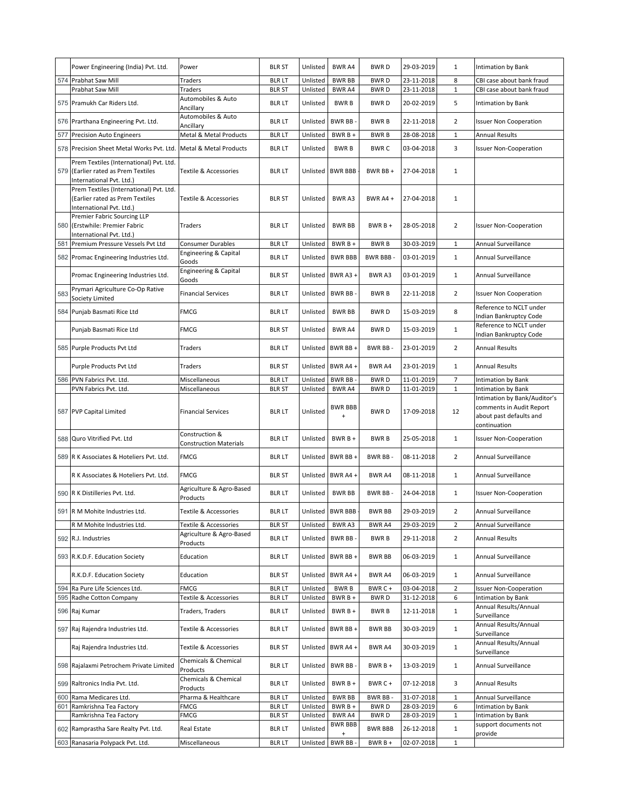|     | Power Engineering (India) Pvt. Ltd.                                                                    | Power                                           | <b>BLR ST</b>                  | Unlisted             | BWR A4                      | <b>BWRD</b>                | 29-03-2019               | $\mathbf{1}$   | Intimation by Bank                                                                                  |
|-----|--------------------------------------------------------------------------------------------------------|-------------------------------------------------|--------------------------------|----------------------|-----------------------------|----------------------------|--------------------------|----------------|-----------------------------------------------------------------------------------------------------|
|     | 574 Prabhat Saw Mill                                                                                   | Traders                                         | <b>BLR LT</b>                  | Unlisted             | <b>BWR BB</b>               | <b>BWRD</b>                | 23-11-2018               | 8              | CBI case about bank fraud                                                                           |
|     | Prabhat Saw Mill                                                                                       | <b>Traders</b>                                  | <b>BLR ST</b>                  | Unlisted             | BWR A4                      | <b>BWRD</b>                | 23-11-2018               | $\mathbf{1}$   | CBI case about bank fraud                                                                           |
|     | 575 Pramukh Car Riders Ltd.                                                                            | Automobiles & Auto<br>Ancillary                 | <b>BLR LT</b>                  | Unlisted             | <b>BWRB</b>                 | <b>BWRD</b>                | 20-02-2019               | 5              | Intimation by Bank                                                                                  |
|     | 576 Prarthana Engineering Pvt. Ltd.                                                                    | Automobiles & Auto<br>Ancillary                 | <b>BLR LT</b>                  | Unlisted             | <b>BWR BB</b>               | <b>BWRB</b>                | 22-11-2018               | $\overline{2}$ | <b>Issuer Non Cooperation</b>                                                                       |
|     | 577 Precision Auto Engineers                                                                           | Metal & Metal Products                          | <b>BLRLT</b>                   | Unlisted             | BWR B +                     | <b>BWRB</b>                | 28-08-2018               | $\mathbf{1}$   | <b>Annual Results</b>                                                                               |
|     | 578 Precision Sheet Metal Works Pvt. Ltd.                                                              | Metal & Metal Products                          | <b>BLRLT</b>                   | Unlisted             | <b>BWRB</b>                 | <b>BWRC</b>                | 03-04-2018               | 3              | <b>Issuer Non-Cooperation</b>                                                                       |
|     | Prem Textiles (International) Pvt. Ltd.                                                                |                                                 |                                |                      |                             |                            |                          |                |                                                                                                     |
|     | 579 (Earlier rated as Prem Textiles<br>International Pvt. Ltd.)                                        | Textile & Accessories                           | <b>BLR LT</b>                  | Unlisted             | <b>BWR BBB</b>              | BWR BB+                    | 27-04-2018               | $\mathbf{1}$   |                                                                                                     |
|     | Prem Textiles (International) Pvt. Ltd.<br>(Earlier rated as Prem Textiles<br>International Pvt. Ltd.) | Textile & Accessories                           | <b>BLR ST</b>                  | Unlisted             | <b>BWRA3</b>                | BWR A4 +                   | 27-04-2018               | $\mathbf{1}$   |                                                                                                     |
|     | Premier Fabric Sourcing LLP<br>580 (Erstwhile: Premier Fabric<br>International Pvt. Ltd.)              | Traders                                         | <b>BLR LT</b>                  | Unlisted             | <b>BWR BB</b>               | BWR B +                    | 28-05-2018               | $\overline{2}$ | <b>Issuer Non-Cooperation</b>                                                                       |
| 581 | Premium Pressure Vessels Pvt Ltd                                                                       | Consumer Durables                               | <b>BLR LT</b>                  | Unlisted             | BWR B +                     | <b>BWRB</b>                | 30-03-2019               | $\mathbf{1}$   | Annual Surveillance                                                                                 |
|     | 582 Promac Engineering Industries Ltd.                                                                 | Engineering & Capital<br>Goods                  | <b>BLR LT</b>                  | Unlisted             | <b>BWR BBB</b>              | <b>BWR BBB-</b>            | 03-01-2019               | $\mathbf{1}$   | Annual Surveillance                                                                                 |
|     | Promac Engineering Industries Ltd.                                                                     | Engineering & Capital<br>Goods                  | <b>BLR ST</b>                  | Unlisted             | BWR A3+                     | BWR A3                     | 03-01-2019               | $\mathbf{1}$   | Annual Surveillance                                                                                 |
| 583 | Prymari Agriculture Co-Op Rative<br>Society Limited                                                    | <b>Financial Services</b>                       | <b>BLR LT</b>                  | Unlisted             | BWR BB-                     | <b>BWRB</b>                | 22-11-2018               | $\overline{2}$ | <b>Issuer Non Cooperation</b>                                                                       |
|     | 584 Punjab Basmati Rice Ltd                                                                            | <b>FMCG</b>                                     | <b>BLR LT</b>                  | Unlisted             | <b>BWR BB</b>               | <b>BWRD</b>                | 15-03-2019               | 8              | Reference to NCLT under<br>Indian Bankruptcy Code                                                   |
|     | Punjab Basmati Rice Ltd                                                                                | <b>FMCG</b>                                     | <b>BLR ST</b>                  | Unlisted             | BWR A4                      | <b>BWRD</b>                | 15-03-2019               | $\mathbf{1}$   | Reference to NCLT under<br>Indian Bankruptcy Code                                                   |
|     | 585 Purple Products Pvt Ltd                                                                            | Traders                                         | <b>BLR LT</b>                  | Unlisted             | BWR BB +                    | BWR BB-                    | 23-01-2019               | $\overline{2}$ | <b>Annual Results</b>                                                                               |
|     | Purple Products Pvt Ltd                                                                                | Traders                                         | <b>BLR ST</b>                  | Unlisted             | BWR A4+                     | BWR A4                     | 23-01-2019               | $\mathbf{1}$   | <b>Annual Results</b>                                                                               |
|     | 586 PVN Fabrics Pvt. Ltd.                                                                              | Miscellaneous                                   | <b>BLRLT</b>                   | Unlisted             | BWR BB-                     | <b>BWRD</b>                | 11-01-2019               | $\overline{7}$ | Intimation by Bank                                                                                  |
|     | PVN Fabrics Pvt. Ltd.                                                                                  | Miscellaneous                                   | <b>BLR ST</b>                  | Unlisted             | BWR A4                      | <b>BWRD</b>                | 11-01-2019               | $\mathbf{1}$   | Intimation by Bank                                                                                  |
|     | 587 PVP Capital Limited                                                                                | <b>Financial Services</b>                       | <b>BLR LT</b>                  | Unlisted             | <b>BWR BBB</b><br>$\ddot{}$ | <b>BWRD</b>                | 17-09-2018               | 12             | Intimation by Bank/Auditor's<br>comments in Audit Report<br>about past defaults and<br>continuation |
|     | 588 Quro Vitrified Pvt. Ltd                                                                            | Construction &<br><b>Construction Materials</b> | <b>BLR LT</b>                  | Unlisted             | $BWRB +$                    | <b>BWRB</b>                | 25-05-2018               | $\mathbf{1}$   | <b>Issuer Non-Cooperation</b>                                                                       |
|     | 589 R K Associates & Hoteliers Pvt. Ltd.                                                               | FMCG                                            | <b>BLR LT</b>                  | Unlisted             | BWR BB+                     | BWR BB-                    | 08-11-2018               | $\overline{2}$ | Annual Surveillance                                                                                 |
|     | R K Associates & Hoteliers Pvt. Ltd.                                                                   | <b>FMCG</b>                                     | <b>BLR ST</b>                  | Unlisted             | BWR A4 +                    | BWR A4                     | 08-11-2018               | $\mathbf{1}$   | Annual Surveillance                                                                                 |
|     | 590 R K Distilleries Pvt. Ltd.                                                                         | Agriculture & Agro-Based<br>Products            | <b>BLR LT</b>                  | Unlisted             | <b>BWR BB</b>               | BWR BB-                    | 24-04-2018               | $\mathbf{1}$   | <b>Issuer Non-Cooperation</b>                                                                       |
|     | 591 R M Mohite Industries Ltd.                                                                         | Textile & Accessories                           | <b>BLR LT</b>                  |                      | Unlisted BWR BBB -          | <b>BWR BB</b>              | 29-03-2019               | 2              | Annual Surveillance                                                                                 |
|     | R M Mohite Industries Ltd.                                                                             | Textile & Accessories                           | <b>BLR ST</b>                  | Unlisted             | BWR A3                      | BWR A4                     | 29-03-2019               | $\overline{2}$ | Annual Surveillance                                                                                 |
|     | 592 R.J. Industries                                                                                    | Agriculture & Agro-Based<br>Products            | <b>BLR LT</b>                  | Unlisted             | BWR BB-                     | <b>BWRB</b>                | 29-11-2018               | $\overline{2}$ | <b>Annual Results</b>                                                                               |
|     | 593 R.K.D.F. Education Society                                                                         | Education                                       | <b>BLRLT</b>                   | Unlisted             | BWR BB+                     |                            |                          | $\mathbf{1}$   | Annual Surveillance                                                                                 |
|     |                                                                                                        |                                                 |                                |                      |                             | <b>BWR BB</b>              | 06-03-2019               |                |                                                                                                     |
|     | R.K.D.F. Education Society                                                                             | Education                                       | <b>BLR ST</b>                  | Unlisted             | BWR A4+                     | BWR A4                     | 06-03-2019               | $\mathbf{1}$   | Annual Surveillance                                                                                 |
|     | 594 Ra Pure Life Sciences Ltd.                                                                         | <b>FMCG</b>                                     | <b>BLRLT</b>                   | Unlisted             | <b>BWRB</b>                 | BWR C+                     | 03-04-2018               | $\overline{2}$ | <b>Issuer Non-Cooperation</b>                                                                       |
|     | 595 Radhe Cotton Company                                                                               | Textile & Accessories                           | <b>BLRLT</b>                   | Unlisted             | BWR B +                     | <b>BWRD</b>                | 31-12-2018               | 6              | <b>Intimation by Bank</b>                                                                           |
| 596 | Raj Kumar                                                                                              | Traders, Traders                                | <b>BLR LT</b>                  | Unlisted             | $BWRB +$                    | <b>BWRB</b>                | 12-11-2018               | $\mathbf{1}$   | Annual Results/Annual<br>Surveillance                                                               |
|     | 597 Raj Rajendra Industries Ltd.                                                                       | Textile & Accessories                           | <b>BLR LT</b>                  | Unlisted             | BWR BB+                     | <b>BWR BB</b>              | 30-03-2019               | $\mathbf{1}$   | Annual Results/Annual<br>Surveillance                                                               |
|     | Raj Rajendra Industries Ltd.                                                                           | Textile & Accessories                           | <b>BLR ST</b>                  | Unlisted             | BWR A4+                     | <b>BWR A4</b>              | 30-03-2019               | $\mathbf{1}$   | Annual Results/Annual<br>Surveillance                                                               |
|     | 598 Rajalaxmi Petrochem Private Limited                                                                | Chemicals & Chemical<br>Products                | <b>BLR LT</b>                  | Unlisted             | BWR BB-                     | BWR B +                    | 13-03-2019               | $\mathbf{1}$   | Annual Surveillance                                                                                 |
|     | 599 Raltronics India Pvt. Ltd.                                                                         | Chemicals & Chemical<br>Products                | <b>BLR LT</b>                  | Unlisted             | $BWRB +$                    | BWR C+                     | 07-12-2018               | 3              | <b>Annual Results</b>                                                                               |
| 600 | Rama Medicares Ltd.                                                                                    | Pharma & Healthcare                             | <b>BLR LT</b>                  | Unlisted             | <b>BWR BB</b>               | BWR BB-                    | 31-07-2018               | $\mathbf{1}$   | Annual Surveillance                                                                                 |
|     | 601 Ramkrishna Tea Factory                                                                             | FMCG<br>FMCG                                    | <b>BLR LT</b>                  | Unlisted             | $BWRB +$<br>BWR A4          | <b>BWRD</b><br><b>BWRD</b> | 28-03-2019               | 6<br>$1\,$     | Intimation by Bank<br>Intimation by Bank                                                            |
|     | Ramkrishna Tea Factory<br>602 Ramprastha Sare Realty Pvt. Ltd.                                         | Real Estate                                     | <b>BLR ST</b><br><b>BLR LT</b> | Unlisted<br>Unlisted | <b>BWR BBB</b><br>$\ddot{}$ | <b>BWR BBB</b>             | 28-03-2019<br>26-12-2018 | $\mathbf{1}$   | support documents not<br>provide                                                                    |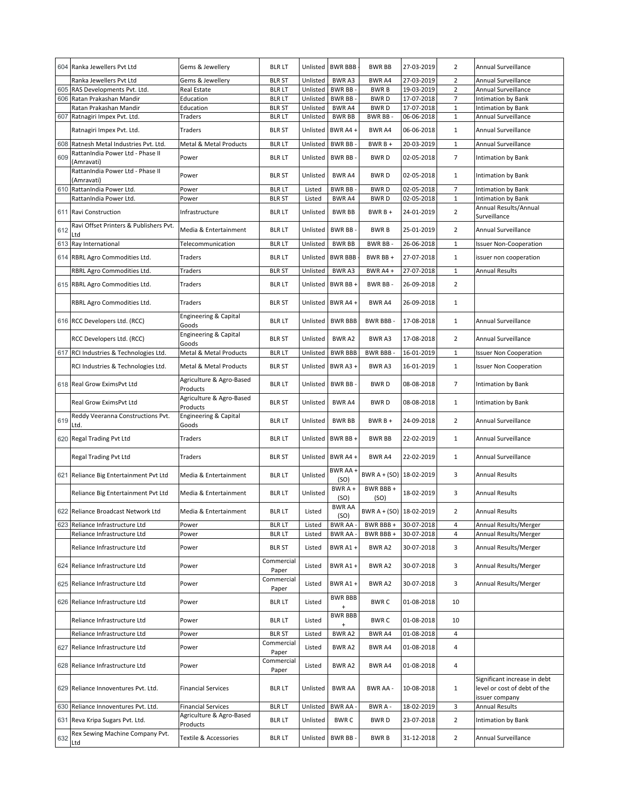|     | 604 Ranka Jewellers Pvt Ltd                      | Gems & Jewellery                     | <b>BLR LT</b>                 | Unlisted             | <b>BWR BBB</b>              | <b>BWR BB</b>              | 27-03-2019               | $\overline{2}$    | Annual Surveillance                                                            |
|-----|--------------------------------------------------|--------------------------------------|-------------------------------|----------------------|-----------------------------|----------------------------|--------------------------|-------------------|--------------------------------------------------------------------------------|
|     | Ranka Jewellers Pvt Ltd                          | Gems & Jewellery                     | <b>BLR ST</b>                 | Unlisted             | <b>BWRA3</b>                | BWR A4                     | 27-03-2019               | $\overline{2}$    | Annual Surveillance                                                            |
| 605 | RAS Developments Pvt. Ltd.                       | Real Estate                          | <b>BLR LT</b>                 | Unlisted             | BWR BB-                     | <b>BWRB</b>                | 19-03-2019               | $\overline{2}$    | Annual Surveillance                                                            |
| 606 | Ratan Prakashan Mandir<br>Ratan Prakashan Mandir | Education<br>Education               | <b>BLRLT</b><br><b>BLR ST</b> | Unlisted<br>Unlisted | BWR BB-<br>BWR A4           | <b>BWRD</b><br><b>BWRD</b> | 17-07-2018<br>17-07-2018 | 7<br>$\mathbf{1}$ | Intimation by Bank<br>Intimation by Bank                                       |
| 607 | Ratnagiri Impex Pvt. Ltd.                        | Traders                              | <b>BLR LT</b>                 | Unlisted             | <b>BWR BB</b>               | BWR BB-                    | 06-06-2018               | $\mathbf 1$       | Annual Surveillance                                                            |
|     | Ratnagiri Impex Pvt. Ltd.                        | Traders                              | <b>BLR ST</b>                 | Unlisted             | BWR A4 +                    | BWR A4                     | 06-06-2018               | $\mathbf{1}$      | Annual Surveillance                                                            |
| 608 | Ratnesh Metal Industries Pvt. Ltd.               | Metal & Metal Products               | <b>BLRLT</b>                  | Unlisted             | <b>BWR BB</b>               | BWR B +                    | 20-03-2019               | $\mathbf{1}$      | Annual Surveillance                                                            |
| 609 | RattanIndia Power Ltd - Phase II<br>Amravati)    | Power                                | <b>BLR LT</b>                 | Unlisted             | <b>BWR BB</b>               | <b>BWRD</b>                | 02-05-2018               | $\overline{7}$    | Intimation by Bank                                                             |
|     | RattanIndia Power Ltd - Phase II<br>(Amravati)   | Power                                | <b>BLR ST</b>                 | Unlisted             | <b>BWRA4</b>                | <b>BWRD</b>                | 02-05-2018               | $\mathbf{1}$      | Intimation by Bank                                                             |
| 610 | RattanIndia Power Ltd.                           | Power                                | <b>BLR LT</b>                 | Listed               | BWR BB-                     | <b>BWRD</b>                | 02-05-2018               | 7                 | Intimation by Bank                                                             |
|     | RattanIndia Power Ltd.                           | Power                                | <b>BLR ST</b>                 | Listed               | BWR A4                      | <b>BWRD</b>                | 02-05-2018               | $\mathbf{1}$      | Intimation by Bank                                                             |
| 611 | Ravi Construction                                | Infrastructure                       | <b>BLR LT</b>                 | Unlisted             | <b>BWR BB</b>               | BWR B +                    | 24-01-2019               | $\overline{2}$    | Annual Results/Annual<br>Surveillance                                          |
| 612 | Ravi Offset Printers & Publishers Pvt.<br>Ltd    | Media & Entertainment                | <b>BLR LT</b>                 | Unlisted             | BWR BB-                     | <b>BWRB</b>                | 25-01-2019               | $\overline{2}$    | Annual Surveillance                                                            |
|     | 613 Ray International                            | Telecommunication                    | <b>BLRLT</b>                  | Unlisted             | <b>BWR BB</b>               | BWR BB-                    | 26-06-2018               | $\mathbf{1}$      | <b>Issuer Non-Cooperation</b>                                                  |
|     | 614 RBRL Agro Commodities Ltd.                   | Traders                              | <b>BLR LT</b>                 | Unlisted             | <b>BWR BBB</b>              | BWR BB +                   | 27-07-2018               | $\mathbf{1}$      | issuer non cooperation                                                         |
|     | RBRL Agro Commodities Ltd.                       | Traders                              | <b>BLR ST</b>                 | Unlisted             | BWR A3                      | BWR A4 +                   | 27-07-2018               | $\mathbf{1}$      | <b>Annual Results</b>                                                          |
|     | 615 RBRL Agro Commodities Ltd.                   | Traders                              | <b>BLRLT</b>                  | Unlisted             | BWR BB+                     | BWR BB-                    | 26-09-2018               | $\overline{2}$    |                                                                                |
|     | RBRL Agro Commodities Ltd.                       | Traders                              | <b>BLR ST</b>                 | Unlisted             | BWR A4+                     | BWR A4                     | 26-09-2018               | $\mathbf{1}$      |                                                                                |
|     | 616 RCC Developers Ltd. (RCC)                    | Engineering & Capital<br>Goods       | <b>BLR LT</b>                 | Unlisted             | <b>BWR BBB</b>              | <b>BWR BBB-</b>            | 17-08-2018               | 1                 | Annual Surveillance                                                            |
|     | RCC Developers Ltd. (RCC)                        | Engineering & Capital<br>Goods       | <b>BLR ST</b>                 | Unlisted             | BWR A2                      | BWR A3                     | 17-08-2018               | 2                 | Annual Surveillance                                                            |
|     | 617 RCI Industries & Technologies Ltd.           | Metal & Metal Products               | <b>BLRLT</b>                  | Unlisted             | <b>BWR BBB</b>              | <b>BWR BBB-</b>            | 16-01-2019               | $\mathbf{1}$      | <b>Issuer Non Cooperation</b>                                                  |
|     | RCI Industries & Technologies Ltd.               | Metal & Metal Products               | <b>BLR ST</b>                 | Unlisted             | BWR A3+                     | BWR A3                     | 16-01-2019               | $\mathbf{1}$      | <b>Issuer Non Cooperation</b>                                                  |
|     | 618 Real Grow EximsPvt Ltd                       | Agriculture & Agro-Based<br>Products | <b>BLR LT</b>                 | Unlisted             | BWR BB-                     | <b>BWRD</b>                | 08-08-2018               | $\overline{7}$    | Intimation by Bank                                                             |
|     | Real Grow EximsPvt Ltd                           | Agriculture & Agro-Based<br>Products | <b>BLR ST</b>                 | Unlisted             | <b>BWRA4</b>                | <b>BWRD</b>                | 08-08-2018               | $\mathbf{1}$      | Intimation by Bank                                                             |
| 619 | Reddy Veeranna Constructions Pvt.<br>Ltd.        | Engineering & Capital<br>Goods       | <b>BLR LT</b>                 | Unlisted             | <b>BWR BB</b>               | BWR B +                    | 24-09-2018               | $\overline{2}$    | Annual Surveillance                                                            |
|     | 620 Regal Trading Pvt Ltd                        | Traders                              | <b>BLR LT</b>                 | Unlisted             | BWR BB+                     | <b>BWR BB</b>              | 22-02-2019               | $\mathbf{1}$      | Annual Surveillance                                                            |
|     | Regal Trading Pvt Ltd                            | Traders                              | <b>BLR ST</b>                 | Unlisted             | BWR A4+                     | BWR A4                     | 22-02-2019               | 1                 | Annual Surveillance                                                            |
|     | 621 Reliance Big Entertainment Pvt Ltd           | Media & Entertainment                | <b>BLR LT</b>                 | Unlisted             | BWR AA +<br>(SO)            | BWR A + (SO) 18-02-2019    |                          | 3                 | <b>Annual Results</b>                                                          |
|     | Reliance Big Entertainment Pvt Ltd               | Media & Entertainment                | <b>BLRLT</b>                  | Unlisted             | BWR A +<br>(SO)             | BWR BBB +<br>(SO)          | 18-02-2019               | 3                 | Annual Results                                                                 |
|     | 622 Reliance Broadcast Network Ltd               | Media & Entertainment                | <b>BLR LT</b>                 | Listed               | <b>BWR AA</b><br>(SO)       | BWR A + (SO) 18-02-2019    |                          | $\overline{2}$    | <b>Annual Results</b>                                                          |
| 623 | Reliance Infrastructure Ltd                      | Power                                | <b>BLR LT</b>                 | Listed               | BWR AA -                    | BWR BBB +                  | 30-07-2018               | 4                 | Annual Results/Merger                                                          |
|     | Reliance Infrastructure Ltd                      | Power                                | <b>BLR LT</b>                 | Listed               | <b>BWR AA</b>               | BWR BBB +                  | 30-07-2018               | 4                 | Annual Results/Merger                                                          |
|     | Reliance Infrastructure Ltd                      | Power                                | <b>BLR ST</b><br>Commercial   | Listed               | BWR A1+                     | BWR A2                     | 30-07-2018               | 3                 | Annual Results/Merger                                                          |
|     | 624 Reliance Infrastructure Ltd                  | Power                                | Paper                         | Listed               | BWR A1+                     | BWR A2                     | 30-07-2018               | 3                 | Annual Results/Merger                                                          |
|     | 625 Reliance Infrastructure Ltd                  | Power                                | Commercial<br>Paper           | Listed               | BWR A1+                     | BWR A2                     | 30-07-2018               | 3                 | <b>Annual Results/Merger</b>                                                   |
| 626 | Reliance Infrastructure Ltd                      | Power                                | <b>BLR LT</b>                 | Listed               | <b>BWR BBB</b>              | <b>BWRC</b>                | 01-08-2018               | 10                |                                                                                |
|     | Reliance Infrastructure Ltd                      | Power                                | <b>BLR LT</b>                 | Listed               | <b>BWR BBB</b><br>$\ddot{}$ | <b>BWRC</b>                | 01-08-2018               | 10                |                                                                                |
|     | Reliance Infrastructure Ltd                      | Power                                | <b>BLR ST</b>                 | Listed               | BWR A2                      | BWR A4                     | 01-08-2018               | 4                 |                                                                                |
| 627 | Reliance Infrastructure Ltd                      | Power                                | Commercial<br>Paper           | Listed               | BWR A2                      | BWR A4                     | 01-08-2018               | 4                 |                                                                                |
| 628 | Reliance Infrastructure Ltd                      | Power                                | Commercial<br>Paper           | Listed               | <b>BWRA2</b>                | <b>BWR A4</b>              | 01-08-2018               | 4                 |                                                                                |
|     | 629 Reliance Innoventures Pvt. Ltd.              | <b>Financial Services</b>            | <b>BLR LT</b>                 | Unlisted             | <b>BWR AA</b>               | BWR AA -                   | 10-08-2018               | $\mathbf{1}$      | Significant increase in debt<br>level or cost of debt of the<br>issuer company |
| 630 | Reliance Innoventures Pvt. Ltd.                  | <b>Financial Services</b>            | <b>BLRLT</b>                  | Unlisted             | <b>BWR AA</b>               | BWR A -                    | 18-02-2019               | 3                 | <b>Annual Results</b>                                                          |
|     | 631 Reva Kripa Sugars Pvt. Ltd.                  | Agriculture & Agro-Based<br>Products | <b>BLR LT</b>                 | Unlisted             | <b>BWRC</b>                 | <b>BWRD</b>                | 23-07-2018               | $\overline{2}$    | Intimation by Bank                                                             |
| 632 | Rex Sewing Machine Company Pvt.<br>Ltd           | Textile & Accessories                | <b>BLR LT</b>                 | Unlisted             | BWR BB-                     | <b>BWRB</b>                | 31-12-2018               | $\overline{2}$    | Annual Surveillance                                                            |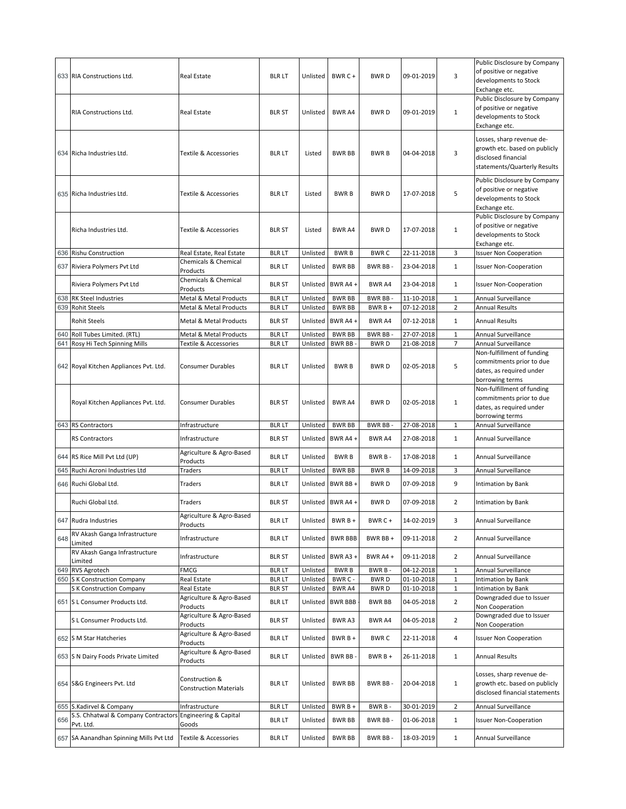|     | 633 RIA Constructions Ltd.                                   | Real Estate                                      | <b>BLR LT</b>                 | Unlisted             | BWR C +                        | <b>BWRD</b>            | 09-01-2019               | 3                              | Public Disclosure by Company<br>of positive or negative<br>developments to Stock<br>Exchange etc.                 |
|-----|--------------------------------------------------------------|--------------------------------------------------|-------------------------------|----------------------|--------------------------------|------------------------|--------------------------|--------------------------------|-------------------------------------------------------------------------------------------------------------------|
|     | RIA Constructions Ltd.                                       | <b>Real Estate</b>                               | <b>BLR ST</b>                 | Unlisted             | <b>BWR A4</b>                  | <b>BWRD</b>            | 09-01-2019               | $\mathbf{1}$                   | Public Disclosure by Company<br>of positive or negative<br>developments to Stock<br>Exchange etc.                 |
|     | 634 Richa Industries Ltd.                                    | Textile & Accessories                            | <b>BLR LT</b>                 | Listed               | <b>BWR BB</b>                  | <b>BWRB</b>            | 04-04-2018               | 3                              | Losses, sharp revenue de-<br>growth etc. based on publicly<br>disclosed financial<br>statements/Quarterly Results |
|     | 635 Richa Industries Ltd.                                    | Textile & Accessories                            | <b>BLR LT</b>                 | Listed               | <b>BWRB</b>                    | <b>BWRD</b>            | 17-07-2018               | 5                              | Public Disclosure by Company<br>of positive or negative<br>developments to Stock<br>Exchange etc.                 |
|     | Richa Industries Ltd.                                        | Textile & Accessories                            | <b>BLR ST</b>                 | Listed               | BWR A4                         | <b>BWRD</b>            | 17-07-2018               | $\mathbf{1}$                   | Public Disclosure by Company<br>of positive or negative<br>developments to Stock<br>Exchange etc.                 |
|     | 636 Rishu Construction                                       | Real Estate, Real Estate<br>Chemicals & Chemical | <b>BLRLT</b>                  | Unlisted             | <b>BWRB</b>                    | <b>BWRC</b>            | 22-11-2018               | 3                              | <b>Issuer Non Cooperation</b>                                                                                     |
|     | 637 Riviera Polymers Pvt Ltd                                 | Products                                         | <b>BLR LT</b>                 | Unlisted             | <b>BWR BB</b>                  | BWR BB-                | 23-04-2018               | $\mathbf{1}$                   | <b>Issuer Non-Cooperation</b>                                                                                     |
|     | Riviera Polymers Pvt Ltd                                     | Chemicals & Chemical<br>Products                 | <b>BLR ST</b>                 | Unlisted             | BWR A4+                        | <b>BWR A4</b>          | 23-04-2018               | $\mathbf{1}$                   | <b>Issuer Non-Cooperation</b>                                                                                     |
| 638 | RK Steel Industries<br><b>Rohit Steels</b>                   | Metal & Metal Products<br>Metal & Metal Products | <b>BLR LT</b>                 | Unlisted<br>Unlisted | <b>BWR BB</b>                  | BWR BB-                | 11-10-2018               | $\mathbf 1$<br>$\overline{2}$  | Annual Surveillance<br><b>Annual Results</b>                                                                      |
| 639 |                                                              |                                                  | <b>BLR LT</b>                 |                      | <b>BWR BB</b>                  | BWR B +                | 07-12-2018               |                                |                                                                                                                   |
|     | <b>Rohit Steels</b>                                          | Metal & Metal Products                           | <b>BLR ST</b>                 | Unlisted             | BWR A4+                        | <b>BWR A4</b>          | 07-12-2018               | $\mathbf{1}$                   | Annual Results                                                                                                    |
| 640 | Roll Tubes Limited. (RTL)<br>641 Rosy Hi Tech Spinning Mills | Metal & Metal Products<br>Textile & Accessories  | <b>BLR LT</b><br><b>BLRLT</b> | Unlisted<br>Unlisted | <b>BWR BB</b><br><b>BWR BB</b> | BWR BB-<br><b>BWRD</b> | 27-07-2018<br>21-08-2018 | $\mathbf{1}$<br>$\overline{7}$ | <b>Annual Surveillance</b><br>Annual Surveillance                                                                 |
|     | 642 Royal Kitchen Appliances Pvt. Ltd.                       | Consumer Durables                                | <b>BLR LT</b>                 | Unlisted             | <b>BWRB</b>                    | <b>BWRD</b>            | 02-05-2018               | 5                              | Non-fulfillment of funding<br>commitments prior to due<br>dates, as required under<br>borrowing terms             |
|     | Royal Kitchen Appliances Pvt. Ltd.                           | Consumer Durables                                | <b>BLR ST</b>                 | Unlisted             | <b>BWR A4</b>                  | <b>BWRD</b>            | 02-05-2018               | $\mathbf{1}$                   | Non-fulfillment of funding<br>commitments prior to due<br>dates, as required under<br>borrowing terms             |
|     | 643 RS Contractors                                           | Infrastructure                                   | <b>BLR LT</b>                 | Unlisted             | <b>BWR BB</b>                  | BWR BB-                | 27-08-2018               | $\mathbf{1}$                   | Annual Surveillance                                                                                               |
|     | RS Contractors                                               | Infrastructure                                   | <b>BLR ST</b>                 | Unlisted             | BWR A4+                        | BWR A4                 | 27-08-2018               | $\mathbf{1}$                   | Annual Surveillance                                                                                               |
|     | 644 RS Rice Mill Pvt Ltd (UP)                                | Agriculture & Agro-Based<br>Products             | <b>BLR LT</b>                 | Unlisted             | <b>BWRB</b>                    | BWR B-                 | 17-08-2018               | $\mathbf{1}$                   | Annual Surveillance                                                                                               |
| 645 | Ruchi Acroni Industries Ltd                                  | Traders                                          | <b>BLRLT</b>                  | Unlisted             | <b>BWR BB</b>                  | <b>BWRB</b>            | 14-09-2018               | 3                              | Annual Surveillance                                                                                               |
|     | 646 Ruchi Global Ltd.                                        | Traders                                          | <b>BLR LT</b>                 | Unlisted             | BWR BB +                       | <b>BWRD</b>            | 07-09-2018               | 9                              | Intimation by Bank                                                                                                |
|     | Ruchi Global Ltd.                                            | Traders                                          | <b>BLR ST</b>                 | Unlisted             | BWR A4 +                       | <b>BWRD</b>            | 07-09-2018               | $\overline{2}$                 | Intimation by Bank                                                                                                |
|     | 647 Rudra Industries                                         | Agriculture & Agro-Based<br>Products             | <b>BLR LT</b>                 | Unlisted             | BWR B +                        | BWR C+                 | 14-02-2019               | 3                              | Annual Surveillance                                                                                               |
| 648 | RV Akash Ganga Infrastructure<br>Limited                     | Infrastructure                                   | <b>BLR LT</b>                 | Unlisted             | <b>BWR BBB</b>                 | BWR BB+                | 09-11-2018               | $\overline{2}$                 | Annual Surveillance                                                                                               |
|     | RV Akash Ganga Infrastructure<br>Limited                     | Infrastructure                                   | <b>BLR ST</b>                 | Unlisted             | BWR A3+                        | BWR A4 +               | 09-11-2018               | $\overline{2}$                 | Annual Surveillance                                                                                               |
|     | 649 RVS Agrotech                                             | <b>FMCG</b>                                      | <b>BLR LT</b>                 | Unlisted             | <b>BWRB</b>                    | BWR B-                 | 04-12-2018               | $\mathbf{1}$                   | Annual Surveillance                                                                                               |
|     | 650 S K Construction Company                                 | Real Estate                                      | <b>BLRLT</b>                  | Unlisted             | BWR C -                        | <b>BWRD</b>            | 01-10-2018               | $1\,$                          | Intimation by Bank                                                                                                |
|     | S K Construction Company                                     | Real Estate<br>Agriculture & Agro-Based          | <b>BLR ST</b>                 | Unlisted             | BWR A4                         | <b>BWRD</b>            | 01-10-2018               | $\mathbf{1}$                   | Intimation by Bank<br>Downgraded due to Issuer                                                                    |
|     | 651 S L Consumer Products Ltd.                               | Products                                         | <b>BLR LT</b>                 | Unlisted             | <b>BWR BBB</b>                 | <b>BWR BB</b>          | 04-05-2018               | $\overline{2}$                 | Non Cooperation                                                                                                   |
|     | S L Consumer Products Ltd.                                   | Agriculture & Agro-Based<br>Products             | <b>BLR ST</b>                 | Unlisted             | BWR A3                         | BWR A4                 | 04-05-2018               | $\overline{2}$                 | Downgraded due to Issuer<br>Non Cooperation                                                                       |
|     | 652 S M Star Hatcheries                                      | Agriculture & Agro-Based<br>Products             | <b>BLR LT</b>                 | Unlisted             | BWR B +                        | <b>BWRC</b>            | 22-11-2018               | 4                              | <b>Issuer Non Cooperation</b>                                                                                     |
|     | 653 S N Dairy Foods Private Limited                          | Agriculture & Agro-Based<br>Products             | <b>BLR LT</b>                 | Unlisted             | BWR BB-                        | BWR B +                | 26-11-2018               | $\mathbf{1}$                   | <b>Annual Results</b>                                                                                             |
|     | 654 S&G Engineers Pvt. Ltd                                   | Construction &<br><b>Construction Materials</b>  | <b>BLR LT</b>                 | Unlisted             | <b>BWR BB</b>                  | BWR BB-                | 20-04-2018               | $\mathbf{1}$                   | Losses, sharp revenue de-<br>growth etc. based on publicly<br>disclosed financial statements                      |
|     | 655 S.Kadirvel & Company                                     | Infrastructure                                   | <b>BLR LT</b>                 | Unlisted             | BWR B +                        | BWR B-                 | 30-01-2019               | $\overline{2}$                 | Annual Surveillance                                                                                               |
| 656 |                                                              |                                                  |                               |                      |                                |                        |                          |                                |                                                                                                                   |
|     | S.S. Chhatwal & Company Contractors<br>Pvt. Ltd.             | <b>Engineering &amp; Capital</b><br>Goods        | <b>BLR LT</b>                 | Unlisted             | <b>BWR BB</b>                  | BWR BB-                | 01-06-2018               | $\mathbf{1}$                   | <b>Issuer Non-Cooperation</b>                                                                                     |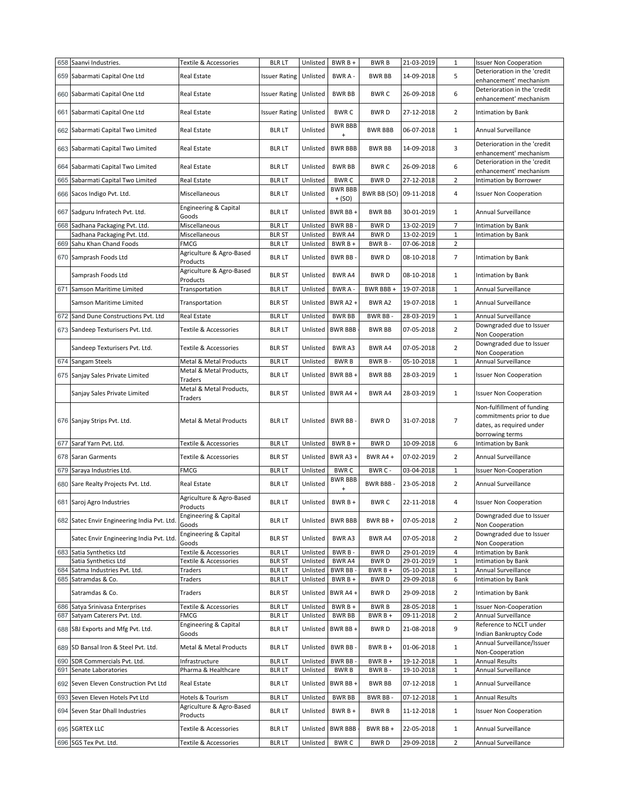| 658 | Saanvi Industries.                                                 | Textile & Accessories                | <b>BLR LT</b>                  | Unlisted             | BWR B +                     | <b>BWRB</b>                | 21-03-2019               | $\mathbf{1}$                 | <b>Issuer Non Cooperation</b>                                                                         |
|-----|--------------------------------------------------------------------|--------------------------------------|--------------------------------|----------------------|-----------------------------|----------------------------|--------------------------|------------------------------|-------------------------------------------------------------------------------------------------------|
| 659 | Sabarmati Capital One Ltd                                          | Real Estate                          | <b>Issuer Rating</b>           | Unlisted             | BWR A -                     | <b>BWR BB</b>              | 14-09-2018               | 5                            | Deterioration in the 'credit<br>enhancement' mechanism                                                |
|     | 660 Sabarmati Capital One Ltd                                      | Real Estate                          | <b>Issuer Rating</b>           | Unlisted             | <b>BWR BB</b>               | <b>BWRC</b>                | 26-09-2018               | 6                            | Deterioration in the 'credit<br>enhancement' mechanism                                                |
|     | 661 Sabarmati Capital One Ltd                                      | Real Estate                          | <b>Issuer Rating</b>           | Unlisted             | <b>BWRC</b>                 | <b>BWRD</b>                | 27-12-2018               | $\overline{2}$               | Intimation by Bank                                                                                    |
|     | 662 Sabarmati Capital Two Limited                                  | Real Estate                          | <b>BLR LT</b>                  | Unlisted             | <b>BWR BBB</b><br>$\ddot{}$ | <b>BWR BBB</b>             | 06-07-2018               | $\mathbf{1}$                 | Annual Surveillance                                                                                   |
|     | 663 Sabarmati Capital Two Limited                                  | Real Estate                          | <b>BLR LT</b>                  | Unlisted             | <b>BWR BBB</b>              | <b>BWR BB</b>              | 14-09-2018               | 3                            | Deterioration in the 'credit<br>enhancement' mechanism                                                |
| 664 | Sabarmati Capital Two Limited                                      | Real Estate                          | <b>BLR LT</b>                  | Unlisted             | <b>BWR BB</b>               | <b>BWRC</b>                | 26-09-2018               | 6                            | Deterioration in the 'credit<br>enhancement' mechanism                                                |
| 665 | Sabarmati Capital Two Limited                                      | Real Estate                          | <b>BLRLT</b>                   | Unlisted             | <b>BWRC</b>                 | <b>BWRD</b>                | 27-12-2018               | $\overline{2}$               | Intimation by Borrower                                                                                |
| 666 | Sacos Indigo Pvt. Ltd.                                             | Miscellaneous                        | <b>BLRLT</b>                   | Unlisted             | <b>BWR BBB</b><br>$+ (SO)$  | <b>BWR BB (SO)</b>         | 09-11-2018               | $\overline{4}$               | <b>Issuer Non Cooperation</b>                                                                         |
| 667 | Sadguru Infratech Pvt. Ltd.                                        | Engineering & Capital<br>Goods       | <b>BLR LT</b>                  | Unlisted             | BWR BB +                    | <b>BWR BB</b>              | 30-01-2019               | $\mathbf{1}$                 | Annual Surveillance                                                                                   |
| 668 | Sadhana Packaging Pvt. Ltd.                                        | Miscellaneous                        | <b>BLRLT</b>                   | Unlisted             | <b>BWR BB</b>               | <b>BWRD</b>                | 13-02-2019               | $\overline{7}$               | Intimation by Bank                                                                                    |
|     | Sadhana Packaging Pvt. Ltd.                                        | Miscellaneous                        | <b>BLR ST</b>                  | Unlisted             | BWR A4                      | <b>BWRD</b>                | 13-02-2019               | $\mathbf{1}$                 | Intimation by Bank                                                                                    |
| 669 | Sahu Khan Chand Foods                                              | <b>FMCG</b>                          | <b>BLRLT</b>                   | Unlisted             | BWR B +                     | BWR B-                     | 07-06-2018               | $\overline{2}$               |                                                                                                       |
|     | 670 Samprash Foods Ltd                                             | Agriculture & Agro-Based<br>Products | <b>BLR LT</b>                  | Unlisted             | BWR BB-                     | <b>BWRD</b>                | 08-10-2018               | $\overline{7}$               | Intimation by Bank                                                                                    |
|     | Samprash Foods Ltd                                                 | Agriculture & Agro-Based<br>Products | <b>BLR ST</b>                  | Unlisted             | BWR A4                      | <b>BWRD</b>                | 08-10-2018               | $\mathbf{1}$                 | Intimation by Bank                                                                                    |
| 671 | Samson Maritime Limited                                            | Transportation                       | <b>BLRLT</b>                   | Unlisted             | <b>BWRA-</b>                | BWR BBB +                  | 19-07-2018               | $\mathbf{1}$                 | Annual Surveillance                                                                                   |
|     | Samson Maritime Limited                                            | Transportation                       | <b>BLR ST</b>                  | Unlisted             | BWR A2+                     | BWR A2                     | 19-07-2018               | $\mathbf{1}$                 | Annual Surveillance                                                                                   |
| 672 | Sand Dune Constructions Pvt. Ltd                                   | Real Estate                          | <b>BLRLT</b>                   | Unlisted             | <b>BWR BB</b>               | BWR BB-                    | 28-03-2019               | $\mathbf{1}$                 | Annual Surveillance                                                                                   |
|     | 673 Sandeep Texturisers Pvt. Ltd.                                  | Textile & Accessories                | <b>BLRLT</b>                   | Unlisted             | <b>BWR BBB</b>              | <b>BWR BB</b>              | 07-05-2018               | $\overline{2}$               | Downgraded due to Issuer<br>Non Cooperation                                                           |
|     | Sandeep Texturisers Pvt. Ltd.                                      | Textile & Accessories                | <b>BLR ST</b>                  | Unlisted             | BWR A3                      | BWR A4                     | 07-05-2018               | $\overline{2}$               | Downgraded due to Issuer<br>Non Cooperation                                                           |
|     | 674 Sangam Steels                                                  | Metal & Metal Products               | <b>BLR LT</b>                  | Unlisted             | <b>BWRB</b>                 | BWR B-                     | 05-10-2018               | $\mathbf 1$                  | Annual Surveillance                                                                                   |
|     | 675 Sanjay Sales Private Limited                                   | Metal & Metal Products,<br>Traders   | <b>BLR LT</b>                  | Unlisted             | BWR BB+                     | BWR BB                     | 28-03-2019               | 1                            | <b>Issuer Non Cooperation</b>                                                                         |
|     | Sanjay Sales Private Limited                                       | Metal & Metal Products,<br>Traders   | <b>BLR ST</b>                  | Unlisted             | BWR A4+                     | BWR A4                     | 28-03-2019               | $\mathbf{1}$                 | <b>Issuer Non Cooperation</b>                                                                         |
|     | 676 Sanjay Strips Pvt. Ltd.                                        | Metal & Metal Products               | <b>BLR LT</b>                  | Unlisted             | BWR BB-                     | <b>BWRD</b>                | 31-07-2018               | $\overline{7}$               | Non-fulfillment of funding<br>commitments prior to due<br>dates, as required under<br>borrowing terms |
| 677 | Saraf Yarn Pvt. Ltd.                                               | Textile & Accessories                | <b>BLRLT</b>                   | Unlisted             | BWR B +                     | <b>BWRD</b>                | 10-09-2018               | 6                            | <b>Intimation by Bank</b>                                                                             |
|     | 678 Saran Garments                                                 | Textile & Accessories                | <b>BLR ST</b>                  | Unlisted             | BWR A3+                     | BWR A4 +                   | 07-02-2019               | $\overline{2}$               | Annual Surveillance                                                                                   |
| 679 | Saraya Industries Ltd.                                             | <b>FMCG</b>                          | <b>BLRLT</b>                   | Unlisted             | <b>BWRC</b>                 | BWR C -                    | 03-04-2018               | $\mathbf{1}$                 | <b>Issuer Non-Cooperation</b>                                                                         |
|     | 680 Sare Realty Projects Pvt. Ltd.                                 | Real Estate                          | <b>BLR LT</b>                  | Unlisted             | <b>BWR BBB</b><br>$\ddot{}$ | <b>BWR BBB-</b>            | 23-05-2018               | $\overline{2}$               | Annual Surveillance                                                                                   |
|     | 681 Saroj Agro Industries                                          | Agriculture & Agro-Based<br>Products | <b>BLR LT</b>                  | Unlisted             | $BWRB +$                    | <b>BWRC</b>                | 22-11-2018               | 4                            | <b>Issuer Non Cooperation</b>                                                                         |
|     | 682 Satec Envir Engineering India Pvt. Ltd.                        | Engineering & Capital<br>Goods       | <b>BLR LT</b>                  |                      | Unlisted BWR BBB            | BWR BB+                    | 07-05-2018               | $\overline{2}$               | Downgraded due to Issuer<br>Non Cooperation                                                           |
|     | Satec Envir Engineering India Pvt. Ltd.                            | Engineering & Capital<br>Goods       | <b>BLR ST</b>                  | Unlisted             | BWR A3                      | BWR A4                     | 07-05-2018               | $\overline{2}$               | Downgraded due to Issuer<br>Non Cooperation                                                           |
|     | 683 Satia Synthetics Ltd                                           | Textile & Accessories                | <b>BLR LT</b>                  | Unlisted             | BWR B-                      | <b>BWRD</b>                | 29-01-2019               | 4                            | Intimation by Bank                                                                                    |
|     | Satia Synthetics Ltd                                               | Textile & Accessories                | <b>BLR ST</b>                  | Unlisted             | BWR A4                      | <b>BWRD</b>                | 29-01-2019               | $\mathbf 1$                  | Intimation by Bank                                                                                    |
|     | 684 Satma Industries Pvt. Ltd.                                     | Traders                              | <b>BLR LT</b>                  | Unlisted             | <b>BWR BB</b>               | BWR B +                    | 05-10-2018               | $\mathbf 1$                  | Annual Surveillance                                                                                   |
|     | 685 Satramdas & Co.<br>Satramdas & Co.                             | Traders<br>Traders                   | blr lt<br><b>BLR ST</b>        | Unlisted<br>Unlisted | BWR B +<br>BWR A4+          | <b>BWRD</b><br><b>BWRD</b> | 29-09-2018<br>29-09-2018 | 6<br>$\overline{2}$          | Intimation by Bank<br>Intimation by Bank                                                              |
|     |                                                                    |                                      |                                |                      |                             |                            |                          |                              |                                                                                                       |
|     | 686 Satya Srinivasa Enterprises                                    | Textile & Accessories                | <b>BLRLT</b>                   | Unlisted<br>Unlisted | BWR B +                     | <b>BWRB</b>                | 28-05-2018               | $\mathbf 1$                  | <b>Issuer Non-Cooperation</b>                                                                         |
|     | 687 Satyam Caterers Pvt. Ltd.<br>688 SBJ Exports and Mfg Pvt. Ltd. | <b>FMCG</b><br>Engineering & Capital | <b>BLR LT</b><br><b>BLR LT</b> | Unlisted             | <b>BWR BB</b><br>BWR BB +   | $BWRB +$<br><b>BWRD</b>    | 09-11-2018<br>21-08-2018 | $\overline{\mathbf{c}}$<br>9 | Annual Surveillance<br>Reference to NCLT under                                                        |
|     | 689 SD Bansal Iron & Steel Pvt. Ltd.                               | Goods<br>Metal & Metal Products      | <b>BLRLT</b>                   | Unlisted             | BWR BB                      | $BWRB +$                   | 01-06-2018               | $\mathbf{1}$                 | Indian Bankruptcy Code<br>Annual Surveillance/Issuer                                                  |
| 690 | SDR Commercials Pvt. Ltd.                                          | Infrastructure                       | <b>BLRLT</b>                   | Unlisted             | <b>BWR BB</b>               | BWR B +                    | 19-12-2018               | $\mathbf{1}$                 | Non-Cooperation<br><b>Annual Results</b>                                                              |
| 691 | Senate Laboratories                                                | Pharma & Healthcare                  | <b>BLR LT</b>                  | Unlisted             | <b>BWRB</b>                 | BWR B-                     | 19-10-2018               | $1\,$                        | Annual Surveillance                                                                                   |
|     | 692 Seven Eleven Construction Pvt Ltd                              | Real Estate                          | <b>BLR LT</b>                  | Unlisted             | BWR BB +                    | <b>BWR BB</b>              | 07-12-2018               | $\mathbf{1}$                 | Annual Surveillance                                                                                   |
|     | 693 Seven Eleven Hotels Pvt Ltd                                    | Hotels & Tourism                     | <b>BLR LT</b>                  | Unlisted             | <b>BWR BB</b>               | BWR BB-                    | 07-12-2018               | $\mathbf{1}$                 | <b>Annual Results</b>                                                                                 |
|     | 694 Seven Star Dhall Industries                                    | Agriculture & Agro-Based<br>Products | <b>BLR LT</b>                  | Unlisted             | BWR B +                     | <b>BWRB</b>                | 11-12-2018               | $\mathbf{1}$                 | <b>Issuer Non Cooperation</b>                                                                         |
|     | 695 SGRTEX LLC                                                     | Textile & Accessories                | BLR LT                         | Unlisted             | <b>BWR BBB</b>              | BWR BB+                    | 22-05-2018               | $\mathbf{1}$                 | Annual Surveillance                                                                                   |
|     | 696 SGS Tex Pvt. Ltd.                                              | Textile & Accessories                | <b>BLR LT</b>                  | Unlisted             | <b>BWRC</b>                 | <b>BWRD</b>                | 29-09-2018               | $\overline{2}$               | Annual Surveillance                                                                                   |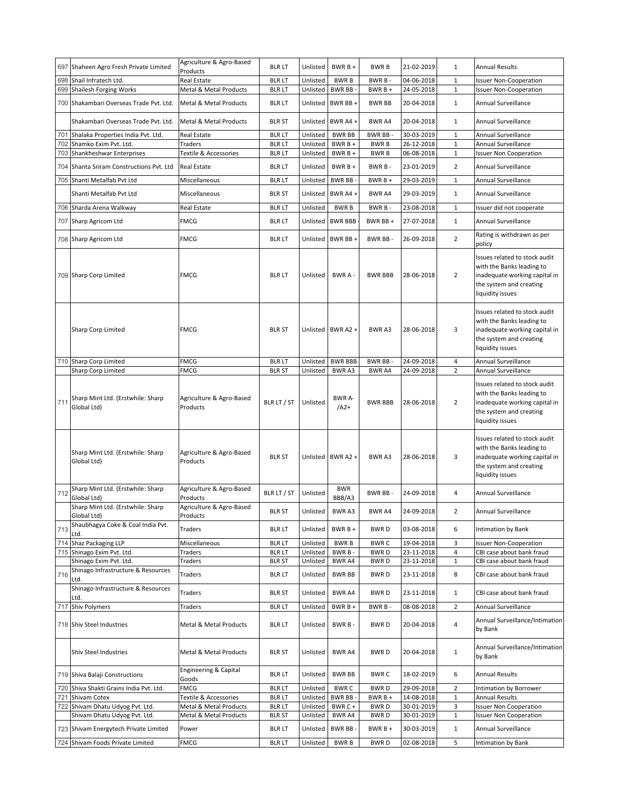|     | 697 Shaheen Agro Fresh Private Limited                                | Agriculture & Agro-Based<br>Products | <b>BLR LT</b>                  | Unlisted             | BWR B+                  | <b>BWRB</b>             | 21-02-2019               | $\mathbf{1}$                 | <b>Annual Results</b>                                                                                                                      |
|-----|-----------------------------------------------------------------------|--------------------------------------|--------------------------------|----------------------|-------------------------|-------------------------|--------------------------|------------------------------|--------------------------------------------------------------------------------------------------------------------------------------------|
|     | 698 Shail Infratech Ltd.                                              | Real Estate                          | <b>BLR LT</b>                  | Unlisted             | <b>BWRB</b>             | BWR B-                  | 04-06-2018               | $\mathbf{1}$                 | <b>Issuer Non-Cooperation</b>                                                                                                              |
| 699 | Shailesh Forging Works                                                | Metal & Metal Products               | <b>BLRLT</b>                   | Unlisted             | BWR BB                  | $BWRB +$                | 24-05-2018               | $\mathbf{1}$                 | <b>Issuer Non-Cooperation</b>                                                                                                              |
|     | 700 Shakambari Overseas Trade Pvt. Ltd.                               | Metal & Metal Products               | <b>BLR LT</b>                  | Unlisted             | BWR BB+                 | <b>BWR BB</b>           | 20-04-2018               | $\mathbf{1}$                 | Annual Surveillance                                                                                                                        |
|     | Shakambari Overseas Trade Pvt. Ltd.                                   | Metal & Metal Products               | <b>BLR ST</b>                  | Unlisted             | BWR A4 +                | BWR A4                  | 20-04-2018               | $\mathbf{1}$                 | Annual Surveillance                                                                                                                        |
| 701 | Shalaka Properties India Pvt. Ltd.                                    | Real Estate                          | <b>BLR LT</b>                  | Unlisted             | <b>BWR BB</b>           | <b>BWR BB</b>           | 30-03-2019               | 1                            | Annual Surveillance                                                                                                                        |
| 702 | Shamko Exim Pvt. Ltd.                                                 | Traders                              | <b>BLR LT</b>                  | Unlisted             | $BWRB +$                | <b>BWRB</b>             | 26-12-2018               | $\mathbf{1}$                 | Annual Surveillance                                                                                                                        |
|     | 703 Shankheshwar Enterprises                                          | Textile & Accessories                | <b>BLR LT</b>                  | Unlisted             | $BWRB +$                | <b>BWRB</b>             | 06-08-2018               | $\mathbf{1}$                 | <b>Issuer Non Cooperation</b>                                                                                                              |
|     | 704 Shanta Sriram Constructions Pvt. Ltd                              | Real Estate                          | <b>BLR LT</b>                  | Unlisted             | BWR B +                 | BWR B-                  | 23-01-2019               | $\overline{2}$               | Annual Surveillance                                                                                                                        |
| 705 | Shanti Metalfab Pvt Ltd                                               | Miscellaneous                        | <b>BLRLT</b>                   | Unlisted             | <b>BWR BB</b>           | $BWRB +$                | 29-03-2019               | $\mathbf{1}$                 | Annual Surveillance                                                                                                                        |
|     | Shanti Metalfab Pvt Ltd                                               | Miscellaneous                        | <b>BLR ST</b>                  | Unlisted             | BWR A4+                 | BWR A4                  | 29-03-2019               | $\mathbf{1}$                 | <b>Annual Surveillance</b>                                                                                                                 |
|     | 706 Sharda Arena Walkway                                              | Real Estate                          | <b>BLR LT</b>                  | Unlisted             | <b>BWRB</b>             | BWR B-                  | 23-08-2018               | $\mathbf{1}$                 | Issuer did not cooperate                                                                                                                   |
|     | 707 Sharp Agricom Ltd                                                 | <b>FMCG</b>                          | <b>BLR LT</b>                  | Unlisted             | <b>BWR BBB</b>          | BWR BB +                | 27-07-2018               | $\mathbf{1}$                 | Annual Surveillance                                                                                                                        |
|     | 708 Sharp Agricom Ltd                                                 | <b>FMCG</b>                          | <b>BLR LT</b>                  | Unlisted             | BWR BB+                 | BWR BB-                 | 26-09-2018               | $\overline{2}$               | Rating is withdrawn as per<br>policy                                                                                                       |
|     | 709 Sharp Corp Limited                                                | <b>FMCG</b>                          | <b>BLR LT</b>                  | Unlisted             | BWRA-                   | <b>BWR BBB</b>          | 28-06-2018               | $\overline{2}$               | Issues related to stock audit<br>with the Banks leading to<br>inadequate working capital in<br>the system and creating<br>liquidity issues |
|     | Sharp Corp Limited                                                    | <b>FMCG</b>                          | <b>BLR ST</b>                  |                      | Unlisted BWR A2 +       | BWR A3                  | 28-06-2018               | 3                            | Issues related to stock audit<br>with the Banks leading to<br>inadequate working capital in<br>the system and creating<br>liquidity issues |
|     | 710 Sharp Corp Limited                                                | <b>FMCG</b>                          | <b>BLR LT</b>                  | Unlisted             | <b>BWR BBB</b>          | BWR BB-                 | 24-09-2018               | 4                            | Annual Surveillance                                                                                                                        |
|     | Sharp Corp Limited                                                    | <b>FMCG</b>                          | <b>BLR ST</b>                  | Unlisted             | <b>BWRA3</b>            | BWR A4                  | 24-09-2018               | $\overline{2}$               | Annual Surveillance                                                                                                                        |
| 711 | Sharp Mint Ltd. (Erstwhile: Sharp<br>Global Ltd)                      | Agriculture & Agro-Based<br>Products | BLR LT / ST                    | Unlisted             | <b>BWR A-</b><br>$/A2+$ | <b>BWR BBB</b>          | 28-06-2018               | $\overline{2}$               | Issues related to stock audit<br>with the Banks leading to<br>inadequate working capital in<br>the system and creating<br>liquidity issues |
|     | Sharp Mint Ltd. (Erstwhile: Sharp<br>Global Ltd)                      | Agriculture & Agro-Based<br>Products | <b>BLR ST</b>                  |                      | Unlisted BWR A2 +       | BWR A3                  | 28-06-2018               | 3                            | Issues related to stock audit<br>with the Banks leading to<br>inadequate working capital in<br>the system and creating<br>liquidity issues |
| 712 | Sharp Mint Ltd. (Erstwhile: Sharp<br>Global Ltd)                      | Agriculture & Agro-Based<br>Products | BLR LT / ST                    | Unlisted             | <b>BWR</b><br>BBB/A3    | BWR BB-                 | 24-09-2018               | 4                            | Annual Surveillance                                                                                                                        |
|     | Sharp Mint Ltd. (Erstwhile: Sharp<br>Global Ltd)                      | Agriculture & Agro-Based<br>Products | <b>BLR ST</b>                  | Unlisted             | BWR A3                  | BWR A4                  | 24-09-2018               | 2                            | Annual Surveillance                                                                                                                        |
| 713 | Shaubhagya Coke & Coal India Pvt.                                     | Traders                              | <b>BLR LT</b>                  | Unlisted             | BWR B +                 | <b>BWRD</b>             | 03-08-2018               | 6                            | Intimation by Bank                                                                                                                         |
|     | Ltd.<br>714 Shaz Packaging LLP                                        | Miscellaneous                        | <b>BLRLT</b>                   | Unlisted             | <b>BWRB</b>             | <b>BWRC</b>             | 19-04-2018               | 3                            | <b>Issuer Non-Cooperation</b>                                                                                                              |
|     | 715 Shinago Exim Pvt. Ltd.                                            | Traders                              | <b>BLRLT</b>                   | Unlisted             | BWR B-                  | <b>BWRD</b>             | 23-11-2018               | 4                            | CBI case about bank fraud                                                                                                                  |
|     | Shinago Exim Pvt. Ltd.                                                | Traders                              | <b>BLR ST</b>                  | Unlisted             | BWR A4                  | <b>BWRD</b>             | 23-11-2018               | $\mathbf{1}$                 | CBI case about bank fraud                                                                                                                  |
| 716 | Shinago Infrastructure & Resources<br>Ltd.                            | Traders                              | <b>BLR LT</b>                  | Unlisted             | <b>BWR BB</b>           | <b>BWRD</b>             | 23-11-2018               | 8                            | CBI case about bank fraud                                                                                                                  |
|     | Shinago Infrastructure & Resources                                    | Traders                              | <b>BLR ST</b>                  | Unlisted             | <b>BWR A4</b>           | <b>BWRD</b>             | 23-11-2018               | $\mathbf{1}$                 | CBI case about bank fraud                                                                                                                  |
|     | Ltd.<br>717 Shiv Polymers                                             | Traders                              | <b>BLR LT</b>                  | Unlisted             | $BWRB +$                | BWR B-                  | 08-08-2018               | 2                            | Annual Surveillance                                                                                                                        |
|     |                                                                       |                                      |                                |                      |                         |                         |                          |                              |                                                                                                                                            |
|     | 718 Shiv Steel Industries                                             | Metal & Metal Products               | <b>BLR LT</b>                  | Unlisted             | BWR B-                  | BWR D                   | 20-04-2018               | 4                            | Annual Surveillance/Intimation<br>by Bank                                                                                                  |
|     | Shiv Steel Industries                                                 | Metal & Metal Products               | <b>BLR ST</b>                  | Unlisted             | BWR A4                  | <b>BWRD</b>             | 20-04-2018               | $\mathbf{1}$                 | Annual Surveillance/Intimation<br>by Bank                                                                                                  |
|     | 719 Shiva Balaji Constructions                                        | Engineering & Capital<br>Goods       | blr lt                         | Unlisted             | <b>BWR BB</b>           | <b>BWRC</b>             | 18-02-2019               | 6                            | <b>Annual Results</b>                                                                                                                      |
|     | 720 Shiva Shakti Grains India Pvt. Ltd.                               | <b>FMCG</b>                          | <b>BLRLT</b>                   | Unlisted             | <b>BWRC</b>             | <b>BWRD</b>             | 29-09-2018               | $\overline{2}$               | Intimation by Borrower                                                                                                                     |
|     | 721 Shivam Cotex                                                      | Textile & Accessories                | <b>BLR LT</b>                  | Unlisted             | BWR BB-                 | $BWRB +$                | 14-08-2018               | $\mathbf{1}$                 | <b>Annual Results</b>                                                                                                                      |
|     | 722 Shivam Dhatu Udyog Pvt. Ltd.                                      | Metal & Metal Products               | <b>BLRLT</b>                   | Unlisted             | BWR C +                 | <b>BWRD</b>             | 30-01-2019               | 3                            | <b>Issuer Non Cooperation</b>                                                                                                              |
|     | Shivam Dhatu Udyog Pvt. Ltd.<br>723 Shivam Energytech Private Limited | Metal & Metal Products<br>Power      | <b>BLR ST</b><br><b>BLR LT</b> | Unlisted<br>Unlisted | BWR A4<br>BWR BB-       | <b>BWRD</b><br>$BWRB +$ | 30-01-2019<br>30-03-2019 | $\mathbf{1}$<br>$\mathbf{1}$ | <b>Issuer Non Cooperation</b><br>Annual Surveillance                                                                                       |
|     | 724 Shivam Foods Private Limited                                      | <b>FMCG</b>                          | <b>BLR LT</b>                  | Unlisted             | <b>BWRB</b>             | <b>BWRD</b>             | 02-08-2018               | 5                            | Intimation by Bank                                                                                                                         |
|     |                                                                       |                                      |                                |                      |                         |                         |                          |                              |                                                                                                                                            |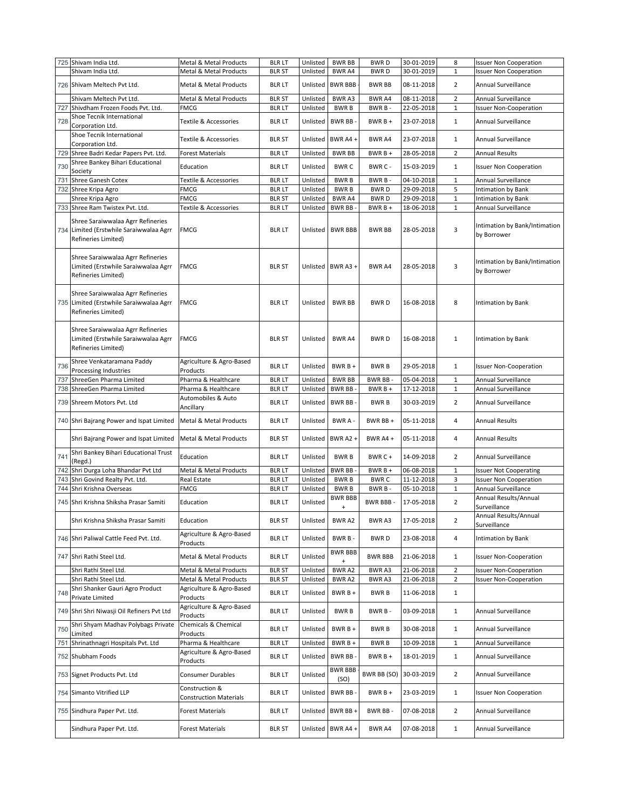|     | 725 Shivam India Ltd.                                                                               | Metal & Metal Products                             | <b>BLR LT</b> | Unlisted | <b>BWR BB</b>               | <b>BWRD</b>    | 30-01-2019 | 8              | <b>Issuer Non Cooperation</b>                |
|-----|-----------------------------------------------------------------------------------------------------|----------------------------------------------------|---------------|----------|-----------------------------|----------------|------------|----------------|----------------------------------------------|
|     | Shivam India Ltd                                                                                    | Metal & Metal Products                             | <b>BLR ST</b> | Unlisted | <b>BWRA4</b>                | <b>BWRD</b>    | 30-01-2019 | $\mathbf{1}$   | <b>Issuer Non Cooperation</b>                |
|     | 726 Shivam Meltech Pvt Ltd.                                                                         | <b>Metal &amp; Metal Products</b>                  | <b>BLR LT</b> | Unlisted | <b>BWR BBB</b>              | <b>BWR BB</b>  | 08-11-2018 | $\overline{2}$ | Annual Surveillance                          |
|     | Shivam Meltech Pvt Ltd.                                                                             | Metal & Metal Products                             | <b>BLR ST</b> | Unlisted | <b>BWRA3</b>                | BWR A4         | 08-11-2018 | $\overline{2}$ | Annual Surveillance                          |
| 727 | Shivdham Frozen Foods Pvt. Ltd.                                                                     | <b>FMCG</b>                                        | <b>BLRLT</b>  | Unlisted | <b>BWRB</b>                 | BWR B-         | 22-05-2018 | $\mathbf{1}$   | <b>Issuer Non-Cooperation</b>                |
| 728 | Shoe Tecnik International<br>Corporation Ltd.                                                       | Textile & Accessories                              | <b>BLR LT</b> | Unlisted | BWR BB-                     | $BWRB +$       | 23-07-2018 | $\mathbf{1}$   | Annual Surveillance                          |
|     | Shoe Tecnik International<br>Corporation Ltd.                                                       | Textile & Accessories                              | <b>BLR ST</b> |          | Unlisted BWR A4 +           | BWR A4         | 23-07-2018 | $\mathbf{1}$   | Annual Surveillance                          |
|     | 729 Shree Badri Kedar Papers Pvt. Ltd.                                                              | Forest Materials                                   | <b>BLR LT</b> | Unlisted | <b>BWR BB</b>               | BWR B +        | 28-05-2018 | 2              | <b>Annual Results</b>                        |
| 730 | Shree Bankey Bihari Educational<br>Society                                                          | Education                                          | <b>BLR LT</b> | Unlisted | <b>BWRC</b>                 | BWR C -        | 15-03-2019 | $\mathbf{1}$   | <b>Issuer Non Cooperation</b>                |
| 731 | Shree Ganesh Cotex                                                                                  | Textile & Accessories                              | <b>BLR LT</b> | Unlisted | <b>BWRB</b>                 | BWR B-         | 04-10-2018 | $\mathbf 1$    | Annual Surveillance                          |
|     | 732 Shree Kripa Agro                                                                                | <b>FMCG</b>                                        | <b>BLR LT</b> | Unlisted | <b>BWRB</b>                 | <b>BWRD</b>    | 29-09-2018 | 5              | Intimation by Bank                           |
|     | Shree Kripa Agro                                                                                    | <b>FMCG</b>                                        | <b>BLR ST</b> | Unlisted | BWR A4                      | <b>BWRD</b>    | 29-09-2018 | $\mathbf 1$    | Intimation by Bank                           |
|     | 733 Shree Ram Twistex Pvt. Ltd.                                                                     | Textile & Accessories                              | <b>BLR LT</b> | Unlisted | <b>BWR BB</b>               | BWR B +        | 18-06-2018 | $\mathbf 1$    | Annual Surveillance                          |
|     | Shree Saraiwwalaa Agrr Refineries<br>734 Limited (Erstwhile Saraiwwalaa Agrr<br>Refineries Limited) | FMCG                                               | <b>BLR LT</b> | Unlisted | <b>BWR BBB</b>              | BWR BB         | 28-05-2018 | 3              | Intimation by Bank/Intimation<br>by Borrower |
|     | Shree Saraiwwalaa Agrr Refineries<br>Limited (Erstwhile Saraiwwalaa Agrr<br>Refineries Limited)     | <b>FMCG</b>                                        | <b>BLR ST</b> |          | Unlisted BWR A3 +           | BWR A4         | 28-05-2018 | 3              | Intimation by Bank/Intimation<br>by Borrower |
| 735 | Shree Saraiwwalaa Agrr Refineries<br>Limited (Erstwhile Saraiwwalaa Agrr<br>Refineries Limited)     | FMCG                                               | <b>BLR LT</b> | Unlisted | <b>BWR BB</b>               | <b>BWRD</b>    | 16-08-2018 | 8              | Intimation by Bank                           |
|     | Shree Saraiwwalaa Agrr Refineries<br>Limited (Erstwhile Saraiwwalaa Agrr<br>Refineries Limited)     | FMCG                                               | <b>BLR ST</b> | Unlisted | <b>BWR A4</b>               | <b>BWRD</b>    | 16-08-2018 | $\mathbf{1}$   | <b>Intimation by Bank</b>                    |
| 736 | Shree Venkataramana Paddy<br>Processing Industries                                                  | Agriculture & Agro-Based<br>Products               | <b>BLR LT</b> | Unlisted | BWR B +                     | <b>BWRB</b>    | 29-05-2018 | $\mathbf{1}$   | <b>Issuer Non-Cooperation</b>                |
| 737 | ShreeGen Pharma Limited                                                                             | Pharma & Healthcare                                | <b>BLR LT</b> | Unlisted | <b>BWR BB</b>               | BWR BB-        | 05-04-2018 | $\mathbf{1}$   | Annual Surveillance                          |
| 738 | ShreeGen Pharma Limited                                                                             | Pharma & Healthcare                                | <b>BLR LT</b> | Unlisted | <b>BWR BB</b>               | $BWRB +$       | 17-12-2018 | $\mathbf{1}$   | Annual Surveillance                          |
| 739 | Shreem Motors Pvt. Ltd                                                                              | Automobiles & Auto<br>Ancillary                    | <b>BLR LT</b> | Unlisted | BWR BB-                     | <b>BWRB</b>    | 30-03-2019 | $\overline{2}$ | Annual Surveillance                          |
|     | 740 Shri Bajrang Power and Ispat Limited                                                            | <b>Metal &amp; Metal Products</b>                  | <b>BLR LT</b> | Unlisted | BWR A -                     | BWR BB +       | 05-11-2018 | 4              | <b>Annual Results</b>                        |
|     | Shri Bajrang Power and Ispat Limited                                                                | <b>Metal &amp; Metal Products</b>                  | <b>BLR ST</b> | Unlisted | BWR A2+                     | BWR A4 +       | 05-11-2018 | 4              | <b>Annual Results</b>                        |
| 741 | Shri Bankey Bihari Educational Trust<br>(Regd.)                                                     | Education                                          | <b>BLR LT</b> | Unlisted | <b>BWRB</b>                 | BWR C+         | 14-09-2018 | $\overline{2}$ | Annual Surveillance                          |
| 742 | Shri Durga Loha Bhandar Pvt Ltd                                                                     | Metal & Metal Products                             | <b>BLR LT</b> | Unlisted | BWR BB-                     | $BWRB +$       | 06-08-2018 | $\mathbf{1}$   | <b>Issuer Not Cooperating</b>                |
| 743 | Shri Govind Realty Pvt. Ltd.                                                                        | <b>Real Estate</b>                                 | <b>BLRLT</b>  | Unlisted | <b>BWRB</b>                 | <b>BWRC</b>    | 11-12-2018 | 3              | <b>Issuer Non Cooperation</b>                |
| 744 | Shri Krishna Overseas                                                                               | <b>FMCG</b>                                        | <b>BLR LT</b> | Unlisted | <b>BWRB</b>                 | BWR B-         | 05-10-2018 | $\mathbf{1}$   | Annual Surveillance                          |
|     | 745 Shri Krishna Shiksha Prasar Samiti                                                              | Education                                          | <b>BLRLT</b>  | Unlisted | <b>BWR BBB</b><br>$\ddot{}$ | BWR BBB -      | 17-05-2018 | $\overline{2}$ | Annual Results/Annual<br>Surveillance        |
|     | Shri Krishna Shiksha Prasar Samiti                                                                  | Education                                          | <b>BLR ST</b> | Unlisted | BWR A2                      | BWR A3         | 17-05-2018 | $\overline{2}$ | Annual Results/Annual<br>Surveillance        |
|     | 746 Shri Paliwal Cattle Feed Pvt. Ltd.                                                              | Agriculture & Agro-Based<br>Products               | <b>BLR LT</b> | Unlisted | BWR B-                      | <b>BWRD</b>    | 23-08-2018 | 4              | Intimation by Bank                           |
|     | 747 Shri Rathi Steel Ltd.                                                                           | Metal & Metal Products                             | <b>BLRLT</b>  | Unlisted | <b>BWR BBB</b><br>$\ddot{}$ | <b>BWR BBB</b> | 21-06-2018 | $\mathbf{1}$   | <b>Issuer Non-Cooperation</b>                |
|     | Shri Rathi Steel Ltd.                                                                               | Metal & Metal Products                             | <b>BLR ST</b> | Unlisted | BWR A2                      | BWR A3         | 21-06-2018 | $\overline{2}$ | <b>Issuer Non-Cooperation</b>                |
|     | Shri Rathi Steel Ltd.<br>Shri Shanker Gauri Agro Product                                            | Metal & Metal Products<br>Agriculture & Agro-Based | <b>BLR ST</b> | Unlisted | BWR A2                      | BWR A3         | 21-06-2018 | $\overline{2}$ | <b>Issuer Non-Cooperation</b>                |
| 748 | Private Limited                                                                                     | Products                                           | <b>BLR LT</b> | Unlisted | $BWRB +$                    | <b>BWRB</b>    | 11-06-2018 | $\mathbf{1}$   |                                              |
|     | 749 Shri Shri Niwasji Oil Refiners Pvt Ltd                                                          | Agriculture & Agro-Based<br>Products               | <b>BLR LT</b> | Unlisted | <b>BWRB</b>                 | BWR B-         | 03-09-2018 | $\mathbf{1}$   | Annual Surveillance                          |
| 750 | Shri Shyam Madhav Polybags Private<br>Limited                                                       | Chemicals & Chemical<br>Products                   | <b>BLR LT</b> | Unlisted | $BWRB +$                    | <b>BWRB</b>    | 30-08-2018 | $\mathbf{1}$   | Annual Surveillance                          |
| 751 | Shrinathnagri Hospitals Pvt. Ltd                                                                    | Pharma & Healthcare                                | <b>BLRLT</b>  | Unlisted | BWR B +                     | <b>BWRB</b>    | 10-09-2018 | $\,1\,$        | Annual Surveillance                          |
|     | 752 Shubham Foods                                                                                   | Agriculture & Agro-Based<br>Products               | <b>BLR LT</b> | Unlisted | BWR BB-                     | $BWRB +$       | 18-01-2019 | $\mathbf{1}$   | Annual Surveillance                          |
| 753 | Signet Products Pvt. Ltd                                                                            | Consumer Durables                                  | <b>BLR LT</b> | Unlisted | <b>BWR BBB</b><br>(SO)      | BWR BB (SO)    | 30-03-2019 | $\overline{2}$ | Annual Surveillance                          |
|     | 754 Simanto Vitrified LLP                                                                           | Construction &<br><b>Construction Materials</b>    | <b>BLR LT</b> | Unlisted | BWR BB-                     | $BWRB +$       | 23-03-2019 | $\mathbf{1}$   | <b>Issuer Non Cooperation</b>                |
|     | 755 Sindhura Paper Pvt. Ltd.                                                                        | Forest Materials                                   | <b>BLR LT</b> | Unlisted | BWR BB+                     | BWR BB-        | 07-08-2018 | $\overline{2}$ | Annual Surveillance                          |
|     | Sindhura Paper Pvt. Ltd.                                                                            | Forest Materials                                   | <b>BLR ST</b> |          | Unlisted BWR A4 +           | BWR A4         | 07-08-2018 | $\mathbf{1}$   | Annual Surveillance                          |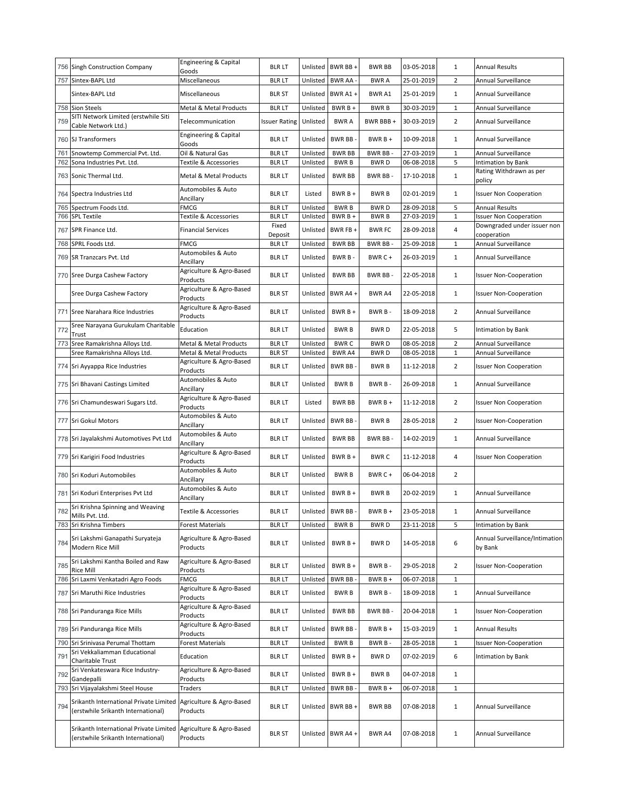|            | 756 Singh Construction Company                                               | Engineering & Capital<br>Goods                   | <b>BLR LT</b>                 |                      | Unlisted BWR BB +      | <b>BWR BB</b>              | 03-05-2018               | 1                          | <b>Annual Results</b>                                  |
|------------|------------------------------------------------------------------------------|--------------------------------------------------|-------------------------------|----------------------|------------------------|----------------------------|--------------------------|----------------------------|--------------------------------------------------------|
|            | 757 Sintex-BAPL Ltd                                                          | Miscellaneous                                    | <b>BLRLT</b>                  | Unlisted             | <b>BWR AA</b>          | <b>BWRA</b>                | 25-01-2019               | 2                          | Annual Surveillance                                    |
|            | Sintex-BAPL Ltd                                                              | Miscellaneous                                    | <b>BLR ST</b>                 | Unlisted             | BWR A1+                | <b>BWRA1</b>               | 25-01-2019               | 1                          | Annual Surveillance                                    |
|            | 758 Sion Steels                                                              | Metal & Metal Products                           | <b>BLRLT</b>                  | Unlisted             | BWR B +                | <b>BWRB</b>                | 30-03-2019               | $\mathbf{1}$               | Annual Surveillance                                    |
| 759        | SITI Network Limited (erstwhile Siti<br>Cable Network Ltd.)                  | Telecommunication                                | <b>Issuer Rating</b>          | Unlisted             | <b>BWRA</b>            | BWR BBB +                  | 30-03-2019               | $\overline{2}$             | Annual Surveillance                                    |
|            | 760 SJ Transformers                                                          | Engineering & Capital<br>Goods                   | <b>BLR LT</b>                 | Unlisted             | <b>BWR BB</b>          | $BWRB +$                   | 10-09-2018               | 1                          | Annual Surveillance                                    |
| 761        | Snowtemp Commercial Pvt. Ltd.                                                | Oil & Natural Gas                                | <b>BLR LT</b>                 | Unlisted             | <b>BWR BB</b>          | BWR BB-                    | 27-03-2019               | $\mathbf{1}$               | Annual Surveillance                                    |
| 762        | Sona Industries Pvt. Ltd.                                                    | Textile & Accessories                            | <b>BLRLT</b>                  | Unlisted             | <b>BWRB</b>            | <b>BWRD</b>                | 06-08-2018               | 5                          | Intimation by Bank<br>Rating Withdrawn as per          |
|            | 763 Sonic Thermal Ltd.                                                       | Metal & Metal Products<br>Automobiles & Auto     | <b>BLR LT</b>                 | Unlisted             | <b>BWR BB</b>          | BWR BB-                    | 17-10-2018               | $\mathbf{1}$               | policy                                                 |
|            | 764 Spectra Industries Ltd                                                   | Ancillary                                        | <b>BLR LT</b>                 | Listed               | BWR B +                | <b>BWRB</b>                | 02-01-2019               | $\mathbf{1}$               | <b>Issuer Non Cooperation</b>                          |
| 765<br>766 | Spectrum Foods Ltd.<br><b>SPL Textile</b>                                    | <b>FMCG</b><br>Textile & Accessories             | <b>BLRLT</b><br><b>BLR LT</b> | Unlisted<br>Unlisted | <b>BWRB</b><br>BWR B + | <b>BWRD</b><br><b>BWRB</b> | 28-09-2018<br>27-03-2019 | 5<br>$1\,$                 | <b>Annual Results</b><br><b>Issuer Non Cooperation</b> |
| 767        | SPR Finance Ltd.                                                             | <b>Financial Services</b>                        | Fixed<br>Deposit              | Unlisted             | BWR FB +               | <b>BWRFC</b>               | 28-09-2018               | 4                          | Downgraded under issuer non<br>cooperation             |
|            | 768 SPRL Foods Ltd.                                                          | <b>FMCG</b>                                      | <b>BLRLT</b>                  | Unlisted             | <b>BWR BB</b>          | BWR BB-                    | 25-09-2018               | $\mathbf{1}$               | Annual Surveillance                                    |
|            | 769 SR Tranzcars Pvt. Ltd                                                    | Automobiles & Auto                               | <b>BLR LT</b>                 | Unlisted             | BWR B-                 | BWR C+                     | 26-03-2019               | 1                          | Annual Surveillance                                    |
|            | 770 Sree Durga Cashew Factory                                                | Ancillary<br>Agriculture & Agro-Based            | <b>BLR LT</b>                 | Unlisted             | <b>BWR BB</b>          | BWR BB-                    | 22-05-2018               | 1                          | <b>Issuer Non-Cooperation</b>                          |
|            |                                                                              | Products                                         |                               |                      |                        |                            |                          |                            |                                                        |
|            | Sree Durga Cashew Factory                                                    | Agriculture & Agro-Based<br>Products             | <b>BLR ST</b>                 | Unlisted             | BWR A4+                | BWR A4                     | 22-05-2018               | $\mathbf{1}$               | <b>Issuer Non-Cooperation</b>                          |
|            | 771 Sree Narahara Rice Industries                                            | Agriculture & Agro-Based<br>Products             | <b>BLR LT</b>                 | Unlisted             | BWR $B +$              | BWR B-                     | 18-09-2018               | $\overline{2}$             | Annual Surveillance                                    |
| 772        | Sree Narayana Gurukulam Charitable<br>Trust                                  | Education                                        | <b>BLRLT</b>                  | Unlisted             | <b>BWRB</b>            | <b>BWRD</b>                | 22-05-2018               | 5                          | Intimation by Bank                                     |
|            | 773 Sree Ramakrishna Alloys Ltd.<br>Sree Ramakrishna Alloys Ltd.             | Metal & Metal Products<br>Metal & Metal Products | <b>BLRLT</b><br><b>BLR ST</b> | Unlisted<br>Unlisted | <b>BWRC</b><br>BWR A4  | <b>BWRD</b><br><b>BWRD</b> | 08-05-2018               | $\sqrt{2}$<br>$\mathbf{1}$ | Annual Surveillance<br>Annual Surveillance             |
|            | 774 Sri Ayyappa Rice Industries                                              | Agriculture & Agro-Based<br>Products             | <b>BLR LT</b>                 | Unlisted             | BWR BB-                | <b>BWRB</b>                | 08-05-2018<br>11-12-2018 | $\overline{2}$             | <b>Issuer Non Cooperation</b>                          |
|            | 775 Sri Bhavani Castings Limited                                             | Automobiles & Auto<br>Ancillary                  | <b>BLR LT</b>                 | Unlisted             | <b>BWRB</b>            | BWR B-                     | 26-09-2018               | $\mathbf{1}$               | Annual Surveillance                                    |
|            | 776 Sri Chamundeswari Sugars Ltd.                                            | Agriculture & Agro-Based<br>Products             | <b>BLR LT</b>                 | Listed               | <b>BWR BB</b>          | $BWRB +$                   | 11-12-2018               | $\overline{2}$             | <b>Issuer Non Cooperation</b>                          |
|            | 777 Sri Gokul Motors                                                         | Automobiles & Auto<br>Ancillary                  | <b>BLR LT</b>                 | Unlisted             | <b>BWR BB</b>          | <b>BWRB</b>                | 28-05-2018               | $\overline{2}$             | <b>Issuer Non-Cooperation</b>                          |
|            | 778 Sri Jayalakshmi Automotives Pvt Ltd                                      | Automobiles & Auto<br>Ancillary                  | <b>BLR LT</b>                 | Unlisted             | <b>BWR BB</b>          | BWR BB-                    | 14-02-2019               | $\mathbf{1}$               | Annual Surveillance                                    |
|            | 779 Sri Karigiri Food Industries                                             | Agriculture & Agro-Based<br>Products             | <b>BLR LT</b>                 | Unlisted             | BWR B +                | <b>BWRC</b>                | 11-12-2018               | 4                          | <b>Issuer Non Cooperation</b>                          |
|            | 780 Sri Koduri Automobiles                                                   | Automobiles & Auto<br>Ancillary                  | <b>BLR LT</b>                 | Unlisted             | <b>BWRB</b>            | BWR C+                     | 06-04-2018               | $\overline{2}$             |                                                        |
|            | 781 Sri Koduri Enterprises Pvt Ltd                                           | Automobiles & Auto<br>Ancillary                  | <b>BLR LT</b>                 | Unlisted             | $BWRB +$               | <b>BWRB</b>                | 20-02-2019               | 1                          | Annual Surveillance                                    |
| 782        | Sri Krishna Spinning and Weaving<br>Mills Pvt. Ltd.                          | Textile & Accessories                            | <b>BLR LT</b>                 |                      | Unlisted BWR BB -      | $BWRB +$                   | 23-05-2018               | 1                          | Annual Surveillance                                    |
|            | 783 Sri Krishna Timbers                                                      | Forest Materials                                 | <b>BLRLT</b>                  | Unlisted             | <b>BWRB</b>            | <b>BWRD</b>                | 23-11-2018               | 5                          | Intimation by Bank                                     |
| 784        | Sri Lakshmi Ganapathi Suryateja<br>Modern Rice Mill                          | Agriculture & Agro-Based<br>Products             | <b>BLR LT</b>                 | Unlisted             | BWR B +                | <b>BWRD</b>                | 14-05-2018               | 6                          | Annual Surveillance/Intimation<br>by Bank              |
| 785        | Sri Lakshmi Kantha Boiled and Raw<br><b>Rice Mill</b>                        | Agriculture & Agro-Based<br>Products             | <b>BLR LT</b>                 | Unlisted             | BWR B +                | BWR B-                     | 29-05-2018               | $\overline{2}$             | <b>Issuer Non-Cooperation</b>                          |
|            | 786 Sri Laxmi Venkatadri Agro Foods                                          | <b>FMCG</b>                                      | <b>BLR LT</b>                 | Unlisted             | <b>BWR BB</b>          | $BWRB +$                   | 06-07-2018               | $\mathbf{1}$               |                                                        |
|            | 787 Sri Maruthi Rice Industries                                              | Agriculture & Agro-Based<br>Products             | <b>BLR LT</b>                 | Unlisted             | <b>BWRB</b>            | BWR B -                    | 18-09-2018               | 1                          | Annual Surveillance                                    |
|            | 788 Sri Panduranga Rice Mills                                                | Agriculture & Agro-Based<br>Products             | <b>BLR LT</b>                 | Unlisted             | <b>BWR BB</b>          | BWR BB-                    | 20-04-2018               | $\mathbf{1}$               | <b>Issuer Non-Cooperation</b>                          |
|            | 789 Sri Panduranga Rice Mills                                                | Agriculture & Agro-Based<br>Products             | <b>BLR LT</b>                 | Unlisted             | <b>BWR BB</b>          | $BWRB +$                   | 15-03-2019               | $\mathbf{1}$               | Annual Results                                         |
|            | 790 Sri Srinivasa Perumal Thottam<br>Sri Vekkaliamman Educational            | <b>Forest Materials</b>                          | <b>BLRLT</b>                  | Unlisted             | <b>BWRB</b>            | BWR B-                     | 28-05-2018               | $1\,$                      | <b>Issuer Non-Cooperation</b>                          |
| 791        | Charitable Trust                                                             | Education                                        | <b>BLRLT</b>                  | Unlisted             | BWR B +                | <b>BWRD</b>                | 07-02-2019               | 6                          | Intimation by Bank                                     |
| 792        | Sri Venkateswara Rice Industry-<br>Gandepalli                                | Agriculture & Agro-Based<br>Products             | <b>BLR LT</b>                 | Unlisted             | BWR B +                | <b>BWRB</b>                | 04-07-2018               | 1                          |                                                        |
|            | 793 Sri Vijayalakshmi Steel House                                            | Traders                                          | <b>BLR LT</b>                 | Unlisted             | <b>BWR BB</b>          | BWR B +                    | 06-07-2018               | $1\,$                      |                                                        |
| 794        | Srikanth International Private Limited<br>(erstwhile Srikanth International) | Agriculture & Agro-Based<br>Products             | <b>BLR LT</b>                 | Unlisted             | BWR BB+                | BWR BB                     | 07-08-2018               | 1                          | Annual Surveillance                                    |
|            | Srikanth International Private Limited<br>(erstwhile Srikanth International) | Agriculture & Agro-Based<br>Products             | <b>BLR ST</b>                 |                      | Unlisted BWR A4 +      | BWR A4                     | 07-08-2018               | $\mathbf{1}$               | Annual Surveillance                                    |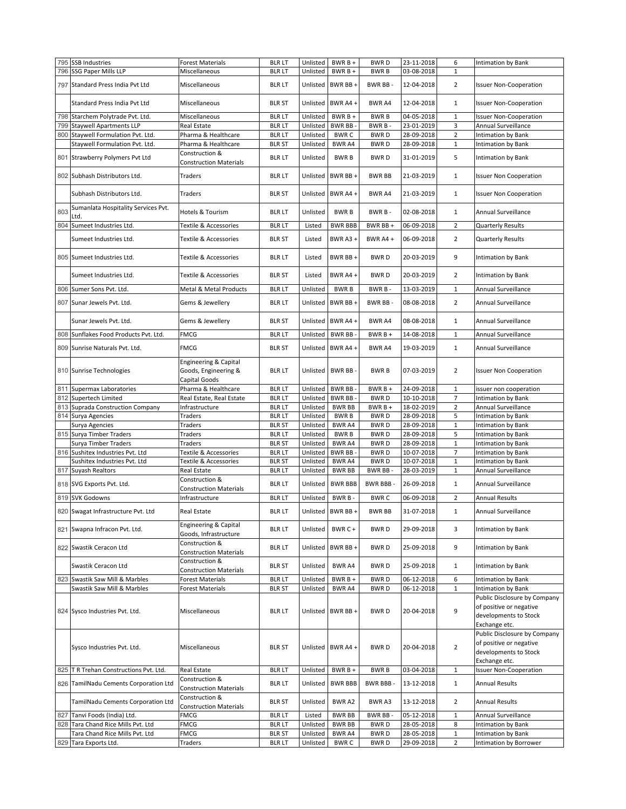|     | 795 SSB Industries                                      | <b>Forest Materials</b>          | <b>BLR LT</b>                 | Unlisted             | $BWRB +$          | <b>BWRD</b>          | 23-11-2018               | 6                              | Intimation by Bank                           |
|-----|---------------------------------------------------------|----------------------------------|-------------------------------|----------------------|-------------------|----------------------|--------------------------|--------------------------------|----------------------------------------------|
|     | 796 SSG Paper Mills LLP                                 | Miscellaneous                    | <b>BLRLT</b>                  | Unlisted             | $BWRB +$          | <b>BWRB</b>          | 03-08-2018               | $\mathbf{1}$                   |                                              |
|     |                                                         |                                  |                               |                      |                   |                      |                          |                                |                                              |
|     | 797 Standard Press India Pvt Ltd                        | Miscellaneous                    | <b>BLRLT</b>                  | Unlisted             | BWR BB+           | BWR BB-              | 12-04-2018               | $\overline{2}$                 | <b>Issuer Non-Cooperation</b>                |
|     |                                                         |                                  |                               |                      |                   |                      |                          |                                |                                              |
|     | Standard Press India Pvt Ltd                            | Miscellaneous                    | <b>BLR ST</b>                 | Unlisted             | BWR A4+           | BWR A4               | 12-04-2018               | $\mathbf{1}$                   | <b>Issuer Non-Cooperation</b>                |
|     |                                                         |                                  |                               |                      |                   |                      |                          |                                |                                              |
|     | 798 Starchem Polytrade Pvt. Ltd.                        | Miscellaneous                    | <b>BLRLT</b>                  | Unlisted             | $BWRB +$          | <b>BWRB</b>          | 04-05-2018               | $\mathbf{1}$                   | <b>Issuer Non-Cooperation</b>                |
| 799 | <b>Staywell Apartments LLP</b>                          | Real Estate                      | <b>BLR LT</b>                 | Unlisted             | BWR BB-           | BWR B-               | 23-01-2019               | 3                              | Annual Surveillance                          |
|     | 800 Staywell Formulation Pvt. Ltd.                      | Pharma & Healthcare              | <b>BLRLT</b>                  | Unlisted             | <b>BWRC</b>       | <b>BWRD</b>          | 28-09-2018               | $\overline{2}$                 | Intimation by Bank                           |
|     | Staywell Formulation Pvt. Ltd.                          | Pharma & Healthcare              | <b>BLR ST</b>                 | Unlisted             | BWR A4            | <b>BWRD</b>          | 28-09-2018               | $1\,$                          | Intimation by Bank                           |
|     |                                                         | Construction &                   |                               |                      |                   |                      |                          |                                |                                              |
|     | 801 Strawberry Polymers Pvt Ltd                         | <b>Construction Materials</b>    | <b>BLR LT</b>                 | Unlisted             | <b>BWRB</b>       | <b>BWRD</b>          | 31-01-2019               | 5                              | Intimation by Bank                           |
|     |                                                         |                                  |                               |                      |                   |                      |                          |                                |                                              |
|     | 802 Subhash Distributors Ltd.                           | Traders                          | <b>BLR LT</b>                 | Unlisted             | BWR BB +          | <b>BWR BB</b>        | 21-03-2019               | $\mathbf{1}$                   | <b>Issuer Non Cooperation</b>                |
|     |                                                         |                                  |                               |                      |                   |                      |                          |                                |                                              |
|     | Subhash Distributors Ltd.                               | Traders                          | <b>BLR ST</b>                 | Unlisted             | BWR A4+           | BWR A4               | 21-03-2019               | $\mathbf{1}$                   | <b>Issuer Non Cooperation</b>                |
|     | Sumanlata Hospitality Services Pvt.                     |                                  |                               |                      |                   |                      |                          |                                |                                              |
| 803 |                                                         | Hotels & Tourism                 | <b>BLR LT</b>                 | Unlisted             | <b>BWRB</b>       | BWR B-               | 02-08-2018               | $\mathbf{1}$                   | Annual Surveillance                          |
| 804 | .td.                                                    |                                  |                               |                      |                   |                      |                          |                                |                                              |
|     | Sumeet Industries Ltd.                                  | Textile & Accessories            | <b>BLRLT</b>                  | Listed               | <b>BWR BBB</b>    | BWR BB+              | 06-09-2018               | $\overline{2}$                 | <b>Quarterly Results</b>                     |
|     | Sumeet Industries Ltd.                                  | Textile & Accessories            | <b>BLR ST</b>                 | Listed               | BWR A3+           | BWR A4 +             | 06-09-2018               | $\overline{2}$                 | Quarterly Results                            |
|     |                                                         |                                  |                               |                      |                   |                      |                          |                                |                                              |
|     | 805 Sumeet Industries Ltd.                              | Textile & Accessories            | <b>BLR LT</b>                 | Listed               | BWR BB+           | <b>BWRD</b>          | 20-03-2019               | 9                              | Intimation by Bank                           |
|     |                                                         |                                  |                               |                      |                   |                      |                          |                                |                                              |
|     |                                                         | Textile & Accessories            |                               |                      | BWR A4 +          | <b>BWRD</b>          |                          |                                |                                              |
|     | Sumeet Industries Ltd.                                  |                                  | <b>BLR ST</b>                 | Listed               |                   |                      | 20-03-2019               | $\overline{2}$                 | Intimation by Bank                           |
|     | 806 Sumer Sons Pvt. Ltd.                                | Metal & Metal Products           | <b>BLRLT</b>                  | Unlisted             | <b>BWRB</b>       | BWR B-               | 13-03-2019               | 1                              | Annual Surveillance                          |
|     |                                                         |                                  |                               |                      |                   |                      |                          |                                |                                              |
|     | 807 Sunar Jewels Pvt. Ltd.                              | Gems & Jewellery                 | <b>BLR LT</b>                 | Unlisted             | BWR BB +          | BWR BB-              | 08-08-2018               | $\overline{2}$                 | Annual Surveillance                          |
|     |                                                         |                                  |                               |                      |                   |                      |                          |                                |                                              |
|     | Sunar Jewels Pvt. Ltd.                                  | Gems & Jewellery                 | <b>BLR ST</b>                 | Unlisted             | BWR A4+           | BWR A4               | 08-08-2018               | $\mathbf{1}$                   | Annual Surveillance                          |
| 808 | Sunflakes Food Products Pvt. Ltd.                       | FMCG                             | <b>BLR LT</b>                 | Unlisted             | BWR BB-           | $BWRB +$             |                          | $\mathbf{1}$                   | Annual Surveillance                          |
|     |                                                         |                                  |                               |                      |                   |                      | 14-08-2018               |                                |                                              |
|     | 809 Sunrise Naturals Pvt. Ltd.                          | <b>FMCG</b>                      | <b>BLR ST</b>                 | Unlisted             | BWR A4+           | BWR A4               | 19-03-2019               | $\mathbf{1}$                   | Annual Surveillance                          |
|     |                                                         |                                  |                               |                      |                   |                      |                          |                                |                                              |
|     |                                                         | Engineering & Capital            |                               |                      |                   |                      |                          |                                |                                              |
|     | 810 Sunrise Technologies                                | Goods, Engineering &             | <b>BLR LT</b>                 | Unlisted             | BWR BB-           | <b>BWRB</b>          | 07-03-2019               | $\overline{2}$                 | <b>Issuer Non Cooperation</b>                |
|     |                                                         | Capital Goods                    |                               |                      |                   |                      |                          |                                |                                              |
|     | 811 Supermax Laboratories                               | Pharma & Healthcare              | <b>BLR LT</b>                 | Unlisted             | <b>BWR BB</b>     | BWR B +              | 24-09-2018               | $\mathbf{1}$                   | issuer non cooperation                       |
|     | 812 Supertech Limited                                   | Real Estate, Real Estate         | <b>BLR LT</b>                 | Unlisted             | <b>BWR BB</b>     | <b>BWRD</b>          | 10-10-2018               | 7                              | Intimation by Bank                           |
|     |                                                         |                                  |                               |                      |                   |                      |                          | $\overline{2}$                 |                                              |
|     |                                                         |                                  |                               |                      |                   |                      |                          |                                |                                              |
|     | 813 Suprada Construction Company                        | Infrastructure                   | <b>BLR LT</b>                 | Unlisted             | <b>BWR BB</b>     | BWR B +              | 18-02-2019               |                                | Annual Surveillance                          |
|     | 814 Surya Agencies                                      | Traders                          | <b>BLR LT</b>                 | Unlisted             | <b>BWRB</b>       | <b>BWRD</b>          | 28-09-2018               | 5                              | <b>Intimation by Bank</b>                    |
|     | Surya Agencies                                          | Traders                          | <b>BLR ST</b>                 | Unlisted             | BWR A4            | <b>BWRD</b>          | 28-09-2018               | $1\,$                          | Intimation by Bank                           |
| 815 | Surya Timber Traders                                    | Traders                          | <b>BLR LT</b>                 | Unlisted             | <b>BWRB</b>       | <b>BWRD</b>          | 28-09-2018               | 5                              | <b>Intimation by Bank</b>                    |
|     | Surya Timber Traders                                    | Traders                          | <b>BLR ST</b>                 | Unlisted             | BWR A4            | <b>BWRD</b>          | 28-09-2018               | $1\,$                          | Intimation by Bank                           |
| 816 | Sushitex Industries Pvt. Ltd                            | Textile & Accessories            | <b>BLRLT</b>                  | Unlisted             | <b>BWR BB</b>     | <b>BWRD</b>          | 10-07-2018               | 7                              | Intimation by Bank                           |
|     | Sushitex Industries Pvt. Ltd                            | Textile & Accessories            | <b>BLR ST</b>                 | Unlisted             | BWR A4            | <b>BWRD</b>          | 10-07-2018               | $\mathbf 1$                    | Intimation by Bank                           |
|     |                                                         | Real Estate                      | <b>BLR LT</b>                 | Unlisted             |                   | BWR BB-              |                          | $1\,$                          | Annual Surveillance                          |
|     | 817 Suyash Realtors                                     |                                  |                               |                      | <b>BWR BB</b>     |                      | 28-03-2019               |                                |                                              |
|     | 818 SVG Exports Pvt. Ltd.                               | Construction &                   | <b>BLR LT</b>                 | Unlisted             | <b>BWR BBB</b>    | <b>BWR BBB-</b>      | 26-09-2018               | $\mathbf{1}$                   | Annual Surveillance                          |
|     |                                                         | <b>Construction Materials</b>    |                               |                      |                   |                      |                          |                                |                                              |
|     | 819 SVK Godowns                                         | Infrastructure                   | <b>BLR LT</b>                 | Unlisted             | BWR B-            | <b>BWRC</b>          | 06-09-2018               | $\overline{2}$                 | <b>Annual Results</b>                        |
|     | 820 Swagat Infrastructure Pvt. Ltd                      | Real Estate                      | <b>BLR LT</b>                 |                      | Unlisted BWR BB + | <b>BWR BB</b>        | 31-07-2018               | 1                              | Annual Surveillance                          |
|     |                                                         |                                  |                               |                      |                   |                      |                          |                                |                                              |
|     | 821 Swapna Infracon Pvt. Ltd.                           | <b>Engineering &amp; Capital</b> | <b>BLR LT</b>                 | Unlisted             | BWR C +           | <b>BWRD</b>          | 29-09-2018               | 3                              | Intimation by Bank                           |
|     |                                                         | Goods, Infrastructure            |                               |                      |                   |                      |                          |                                |                                              |
|     |                                                         | Construction &                   |                               |                      |                   |                      |                          |                                |                                              |
|     | 822 Swastik Ceracon Ltd                                 | <b>Construction Materials</b>    | <b>BLR LT</b>                 | Unlisted             | BWR BB +          | <b>BWRD</b>          | 25-09-2018               | 9                              | Intimation by Bank                           |
|     |                                                         | Construction &                   |                               |                      |                   |                      |                          |                                |                                              |
|     | Swastik Ceracon Ltd                                     | Construction Materials           | <b>BLR ST</b>                 | Unlisted             | BWR A4            | <b>BWRD</b>          | 25-09-2018               | $\mathbf{1}$                   | Intimation by Bank                           |
|     | 823 Swastik Saw Mill & Marbles                          | <b>Forest Materials</b>          | <b>BLRLT</b>                  | Unlisted             | BWR B +           | <b>BWRD</b>          | 06-12-2018               | 6                              | Intimation by Bank                           |
|     | Swastik Saw Mill & Marbles                              | Forest Materials                 | <b>BLR ST</b>                 | Unlisted             | BWR A4            | <b>BWRD</b>          | 06-12-2018               | $\mathbf{1}$                   | Intimation by Bank                           |
|     |                                                         |                                  |                               |                      |                   |                      |                          |                                | Public Disclosure by Company                 |
|     |                                                         |                                  |                               |                      |                   |                      |                          |                                | of positive or negative                      |
|     | 824 Sysco Industries Pvt. Ltd.                          | Miscellaneous                    | <b>BLR LT</b>                 | Unlisted             | BWR BB +          | <b>BWRD</b>          | 20-04-2018               | 9                              | developments to Stock                        |
|     |                                                         |                                  |                               |                      |                   |                      |                          |                                |                                              |
|     |                                                         |                                  |                               |                      |                   |                      |                          |                                | Exchange etc.                                |
|     |                                                         |                                  |                               |                      |                   |                      |                          |                                | Public Disclosure by Company                 |
|     | Sysco Industries Pvt. Ltd.                              | Miscellaneous                    | <b>BLR ST</b>                 | Unlisted             | BWR A4+           | <b>BWRD</b>          | 20-04-2018               | $\overline{2}$                 | of positive or negative                      |
|     |                                                         |                                  |                               |                      |                   |                      |                          |                                | developments to Stock                        |
|     |                                                         |                                  |                               |                      |                   |                      |                          |                                | Exchange etc.                                |
|     | 825 T R Trehan Constructions Pvt. Ltd.                  | Real Estate                      | <b>BLRLT</b>                  | Unlisted             | $BWRB +$          | <b>BWRB</b>          | 03-04-2018               | $1\,$                          | <b>Issuer Non-Cooperation</b>                |
|     |                                                         | Construction &                   |                               |                      |                   |                      |                          |                                |                                              |
|     | 826 TamilNadu Cements Corporation Ltd                   | <b>Construction Materials</b>    | <b>BLR LT</b>                 | Unlisted             | <b>BWR BBB</b>    | <b>BWR BBB-</b>      | 13-12-2018               | $\mathbf{1}$                   | <b>Annual Results</b>                        |
|     |                                                         | Construction &                   |                               |                      |                   |                      |                          |                                |                                              |
|     | TamilNadu Cements Corporation Ltd                       | <b>Construction Materials</b>    | <b>BLR ST</b>                 | Unlisted             | BWR A2            | BWR A3               | 13-12-2018               | $\overline{2}$                 | <b>Annual Results</b>                        |
|     |                                                         | FMCG                             | <b>BLRLT</b>                  | Listed               | <b>BWR BB</b>     | BWR BB-              | 05-12-2018               | $\mathbf{1}$                   |                                              |
|     | 827 Tanvi Foods (India) Ltd.                            |                                  |                               |                      |                   |                      |                          |                                | Annual Surveillance                          |
|     | 828 Tara Chand Rice Mills Pvt. Ltd                      | FMCG                             | <b>BLRLT</b>                  | Unlisted             | <b>BWR BB</b>     | <b>BWRD</b>          | 28-05-2018               | 8                              | Intimation by Bank                           |
|     | Tara Chand Rice Mills Pvt. Ltd<br>829 Tara Exports Ltd. | FMCG<br>Traders                  | <b>BLR ST</b><br><b>BLRLT</b> | Unlisted<br>Unlisted | BWR A4<br>BWR C   | BWR D<br><b>BWRD</b> | 28-05-2018<br>29-09-2018 | $\mathbf{1}$<br>$\overline{2}$ | Intimation by Bank<br>Intimation by Borrower |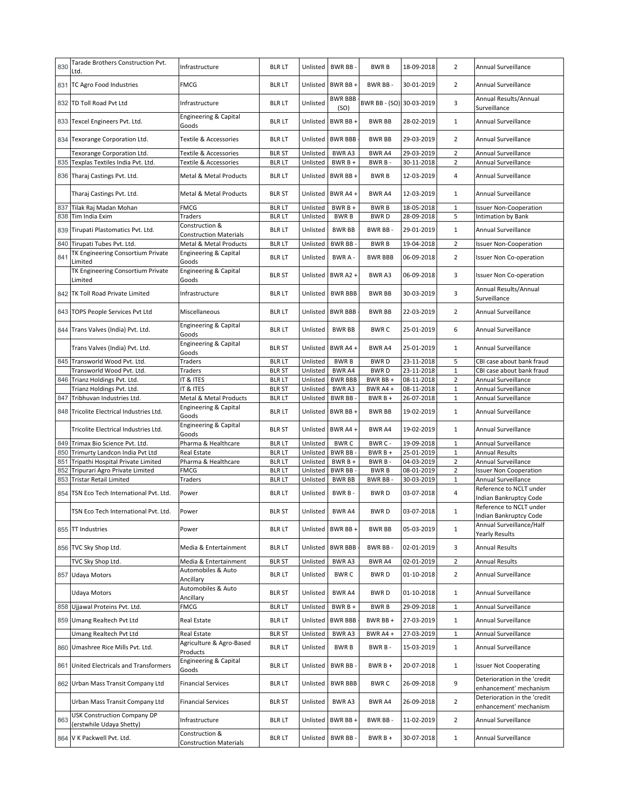| 830        | Tarade Brothers Construction Pvt.<br>Ltd.                      | Infrastructure                                  | <b>BLR LT</b>                  | Unlisted             | BWR BB-                      | <b>BWRB</b>              | 18-09-2018               | $\overline{2}$                   | Annual Surveillance                                    |
|------------|----------------------------------------------------------------|-------------------------------------------------|--------------------------------|----------------------|------------------------------|--------------------------|--------------------------|----------------------------------|--------------------------------------------------------|
|            | 831 TC Agro Food Industries                                    | <b>FMCG</b>                                     | <b>BLRLT</b>                   | Unlisted             | BWR BB +                     | BWR BB-                  | 30-01-2019               | $\overline{2}$                   | Annual Surveillance                                    |
|            | 832 TD Toll Road Pvt Ltd                                       | Infrastructure                                  | <b>BLR LT</b>                  | Unlisted             | <b>BWR BBB</b><br>(SO)       | BWR BB - (SO) 30-03-2019 |                          | 3                                | Annual Results/Annual<br>Surveillance                  |
|            | 833 Texcel Engineers Pvt. Ltd.                                 | Engineering & Capital<br>Goods                  | <b>BLR LT</b>                  | Unlisted             | BWR BB+                      | <b>BWR BB</b>            | 28-02-2019               | $\mathbf{1}$                     | Annual Surveillance                                    |
|            | 834 Texorange Corporation Ltd.                                 | Textile & Accessories                           | <b>BLR LT</b>                  | Unlisted             | <b>BWR BBB</b>               | <b>BWR BB</b>            | 29-03-2019               | $\overline{2}$                   | Annual Surveillance                                    |
|            | Texorange Corporation Ltd.                                     | Textile & Accessories                           | <b>BLR ST</b>                  | Unlisted             | BWR A3                       | <b>BWR A4</b>            | 29-03-2019               | 2                                | Annual Surveillance                                    |
| 835        | Texplas Textiles India Pvt. Ltd.                               | Textile & Accessories                           | <b>BLRLT</b>                   | Unlisted             | BWR B +                      | BWR B-                   | 30-11-2018               | $\overline{2}$                   | Annual Surveillance                                    |
|            | 836 Tharaj Castings Pvt. Ltd.                                  | Metal & Metal Products                          | <b>BLRLT</b>                   | Unlisted             | BWR BB +                     | <b>BWRB</b>              | 12-03-2019               | 4                                | <b>Annual Surveillance</b>                             |
|            | Tharaj Castings Pvt. Ltd.                                      | Metal & Metal Products                          | <b>BLR ST</b>                  | Unlisted             | BWR A4 +                     | <b>BWR A4</b>            | 12-03-2019               | $\mathbf{1}$                     | Annual Surveillance                                    |
| 837        | Tilak Raj Madan Mohan                                          | <b>FMCG</b>                                     | <b>BLRLT</b>                   | Unlisted             | BWR B +                      | <b>BWRB</b>              | 18-05-2018               | $\mathbf{1}$<br>5                | <b>Issuer Non-Cooperation</b>                          |
| 838<br>839 | Tim India Exim<br>Tirupati Plastomatics Pvt. Ltd.              | Traders<br>Construction &                       | <b>BLRLT</b><br><b>BLR LT</b>  | Unlisted<br>Unlisted | <b>BWRB</b><br><b>BWR BB</b> | <b>BWRD</b><br>BWR BB-   | 28-09-2018<br>29-01-2019 | $\mathbf{1}$                     | Intimation by Bank<br>Annual Surveillance              |
|            |                                                                | <b>Construction Materials</b>                   |                                |                      |                              |                          |                          |                                  |                                                        |
| 840        | Tirupati Tubes Pvt. Ltd.<br>TK Engineering Consortium Private  | Metal & Metal Products<br>Engineering & Capital | <b>BLRLT</b>                   | Unlisted             | BWR BB-                      | <b>BWRB</b>              | 19-04-2018               | $\overline{2}$                   | <b>Issuer Non-Cooperation</b>                          |
| 841        | Limited                                                        | Goods                                           | <b>BLR LT</b>                  | Unlisted             | BWR A -                      | <b>BWR BBB</b>           | 06-09-2018               | $\overline{2}$                   | <b>Issuer Non Co-operation</b>                         |
|            | TK Engineering Consortium Private<br>Limited                   | Engineering & Capital<br>Goods                  | <b>BLR ST</b>                  | Unlisted             | BWR A2+                      | BWR A3                   | 06-09-2018               | 3                                | <b>Issuer Non Co-operation</b>                         |
|            | 842 TK Toll Road Private Limited                               | Infrastructure                                  | <b>BLR LT</b>                  | Unlisted             | <b>BWR BBB</b>               | <b>BWR BB</b>            | 30-03-2019               | 3                                | Annual Results/Annual<br>Surveillance                  |
|            | 843 TOPS People Services Pvt Ltd                               | Miscellaneous                                   | <b>BLR LT</b>                  | Unlisted             | <b>BWR BBB</b>               | <b>BWR BB</b>            | 22-03-2019               | $\overline{2}$                   | Annual Surveillance                                    |
|            | 844 Trans Valves (India) Pvt. Ltd.                             | Engineering & Capital<br>Goods                  | <b>BLR LT</b>                  | Unlisted             | <b>BWR BB</b>                | <b>BWRC</b>              | 25-01-2019               | 6                                | Annual Surveillance                                    |
|            | Trans Valves (India) Pvt. Ltd.                                 | <b>Engineering &amp; Capital</b><br>Goods       | <b>BLR ST</b>                  | Unlisted             | BWR A4+                      | BWR A4                   | 25-01-2019               | $\mathbf{1}$                     | Annual Surveillance                                    |
|            | 845 Transworld Wood Pvt. Ltd.                                  | Traders                                         | <b>BLR LT</b>                  | Unlisted             | <b>BWRB</b>                  | <b>BWRD</b>              | 23-11-2018               | 5                                | CBI case about bank fraud                              |
|            | Transworld Wood Pvt. Ltd.                                      | Traders                                         | <b>BLR ST</b>                  | Unlisted             | <b>BWR A4</b>                | <b>BWRD</b>              | 23-11-2018               | $\mathbf{1}$                     | CBI case about bank fraud                              |
| 846        | Trianz Holdings Pvt. Ltd.                                      | IT & ITES                                       | <b>BLRLT</b>                   | Unlisted             | <b>BWR BBB</b>               | BWR BB +                 | 08-11-2018               | $\overline{2}$                   | Annual Surveillance                                    |
|            | Trianz Holdings Pvt. Ltd.                                      | IT & ITES                                       | <b>BLR ST</b>                  | Unlisted             | <b>BWRA3</b>                 | BWR A4 +                 | 08-11-2018               | $\mathbf{1}$                     | Annual Surveillance                                    |
| 847        | Tribhuvan Industries Ltd.                                      | Metal & Metal Products                          | <b>BLRLT</b>                   | Unlisted             | <b>BWR BB</b>                | $BWRB +$                 | 26-07-2018               | $\mathbf{1}$                     | Annual Surveillance                                    |
|            | 848 Tricolite Electrical Industries Ltd.                       | Engineering & Capital<br>Goods                  | <b>BLR LT</b>                  | Unlisted             | BWR BB+                      | <b>BWR BB</b>            | 19-02-2019               | $\mathbf{1}$                     | Annual Surveillance                                    |
|            | Tricolite Electrical Industries Ltd.                           | Engineering & Capital<br>Goods                  | <b>BLR ST</b>                  | Unlisted             | BWR A4 +                     | BWR A4                   | 19-02-2019               | $\mathbf{1}$                     | Annual Surveillance                                    |
| 849        | Trimax Bio Science Pvt. Ltd.                                   | Pharma & Healthcare                             | <b>BLRLT</b>                   | Unlisted             | <b>BWRC</b>                  | BWR C -                  | 19-09-2018               | $\mathbf{1}$                     | Annual Surveillance                                    |
| 850        | Trimurty Landcon India Pvt Ltd                                 | Real Estate                                     | <b>BLRLT</b>                   | Unlisted             | BWR BB-                      | $BWRB +$                 | 25-01-2019               | $\mathbf{1}$                     | <b>Annual Results</b>                                  |
| 851        | Tripathi Hospital Private Limited                              | Pharma & Healthcare<br><b>FMCG</b>              | <b>BLRLT</b>                   | Unlisted             | BWR B +                      | BWR B-                   | 04-03-2019               | $\overline{2}$<br>$\overline{2}$ | Annual Surveillance                                    |
| 852<br>853 | Tripurari Agro Private Limited<br>Tristar Retail Limited       | Traders                                         | <b>BLR LT</b><br><b>BLR LT</b> | Unlisted<br>Unlisted | BWR BB-<br><b>BWR BB</b>     | <b>BWRB</b><br>BWR BB-   | 08-01-2019<br>30-03-2019 | $\mathbf{1}$                     | <b>Issuer Non Cooperation</b><br>Annual Surveillance   |
|            |                                                                |                                                 |                                |                      |                              |                          |                          |                                  | Reference to NCLT under                                |
| 854        | TSN Eco Tech International Pvt. Ltd.                           | Power                                           | <b>BLR LT</b>                  | Unlisted             | BWR B-                       | <b>BWRD</b>              | 03-07-2018               | 4                                | Indian Bankruptcy Code<br>Reference to NCLT under      |
|            | TSN Eco Tech International Pvt. Ltd.                           | Power                                           | <b>BLR ST</b>                  | Unlisted             | BWR A4                       | <b>BWRD</b>              | 03-07-2018               | 1                                | Indian Bankruptcy Code<br>Annual Surveillance/Half     |
|            | 855 TT Industries                                              | Power                                           | <b>BLR LT</b>                  | Unlisted             | BWR BB+                      | <b>BWR BB</b>            | 05-03-2019               | $\mathbf{1}$                     | <b>Yearly Results</b>                                  |
|            | 856 TVC Sky Shop Ltd.                                          | Media & Entertainment                           | <b>BLRLT</b>                   | Unlisted             | <b>BWR BBB</b>               | BWR BB-                  | 02-01-2019               | 3                                | <b>Annual Results</b>                                  |
|            | TVC Sky Shop Ltd.                                              | Media & Entertainment                           | <b>BLR ST</b>                  | Unlisted             | BWR A3                       | BWR A4                   | 02-01-2019               | $\overline{2}$                   | <b>Annual Results</b>                                  |
|            | 857 Udaya Motors                                               | Automobiles & Auto<br>Ancillary                 | <b>BLR LT</b>                  | Unlisted             | <b>BWRC</b>                  | <b>BWRD</b>              | 01-10-2018               | $\overline{2}$                   | Annual Surveillance                                    |
|            | Udaya Motors                                                   | Automobiles & Auto<br>Ancillary                 | <b>BLR ST</b>                  | Unlisted             | <b>BWRA4</b>                 | <b>BWRD</b>              | 01-10-2018               | $\mathbf{1}$                     | Annual Surveillance                                    |
|            | 858 Ujjawal Proteins Pvt. Ltd.                                 | FMCG                                            | <b>BLRLT</b>                   | Unlisted             | BWR B +                      | <b>BWRB</b>              | 29-09-2018               | 1                                | Annual Surveillance                                    |
|            | 859 Umang Realtech Pvt Ltd                                     | Real Estate                                     | <b>BLR LT</b>                  | Unlisted             | <b>BWR BBB</b>               | BWR BB+                  | 27-03-2019               | $\mathbf{1}$                     | Annual Surveillance                                    |
|            | Umang Realtech Pvt Ltd                                         | Real Estate                                     | <b>BLR ST</b>                  | Unlisted             | BWR A3                       | BWR A4+                  | 27-03-2019               | $\mathbf{1}$                     | Annual Surveillance                                    |
|            | 860 Umashree Rice Mills Pvt. Ltd.                              | Agriculture & Agro-Based<br>Products            | <b>BLR LT</b>                  | Unlisted             | <b>BWRB</b>                  | BWR B-                   | 15-03-2019               | $\mathbf{1}$                     | Annual Surveillance                                    |
|            | 861 United Electricals and Transformers                        | Engineering & Capital<br>Goods                  | <b>BLR LT</b>                  | Unlisted             | BWR BB-                      | $BWRB +$                 | 20-07-2018               | $\mathbf{1}$                     | <b>Issuer Not Cooperating</b>                          |
|            | 862 Urban Mass Transit Company Ltd                             | <b>Financial Services</b>                       | <b>BLRLT</b>                   | Unlisted             | <b>BWR BBB</b>               | <b>BWRC</b>              | 26-09-2018               | 9                                | Deterioration in the 'credit<br>enhancement' mechanism |
|            | Urban Mass Transit Company Ltd                                 | <b>Financial Services</b>                       | <b>BLR ST</b>                  | Unlisted             | BWR A3                       | BWR A4                   | 26-09-2018               | $\overline{2}$                   | Deterioration in the 'credit<br>enhancement' mechanism |
| 863        | <b>USK Construction Company DP</b><br>(erstwhile Udaya Shetty) | Infrastructure                                  | <b>BLR LT</b>                  | Unlisted             | BWR BB+                      | BWR BB-                  | 11-02-2019               | $\overline{2}$                   | Annual Surveillance                                    |
|            | 864 V K Packwell Pvt. Ltd.                                     | Construction &<br><b>Construction Materials</b> | <b>BLR LT</b>                  | Unlisted             | BWR BB-                      | $BWRB +$                 | 30-07-2018               | $\mathbf{1}$                     | Annual Surveillance                                    |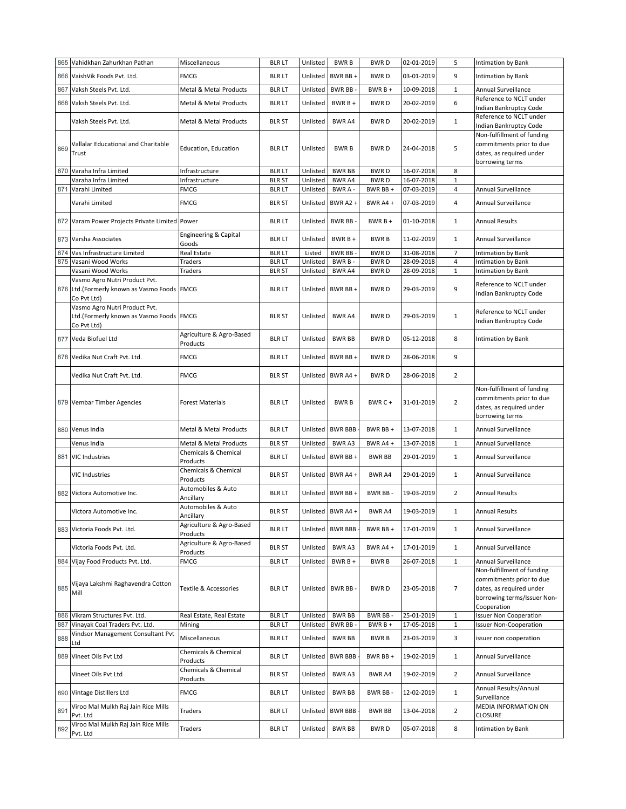|     | 865 Vahidkhan Zahurkhan Pathan                                                          | Miscellaneous                                | <b>BLRLT</b>  | Unlisted | <b>BWRB</b>       | <b>BWRD</b>   | 02-01-2019 | 5                | Intimation by Bank                                                                                                               |
|-----|-----------------------------------------------------------------------------------------|----------------------------------------------|---------------|----------|-------------------|---------------|------------|------------------|----------------------------------------------------------------------------------------------------------------------------------|
| 866 | VaishVik Foods Pvt. Ltd.                                                                | <b>FMCG</b>                                  | <b>BLR LT</b> | Unlisted | BWR BB+           | <b>BWRD</b>   | 03-01-2019 | 9                | Intimation by Bank                                                                                                               |
| 867 | Vaksh Steels Pvt. Ltd.                                                                  | Metal & Metal Products                       | <b>BLRLT</b>  | Unlisted | <b>BWR BB</b>     | BWR B +       | 10-09-2018 | $\mathbf 1$      | Annual Surveillance                                                                                                              |
| 868 | Vaksh Steels Pvt. Ltd.                                                                  | Metal & Metal Products                       | <b>BLR LT</b> | Unlisted | $BWRB +$          | <b>BWRD</b>   | 20-02-2019 | 6                | Reference to NCLT under<br>Indian Bankruptcy Code                                                                                |
|     | Vaksh Steels Pvt. Ltd.                                                                  | Metal & Metal Products                       | <b>BLR ST</b> | Unlisted | <b>BWR A4</b>     | <b>BWRD</b>   | 20-02-2019 | $\mathbf{1}$     | Reference to NCLT under<br><b>Indian Bankruptcy Code</b>                                                                         |
| 869 | Vallalar Educational and Charitable<br>Trust                                            | <b>Education, Education</b>                  | <b>BLR LT</b> | Unlisted | <b>BWRB</b>       | <b>BWRD</b>   | 24-04-2018 | 5                | Non-fulfillment of funding<br>commitments prior to due<br>dates, as required under<br>borrowing terms                            |
| 870 | Varaha Infra Limited                                                                    | Infrastructure                               | <b>BLR LT</b> | Unlisted | <b>BWR BB</b>     | <b>BWRD</b>   | 16-07-2018 | 8                |                                                                                                                                  |
|     | Varaha Infra Limited                                                                    | Infrastructure                               | <b>BLR ST</b> | Unlisted | <b>BWRA4</b>      | <b>BWRD</b>   | 16-07-2018 | $\mathbf 1$      |                                                                                                                                  |
| 871 | Varahi Limited                                                                          | <b>FMCG</b>                                  | <b>BLRLT</b>  | Unlisted | BWR A -           | BWR BB +      | 07-03-2019 | 4                | Annual Surveillance                                                                                                              |
|     | Varahi Limited                                                                          | <b>FMCG</b>                                  | <b>BLR ST</b> | Unlisted | BWR A2+           | BWR A4 +      | 07-03-2019 | 4                | <b>Annual Surveillance</b>                                                                                                       |
|     | 872 Varam Power Projects Private Limited Power                                          |                                              | <b>BLR LT</b> | Unlisted | BWR BB-           | $BWRB+$       | 01-10-2018 | $\mathbf{1}$     | Annual Results                                                                                                                   |
|     | 873 Varsha Associates                                                                   | Engineering & Capital<br>Goods               | <b>BLR LT</b> | Unlisted | $BWRB +$          | <b>BWRB</b>   | 11-02-2019 | $\mathbf{1}$     | Annual Surveillance                                                                                                              |
| 874 | Vas Infrastructure Limited                                                              | Real Estate                                  | <b>BLR LT</b> | Listed   | <b>BWR BB</b>     | <b>BWRD</b>   | 31-08-2018 | $\overline{7}$   | Intimation by Bank                                                                                                               |
| 875 | Vasani Wood Works                                                                       | Traders                                      | <b>BLR LT</b> | Unlisted | BWR B-            | <b>BWRD</b>   | 28-09-2018 | 4                | Intimation by Bank                                                                                                               |
|     | Vasani Wood Works<br>Vasmo Agro Nutri Product Pvt.                                      | Traders                                      | <b>BLR ST</b> | Unlisted | BWR A4            | <b>BWRD</b>   | 28-09-2018 | $\mathbf{1}$     | Intimation by Bank                                                                                                               |
|     | 876 Ltd. (Formerly known as Vasmo Foods FMCG<br>Co Pvt Ltd)                             |                                              | <b>BLR LT</b> | Unlisted | BWR BB +          | <b>BWRD</b>   | 29-03-2019 | 9                | Reference to NCLT under<br>Indian Bankruptcy Code                                                                                |
|     | Vasmo Agro Nutri Product Pvt.<br>Ltd.(Formerly known as Vasmo Foods FMCG<br>Co Pvt Ltd) |                                              | <b>BLR ST</b> | Unlisted | BWR A4            | <b>BWRD</b>   | 29-03-2019 | $\mathbf{1}$     | Reference to NCLT under<br>Indian Bankruptcy Code                                                                                |
| 877 | Veda Biofuel Ltd                                                                        | Agriculture & Agro-Based<br>Products         | <b>BLR LT</b> | Unlisted | <b>BWR BB</b>     | <b>BWRD</b>   | 05-12-2018 | 8                | <b>Intimation by Bank</b>                                                                                                        |
| 878 | Vedika Nut Craft Pvt. Ltd.                                                              | <b>FMCG</b>                                  | <b>BLR LT</b> | Unlisted | BWR BB+           | <b>BWRD</b>   | 28-06-2018 | 9                |                                                                                                                                  |
|     | Vedika Nut Craft Pvt. Ltd.                                                              | <b>FMCG</b>                                  | <b>BLR ST</b> | Unlisted | BWR A4+           | <b>BWRD</b>   | 28-06-2018 | $\overline{2}$   |                                                                                                                                  |
|     | 879 Vembar Timber Agencies                                                              | <b>Forest Materials</b>                      | <b>BLR LT</b> | Unlisted | <b>BWRB</b>       | BWR C+        | 31-01-2019 | $\overline{2}$   | Non-fulfillment of funding<br>commitments prior to due<br>dates, as required under<br>borrowing terms                            |
|     | 880 Venus India                                                                         | Metal & Metal Products                       | <b>BLRLT</b>  |          | Unlisted BWR BBB  | BWR BB +      | 13-07-2018 | $\mathbf{1}$     | Annual Surveillance                                                                                                              |
|     | Venus India                                                                             | Metal & Metal Products                       | <b>BLR ST</b> | Unlisted | <b>BWRA3</b>      | BWR A4 +      | 13-07-2018 | $\mathbf{1}$     | Annual Surveillance                                                                                                              |
| 881 | <b>VIC Industries</b>                                                                   | Chemicals & Chemical                         | <b>BLR LT</b> | Unlisted | BWR BB+           | <b>BWR BB</b> | 29-01-2019 | $\mathbf{1}$     | Annual Surveillance                                                                                                              |
|     | VIC Industries                                                                          | Products<br>Chemicals & Chemical<br>Products | <b>BLR ST</b> | Unlisted | BWR A4 +          | BWR A4        | 29-01-2019 | $\mathbf{1}$     | Annual Surveillance                                                                                                              |
| 882 | Victora Automotive Inc.                                                                 | Automobiles & Auto<br>Ancillary              | <b>BLR LT</b> | Unlisted | BWR BB +          | BWR BB-       | 19-03-2019 | $\overline{2}$   | <b>Annual Results</b>                                                                                                            |
|     | Victora Automotive Inc.                                                                 | Automobiles & Auto<br>Ancillary              | <b>BLR ST</b> |          | Unlisted BWR A4 + | <b>BWR A4</b> | 19-03-2019 | 1                | <b>Annual Results</b>                                                                                                            |
|     | 883 Victoria Foods Pvt. Ltd.                                                            | Agriculture & Agro-Based<br>Products         | <b>BLR LT</b> | Unlisted | <b>BWR BBB</b>    | BWR BB +      | 17-01-2019 | 1                | Annual Surveillance                                                                                                              |
|     | Victoria Foods Pvt. Ltd.                                                                | Agriculture & Agro-Based<br>Products         | <b>BLR ST</b> | Unlisted | <b>BWRA3</b>      | BWR A4 +      | 17-01-2019 | $\mathbf{1}$     | Annual Surveillance                                                                                                              |
|     | 884 Vijay Food Products Pvt. Ltd.                                                       | <b>FMCG</b>                                  | <b>BLRLT</b>  | Unlisted | BWR B +           | <b>BWRB</b>   | 26-07-2018 | $\mathbf 1$      | Annual Surveillance                                                                                                              |
| 885 | Vijaya Lakshmi Raghavendra Cotton<br>Mill                                               | Textile & Accessories                        | <b>BLR LT</b> | Unlisted | BWR BB-           | <b>BWRD</b>   | 23-05-2018 | $\boldsymbol{7}$ | Non-fulfillment of funding<br>commitments prior to due<br>dates, as required under<br>borrowing terms/Issuer Non-<br>Cooperation |
| 886 | Vikram Structures Pvt. Ltd.                                                             | Real Estate, Real Estate                     | <b>BLR LT</b> | Unlisted | <b>BWR BB</b>     | BWR BB-       | 25-01-2019 | $\mathbf 1$      | <b>Issuer Non Cooperation</b>                                                                                                    |
| 887 | Vinayak Coal Traders Pvt. Ltd.                                                          | Mining                                       | <b>BLRLT</b>  | Unlisted | BWR BB-           | $BWRB +$      | 17-05-2018 | $1\,$            | <b>Issuer Non-Cooperation</b>                                                                                                    |
| 888 | Vindsor Management Consultant Pvt<br>Ltd                                                | Miscellaneous                                | <b>BLRLT</b>  | Unlisted | <b>BWR BB</b>     | <b>BWRB</b>   | 23-03-2019 | 3                | issuer non cooperation                                                                                                           |
|     | 889 Vineet Oils Pvt Ltd                                                                 | Chemicals & Chemical<br>Products             | <b>BLR LT</b> | Unlisted | <b>BWR BBB</b>    | BWR BB +      | 19-02-2019 | $\mathbf{1}$     | Annual Surveillance                                                                                                              |
|     | Vineet Oils Pvt Ltd                                                                     | Chemicals & Chemical<br>Products             | <b>BLR ST</b> | Unlisted | <b>BWRA3</b>      | BWR A4        | 19-02-2019 | $\overline{2}$   | Annual Surveillance                                                                                                              |
|     | 890 Vintage Distillers Ltd                                                              | <b>FMCG</b>                                  | <b>BLRLT</b>  | Unlisted | <b>BWR BB</b>     | BWR BB-       | 12-02-2019 | $\mathbf{1}$     | Annual Results/Annual<br>Surveillance                                                                                            |
| 891 | Viroo Mal Mulkh Raj Jain Rice Mills<br>Pvt. Ltd                                         | Traders                                      | <b>BLR LT</b> | Unlisted | <b>BWR BBB</b>    | <b>BWR BB</b> | 13-04-2018 | 2                | MEDIA INFORMATION ON<br><b>CLOSURE</b>                                                                                           |
| 892 | Viroo Mal Mulkh Raj Jain Rice Mills<br>Pvt. Ltd                                         | Traders                                      | <b>BLR LT</b> | Unlisted | <b>BWR BB</b>     | <b>BWRD</b>   | 05-07-2018 | 8                | Intimation by Bank                                                                                                               |